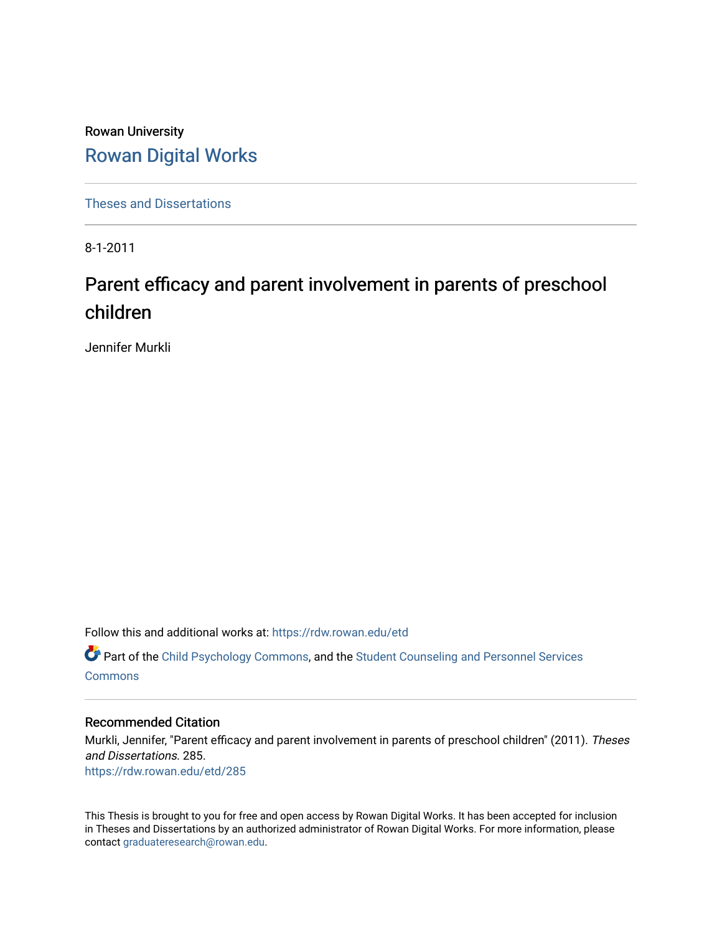Rowan University [Rowan Digital Works](https://rdw.rowan.edu/)

[Theses and Dissertations](https://rdw.rowan.edu/etd)

8-1-2011

# Parent efficacy and parent involvement in parents of preschool children

Jennifer Murkli

Follow this and additional works at: [https://rdw.rowan.edu/etd](https://rdw.rowan.edu/etd?utm_source=rdw.rowan.edu%2Fetd%2F285&utm_medium=PDF&utm_campaign=PDFCoverPages)  **C** Part of the [Child Psychology Commons,](http://network.bepress.com/hgg/discipline/1023?utm_source=rdw.rowan.edu%2Fetd%2F285&utm_medium=PDF&utm_campaign=PDFCoverPages) and the Student Counseling and Personnel Services [Commons](http://network.bepress.com/hgg/discipline/802?utm_source=rdw.rowan.edu%2Fetd%2F285&utm_medium=PDF&utm_campaign=PDFCoverPages)

#### Recommended Citation

Murkli, Jennifer, "Parent efficacy and parent involvement in parents of preschool children" (2011). Theses and Dissertations. 285. [https://rdw.rowan.edu/etd/285](https://rdw.rowan.edu/etd/285?utm_source=rdw.rowan.edu%2Fetd%2F285&utm_medium=PDF&utm_campaign=PDFCoverPages) 

This Thesis is brought to you for free and open access by Rowan Digital Works. It has been accepted for inclusion in Theses and Dissertations by an authorized administrator of Rowan Digital Works. For more information, please contact [graduateresearch@rowan.edu.](mailto:graduateresearch@rowan.edu)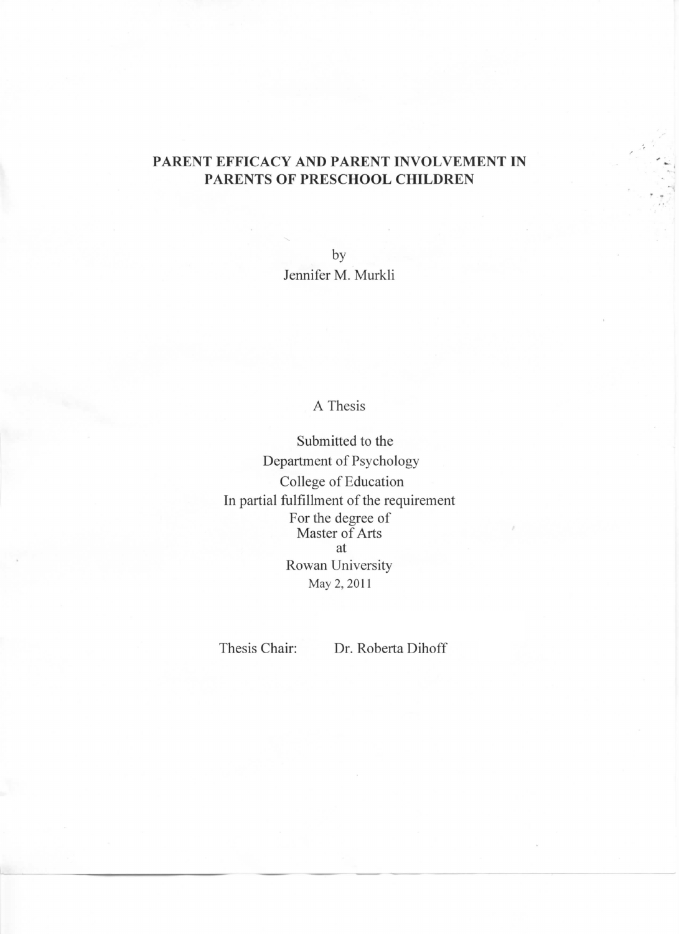# PARENT EFFICACY AND PARENT INVOLVEMENT IN PARENTS OF PRESCHOOL CHILDREN

by Jennifer M. Murkli

# A Thesis

Submitted to the Department of Psychology College of Education In partial fulfillment of the requirement For the degree of<br>Master of Arts at Rowan University May 2, 2011

Thesis Chair:

Dr. Roberta Dihoff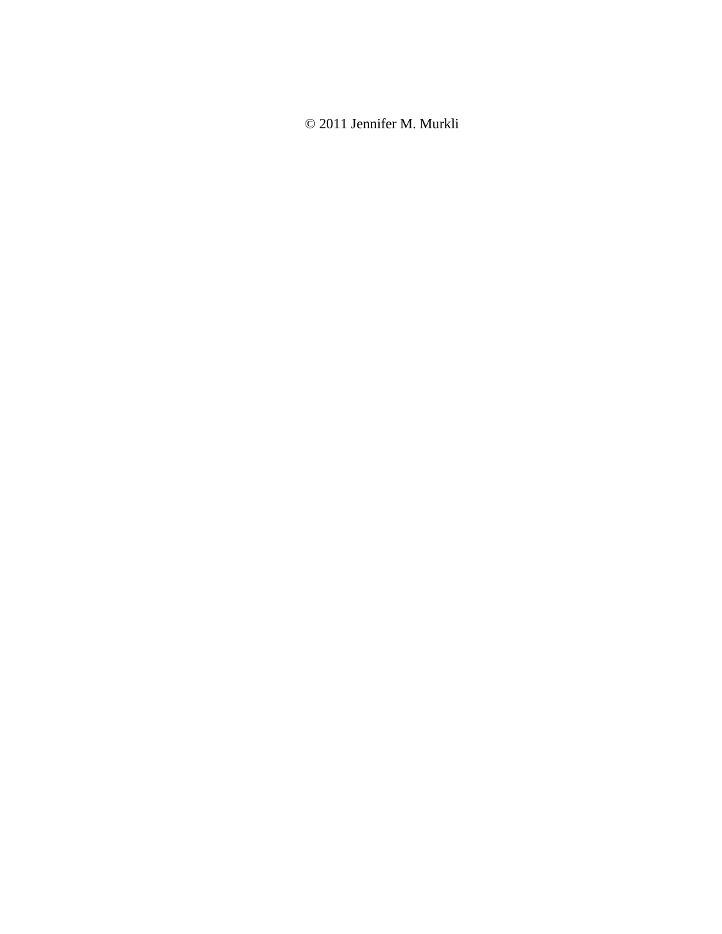© 2011 Jennifer M. Murkli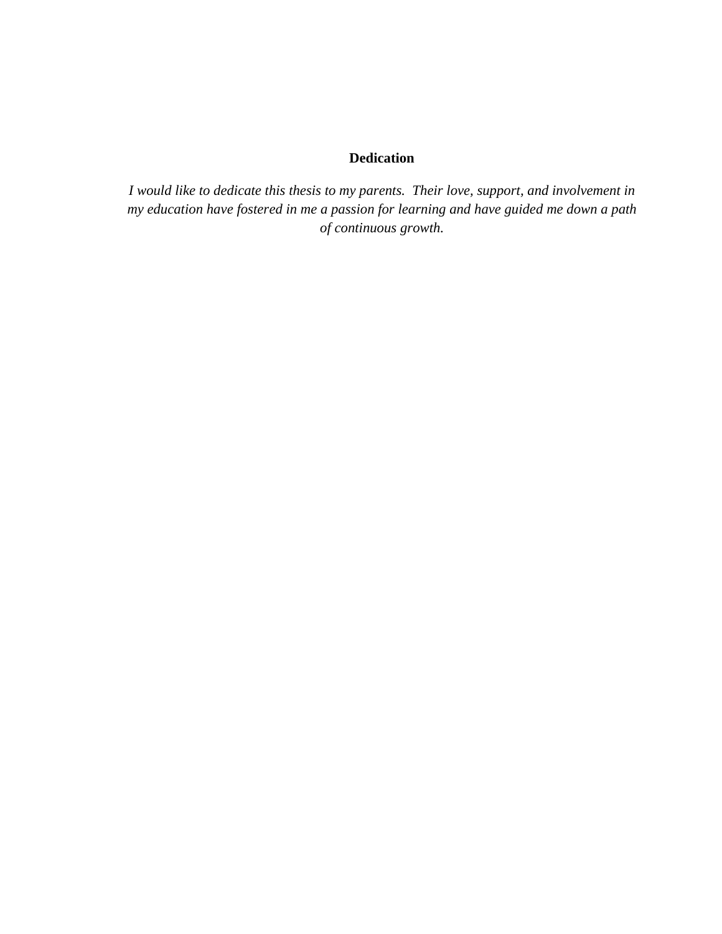# **Dedication**

*I would like to dedicate this thesis to my parents. Their love, support, and involvement in my education have fostered in me a passion for learning and have guided me down a path of continuous growth.*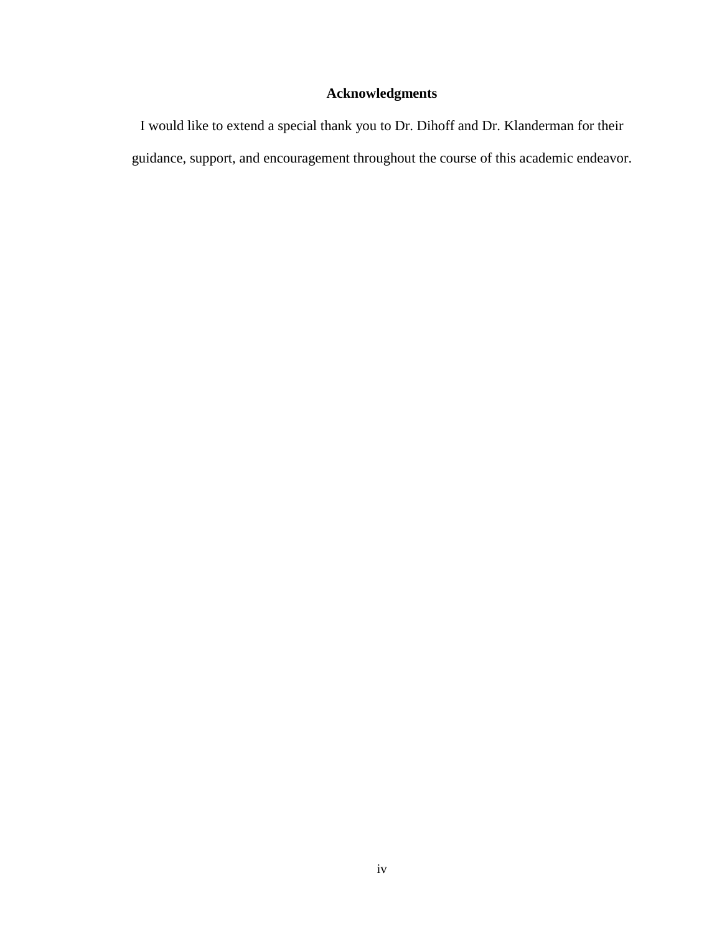# **Acknowledgments**

I would like to extend a special thank you to Dr. Dihoff and Dr. Klanderman for their guidance, support, and encouragement throughout the course of this academic endeavor.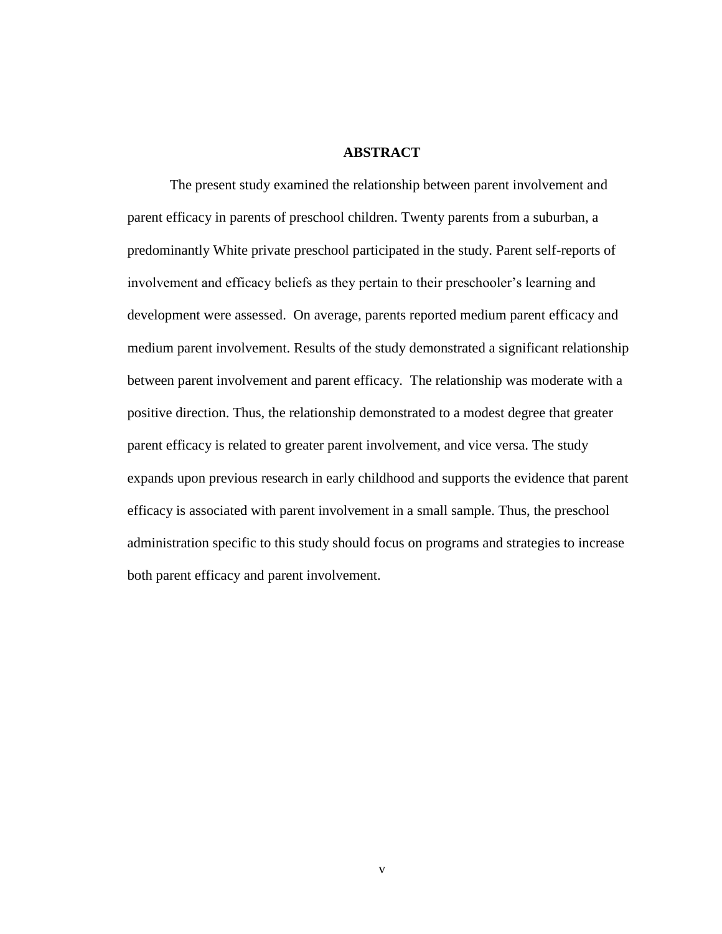#### **ABSTRACT**

The present study examined the relationship between parent involvement and parent efficacy in parents of preschool children. Twenty parents from a suburban, a predominantly White private preschool participated in the study. Parent self-reports of involvement and efficacy beliefs as they pertain to their preschooler's learning and development were assessed. On average, parents reported medium parent efficacy and medium parent involvement. Results of the study demonstrated a significant relationship between parent involvement and parent efficacy. The relationship was moderate with a positive direction. Thus, the relationship demonstrated to a modest degree that greater parent efficacy is related to greater parent involvement, and vice versa. The study expands upon previous research in early childhood and supports the evidence that parent efficacy is associated with parent involvement in a small sample. Thus, the preschool administration specific to this study should focus on programs and strategies to increase both parent efficacy and parent involvement.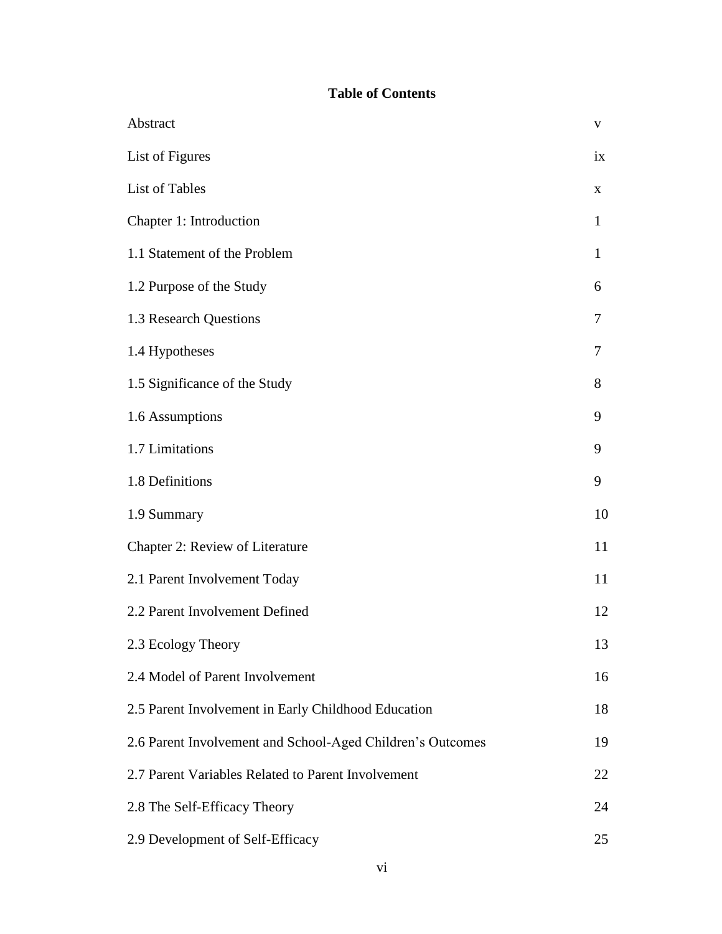# **Table of Contents**

| Abstract                                                   | $\mathbf{V}$ |
|------------------------------------------------------------|--------------|
| List of Figures                                            | ix           |
| List of Tables                                             | X            |
| Chapter 1: Introduction                                    | 1            |
| 1.1 Statement of the Problem                               | $\mathbf{1}$ |
| 1.2 Purpose of the Study                                   | 6            |
| 1.3 Research Questions                                     | 7            |
| 1.4 Hypotheses                                             | 7            |
| 1.5 Significance of the Study                              | 8            |
| 1.6 Assumptions                                            | 9            |
| 1.7 Limitations                                            | 9            |
| 1.8 Definitions                                            | 9            |
| 1.9 Summary                                                | 10           |
| Chapter 2: Review of Literature                            | 11           |
| 2.1 Parent Involvement Today                               | 11           |
| 2.2 Parent Involvement Defined                             | 12           |
| 2.3 Ecology Theory                                         | 13           |
| 2.4 Model of Parent Involvement                            | 16           |
| 2.5 Parent Involvement in Early Childhood Education        | 18           |
| 2.6 Parent Involvement and School-Aged Children's Outcomes | 19           |
| 2.7 Parent Variables Related to Parent Involvement         | 22           |
| 2.8 The Self-Efficacy Theory                               | 24           |
| 2.9 Development of Self-Efficacy                           | 25           |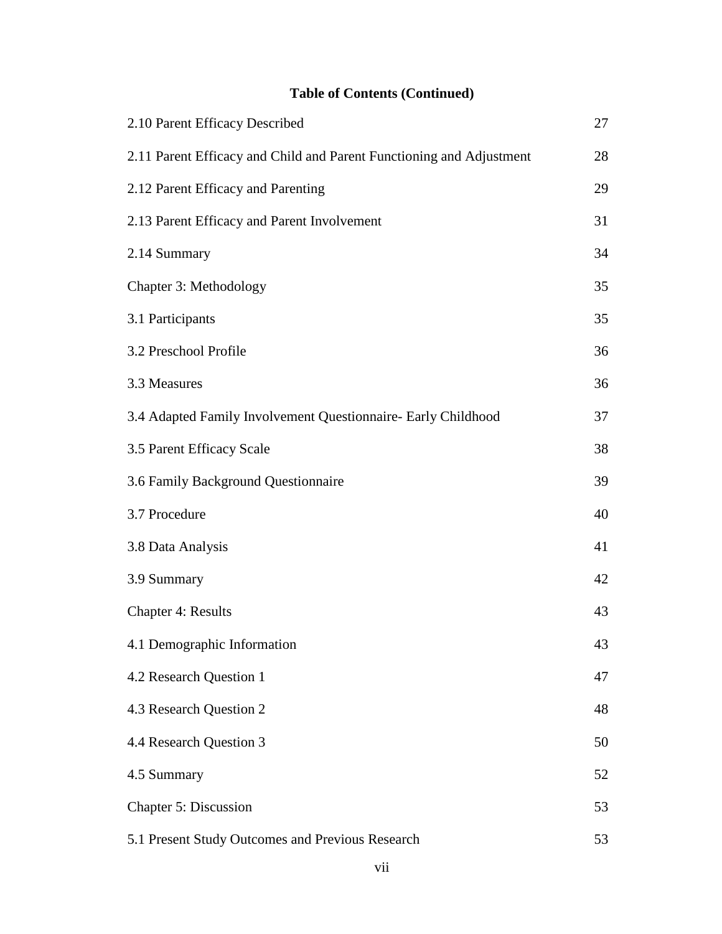# **Table of Contents (Continued)**

| 2.10 Parent Efficacy Described                                       | 27 |
|----------------------------------------------------------------------|----|
| 2.11 Parent Efficacy and Child and Parent Functioning and Adjustment | 28 |
| 2.12 Parent Efficacy and Parenting                                   | 29 |
| 2.13 Parent Efficacy and Parent Involvement                          | 31 |
| 2.14 Summary                                                         | 34 |
| Chapter 3: Methodology                                               | 35 |
| 3.1 Participants                                                     | 35 |
| 3.2 Preschool Profile                                                | 36 |
| 3.3 Measures                                                         | 36 |
| 3.4 Adapted Family Involvement Questionnaire- Early Childhood        | 37 |
| 3.5 Parent Efficacy Scale                                            | 38 |
| 3.6 Family Background Questionnaire                                  | 39 |
| 3.7 Procedure                                                        | 40 |
| 3.8 Data Analysis                                                    | 41 |
| 3.9 Summary                                                          | 42 |
| <b>Chapter 4: Results</b>                                            | 43 |
| 4.1 Demographic Information                                          | 43 |
| 4.2 Research Question 1                                              | 47 |
| 4.3 Research Question 2                                              | 48 |
| 4.4 Research Question 3                                              | 50 |
| 4.5 Summary                                                          | 52 |
| Chapter 5: Discussion                                                | 53 |
| 5.1 Present Study Outcomes and Previous Research                     | 53 |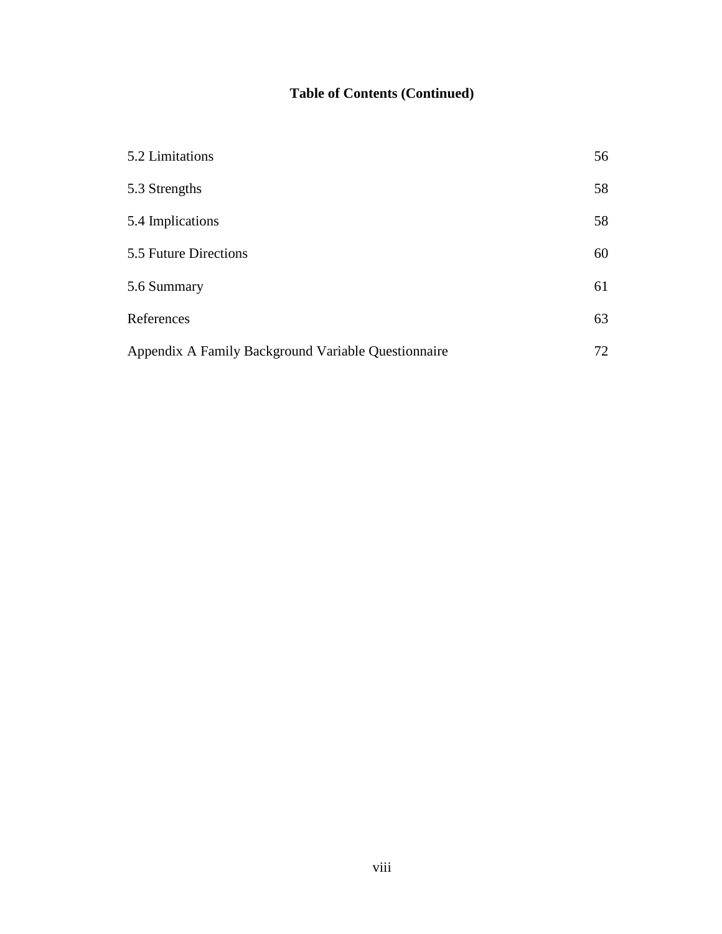# **Table of Contents (Continued)**

| 5.2 Limitations                                     | 56 |
|-----------------------------------------------------|----|
| 5.3 Strengths                                       | 58 |
| 5.4 Implications                                    | 58 |
| 5.5 Future Directions                               | 60 |
| 5.6 Summary                                         | 61 |
| References                                          | 63 |
| Appendix A Family Background Variable Questionnaire | 72 |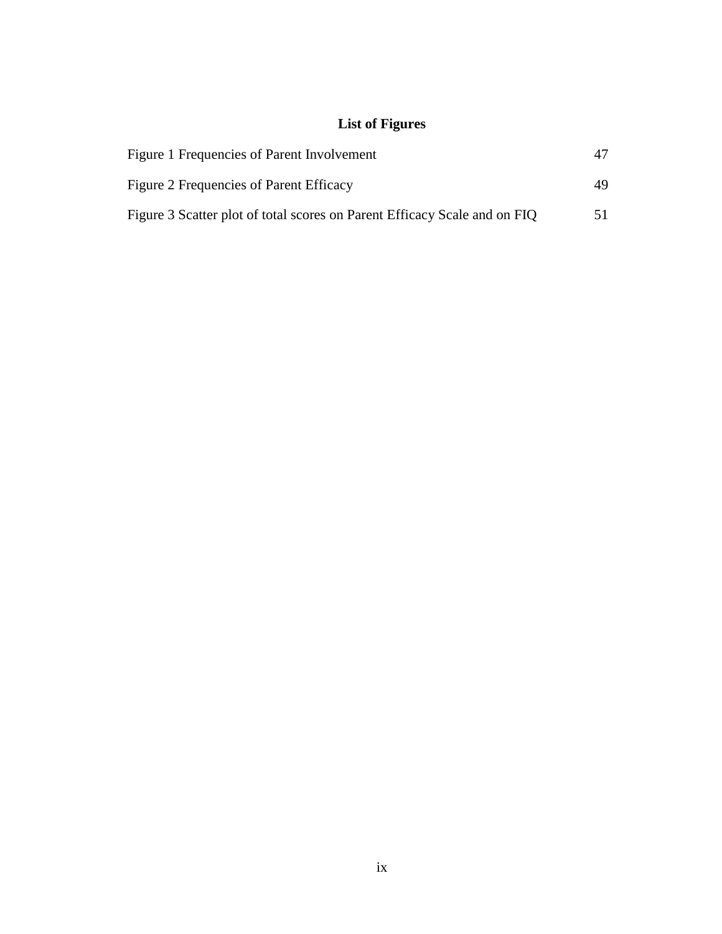# **List of Figures**

| Figure 1 Frequencies of Parent Involvement                                |    |
|---------------------------------------------------------------------------|----|
| Figure 2 Frequencies of Parent Efficacy                                   | 49 |
| Figure 3 Scatter plot of total scores on Parent Efficacy Scale and on FIQ |    |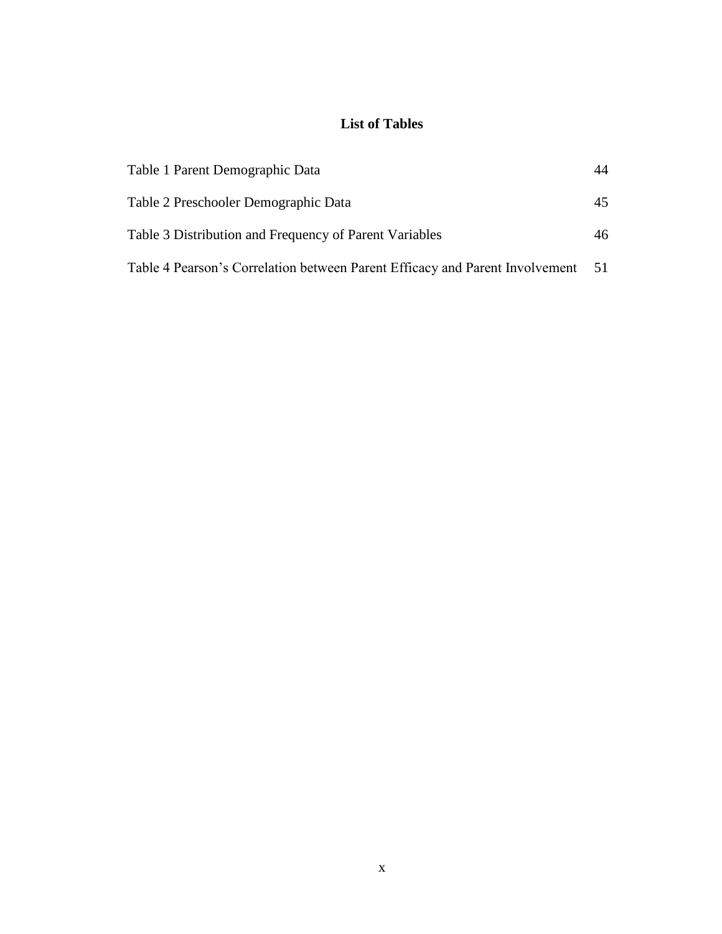# **List of Tables**

| Table 1 Parent Demographic Data                                              | 44  |
|------------------------------------------------------------------------------|-----|
| Table 2 Preschooler Demographic Data                                         | 45  |
| Table 3 Distribution and Frequency of Parent Variables                       | 46  |
| Table 4 Pearson's Correlation between Parent Efficacy and Parent Involvement | -51 |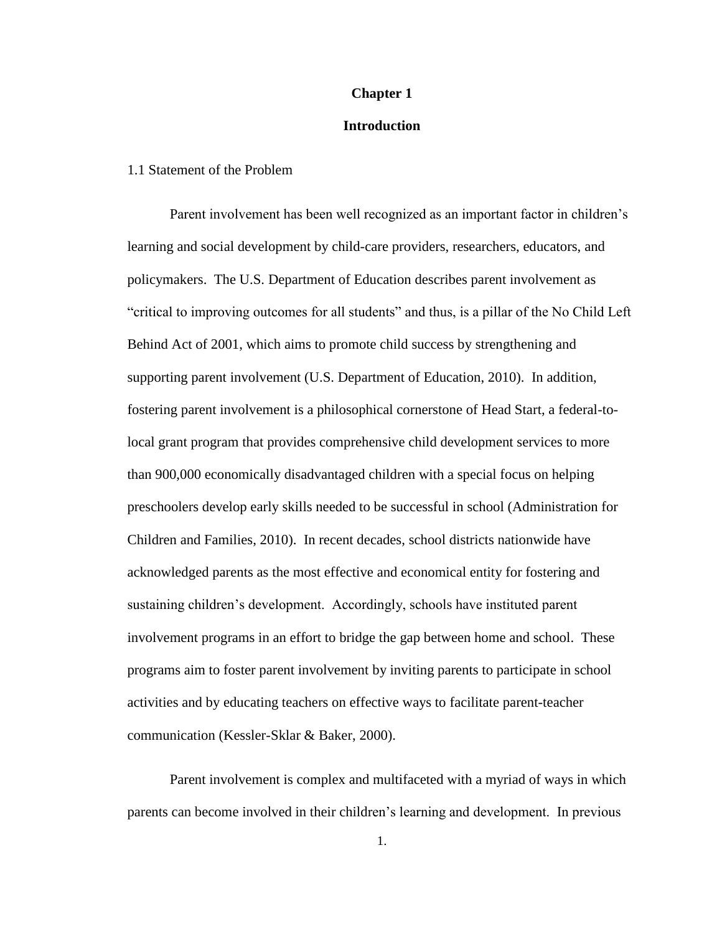### **Chapter 1**

### **Introduction**

### 1.1 Statement of the Problem

Parent involvement has been well recognized as an important factor in children"s learning and social development by child-care providers, researchers, educators, and policymakers. The U.S. Department of Education describes parent involvement as "critical to improving outcomes for all students" and thus, is a pillar of the No Child Left Behind Act of 2001, which aims to promote child success by strengthening and supporting parent involvement (U.S. Department of Education, 2010). In addition, fostering parent involvement is a philosophical cornerstone of Head Start, a federal-tolocal grant program that provides comprehensive child development services to more than 900,000 economically disadvantaged children with a special focus on helping preschoolers develop early skills needed to be successful in school (Administration for Children and Families, 2010). In recent decades, school districts nationwide have acknowledged parents as the most effective and economical entity for fostering and sustaining children's development. Accordingly, schools have instituted parent involvement programs in an effort to bridge the gap between home and school. These programs aim to foster parent involvement by inviting parents to participate in school activities and by educating teachers on effective ways to facilitate parent-teacher communication (Kessler-Sklar & Baker, 2000).

Parent involvement is complex and multifaceted with a myriad of ways in which parents can become involved in their children"s learning and development. In previous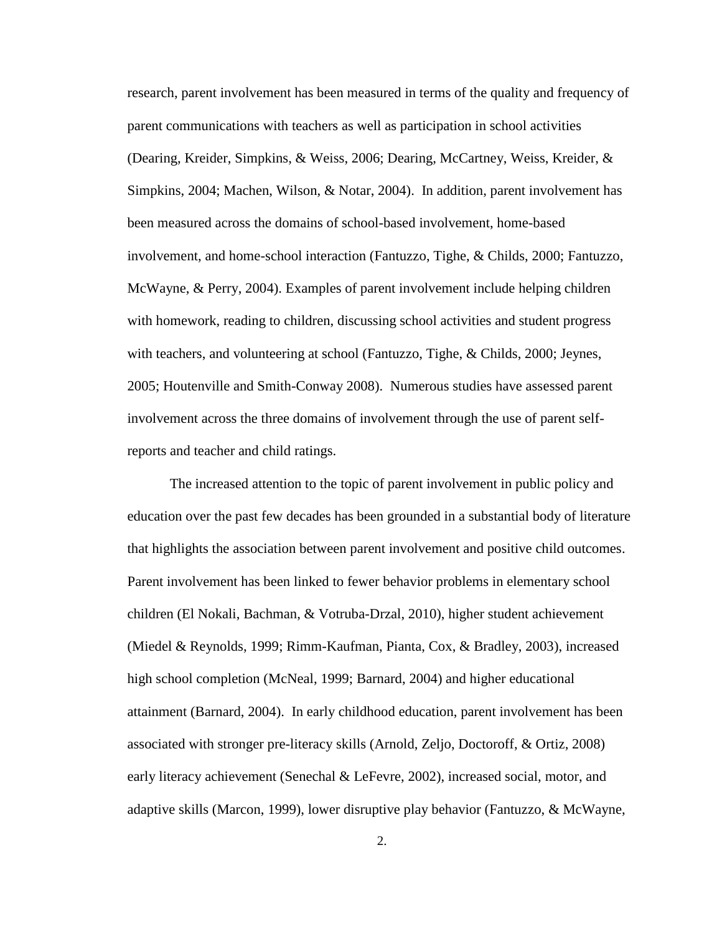research, parent involvement has been measured in terms of the quality and frequency of parent communications with teachers as well as participation in school activities (Dearing, Kreider, Simpkins, & Weiss, 2006; Dearing, McCartney, Weiss, Kreider, & Simpkins, 2004; Machen, Wilson, & Notar, 2004). In addition, parent involvement has been measured across the domains of school-based involvement, home-based involvement, and home-school interaction (Fantuzzo, Tighe, & Childs, 2000; Fantuzzo, McWayne, & Perry, 2004). Examples of parent involvement include helping children with homework, reading to children, discussing school activities and student progress with teachers, and volunteering at school (Fantuzzo, Tighe, & Childs, 2000; Jeynes, 2005; Houtenville and Smith-Conway 2008). Numerous studies have assessed parent involvement across the three domains of involvement through the use of parent selfreports and teacher and child ratings.

The increased attention to the topic of parent involvement in public policy and education over the past few decades has been grounded in a substantial body of literature that highlights the association between parent involvement and positive child outcomes. Parent involvement has been linked to fewer behavior problems in elementary school children (El Nokali, Bachman, & Votruba-Drzal, 2010), higher student achievement (Miedel & Reynolds, 1999; Rimm-Kaufman, Pianta, Cox, & Bradley, 2003), increased high school completion (McNeal, 1999; Barnard, 2004) and higher educational attainment (Barnard, 2004). In early childhood education, parent involvement has been associated with stronger pre-literacy skills (Arnold, Zeljo, Doctoroff, & Ortiz, 2008) early literacy achievement (Senechal & LeFevre, 2002), increased social, motor, and adaptive skills (Marcon, 1999), lower disruptive play behavior (Fantuzzo, & McWayne,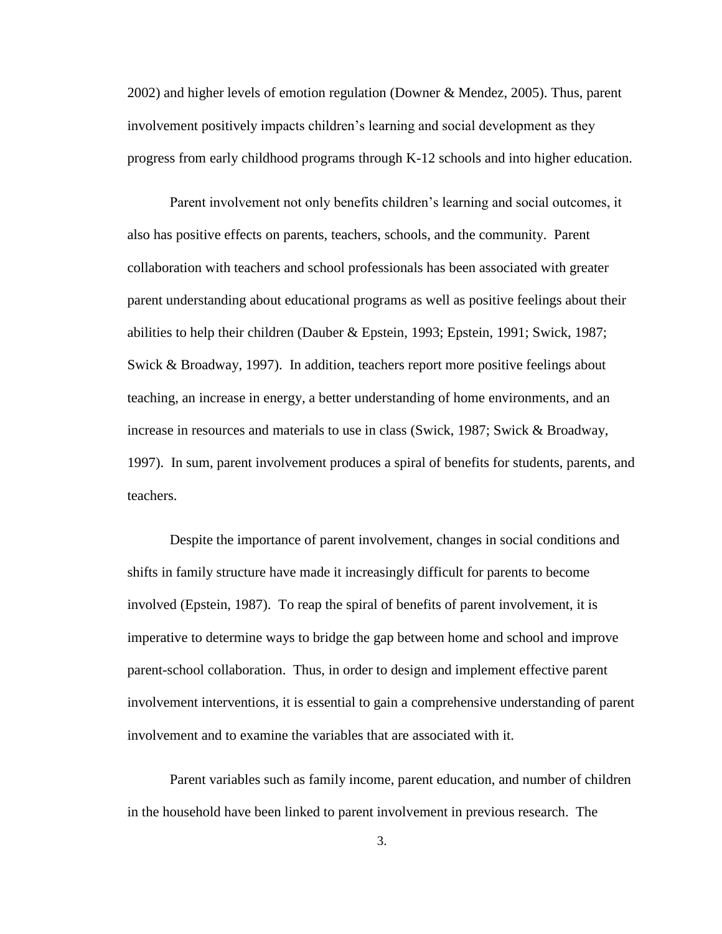2002) and higher levels of emotion regulation (Downer & Mendez, 2005). Thus, parent involvement positively impacts children's learning and social development as they progress from early childhood programs through K-12 schools and into higher education.

Parent involvement not only benefits children"s learning and social outcomes, it also has positive effects on parents, teachers, schools, and the community. Parent collaboration with teachers and school professionals has been associated with greater parent understanding about educational programs as well as positive feelings about their abilities to help their children (Dauber & Epstein, 1993; Epstein, 1991; Swick, 1987; Swick & Broadway, 1997). In addition, teachers report more positive feelings about teaching, an increase in energy, a better understanding of home environments, and an increase in resources and materials to use in class (Swick, 1987; Swick & Broadway, 1997). In sum, parent involvement produces a spiral of benefits for students, parents, and teachers.

Despite the importance of parent involvement, changes in social conditions and shifts in family structure have made it increasingly difficult for parents to become involved (Epstein, 1987). To reap the spiral of benefits of parent involvement, it is imperative to determine ways to bridge the gap between home and school and improve parent-school collaboration. Thus, in order to design and implement effective parent involvement interventions, it is essential to gain a comprehensive understanding of parent involvement and to examine the variables that are associated with it.

Parent variables such as family income, parent education, and number of children in the household have been linked to parent involvement in previous research. The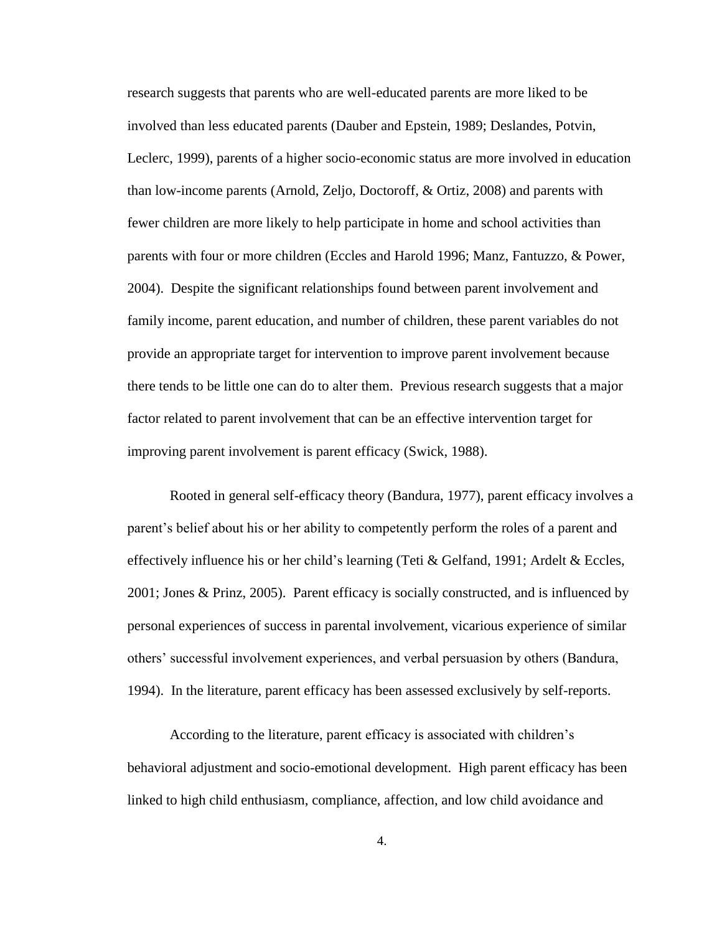research suggests that parents who are well-educated parents are more liked to be involved than less educated parents (Dauber and Epstein, 1989; Deslandes, Potvin, Leclerc, 1999), parents of a higher socio-economic status are more involved in education than low-income parents (Arnold, Zeljo, Doctoroff, & Ortiz, 2008) and parents with fewer children are more likely to help participate in home and school activities than parents with four or more children (Eccles and Harold 1996; Manz, Fantuzzo, & Power, 2004). Despite the significant relationships found between parent involvement and family income, parent education, and number of children, these parent variables do not provide an appropriate target for intervention to improve parent involvement because there tends to be little one can do to alter them. Previous research suggests that a major factor related to parent involvement that can be an effective intervention target for improving parent involvement is parent efficacy (Swick, 1988).

Rooted in general self-efficacy theory (Bandura, 1977), parent efficacy involves a parent"s belief about his or her ability to competently perform the roles of a parent and effectively influence his or her child"s learning (Teti & Gelfand, 1991; Ardelt & Eccles, 2001; Jones & Prinz, 2005). Parent efficacy is socially constructed, and is influenced by personal experiences of success in parental involvement, vicarious experience of similar others" successful involvement experiences, and verbal persuasion by others (Bandura, 1994). In the literature, parent efficacy has been assessed exclusively by self-reports.

According to the literature, parent efficacy is associated with children"s behavioral adjustment and socio-emotional development. High parent efficacy has been linked to high child enthusiasm, compliance, affection, and low child avoidance and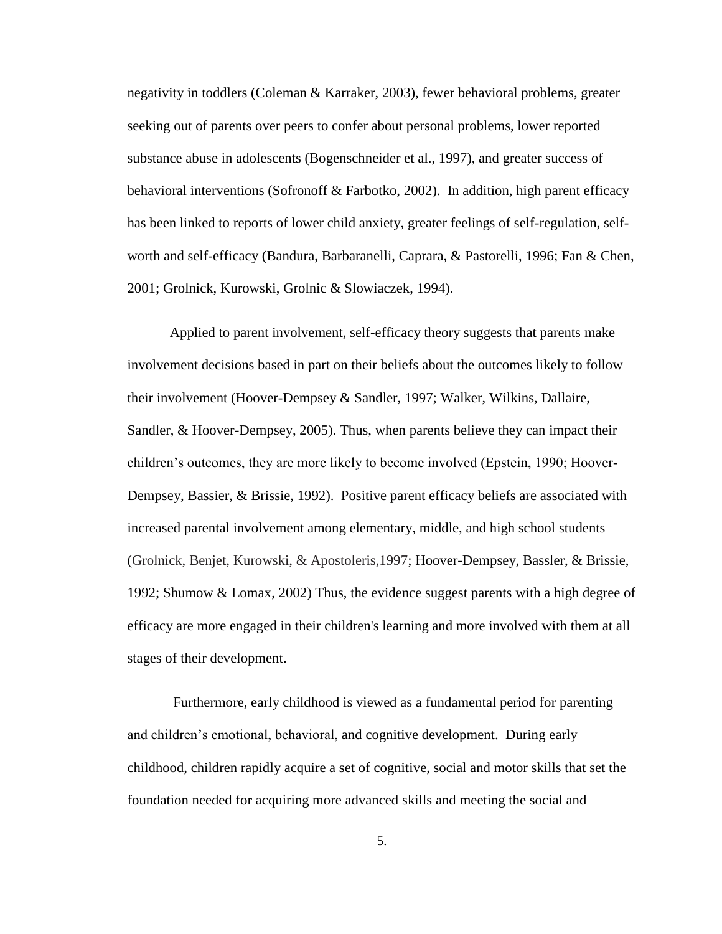negativity in toddlers (Coleman & Karraker, 2003), fewer behavioral problems, greater seeking out of parents over peers to confer about personal problems, lower reported substance abuse in adolescents (Bogenschneider et al., 1997), and greater success of behavioral interventions (Sofronoff & Farbotko, 2002). In addition, high parent efficacy has been linked to reports of lower child anxiety, greater feelings of self-regulation, selfworth and self-efficacy (Bandura, Barbaranelli, Caprara, & Pastorelli, 1996; Fan & Chen, 2001; Grolnick, Kurowski, Grolnic & Slowiaczek, 1994).

Applied to parent involvement, self-efficacy theory suggests that parents make involvement decisions based in part on their beliefs about the outcomes likely to follow their involvement (Hoover-Dempsey & Sandler, 1997; Walker, Wilkins, Dallaire, Sandler, & Hoover-Dempsey, 2005). Thus, when parents believe they can impact their children"s outcomes, they are more likely to become involved (Epstein, 1990; Hoover-Dempsey, Bassier, & Brissie, 1992). Positive parent efficacy beliefs are associated with increased parental involvement among elementary, middle, and high school students (Grolnick, Benjet, Kurowski, & Apostoleris,1997; Hoover-Dempsey, Bassler, & Brissie, 1992; Shumow & Lomax, 2002) Thus, the evidence suggest parents with a high degree of efficacy are more engaged in their children's learning and more involved with them at all stages of their development.

Furthermore, early childhood is viewed as a fundamental period for parenting and children"s emotional, behavioral, and cognitive development. During early childhood, children rapidly acquire a set of cognitive, social and motor skills that set the foundation needed for acquiring more advanced skills and meeting the social and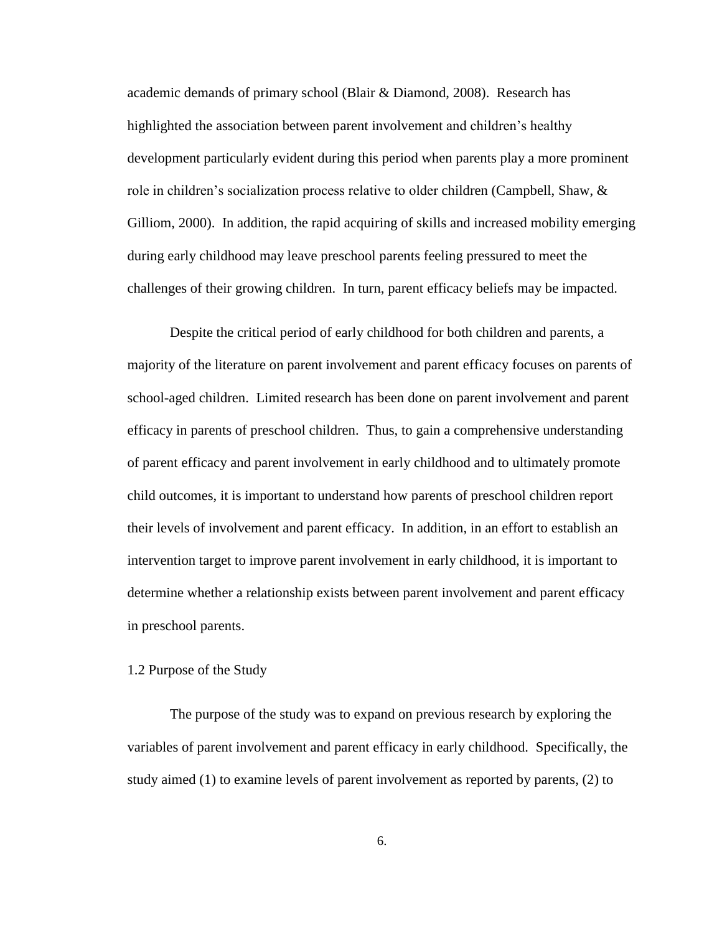academic demands of primary school (Blair & Diamond, 2008). Research has highlighted the association between parent involvement and children"s healthy development particularly evident during this period when parents play a more prominent role in children's socialization process relative to older children (Campbell, Shaw,  $\&$ Gilliom, 2000). In addition, the rapid acquiring of skills and increased mobility emerging during early childhood may leave preschool parents feeling pressured to meet the challenges of their growing children. In turn, parent efficacy beliefs may be impacted.

Despite the critical period of early childhood for both children and parents, a majority of the literature on parent involvement and parent efficacy focuses on parents of school-aged children. Limited research has been done on parent involvement and parent efficacy in parents of preschool children. Thus, to gain a comprehensive understanding of parent efficacy and parent involvement in early childhood and to ultimately promote child outcomes, it is important to understand how parents of preschool children report their levels of involvement and parent efficacy. In addition, in an effort to establish an intervention target to improve parent involvement in early childhood, it is important to determine whether a relationship exists between parent involvement and parent efficacy in preschool parents.

### 1.2 Purpose of the Study

The purpose of the study was to expand on previous research by exploring the variables of parent involvement and parent efficacy in early childhood. Specifically, the study aimed (1) to examine levels of parent involvement as reported by parents, (2) to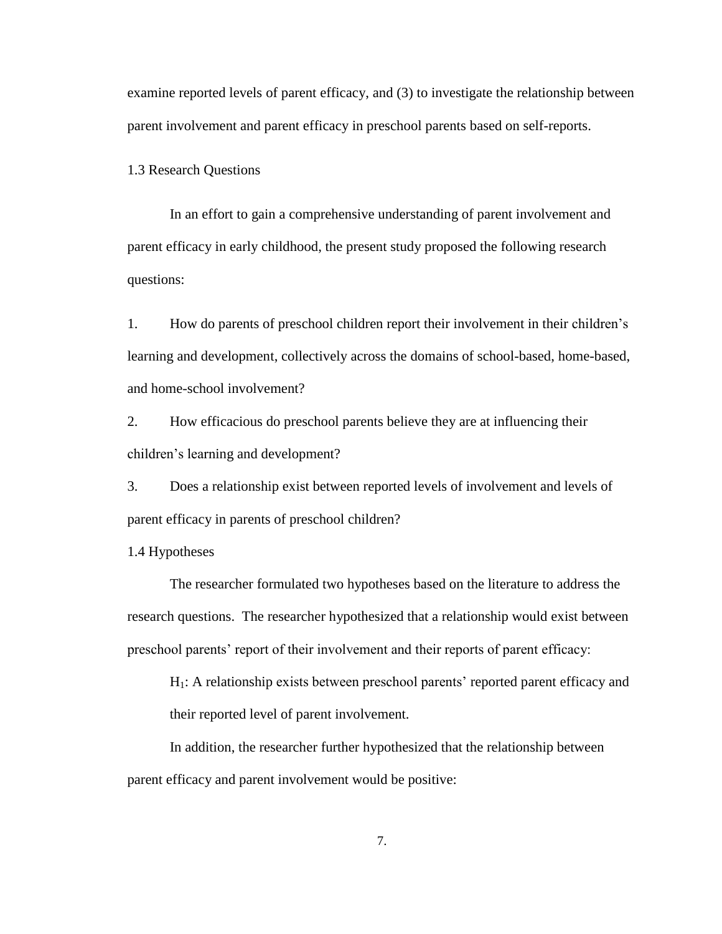examine reported levels of parent efficacy, and (3) to investigate the relationship between parent involvement and parent efficacy in preschool parents based on self-reports.

1.3 Research Questions

In an effort to gain a comprehensive understanding of parent involvement and parent efficacy in early childhood, the present study proposed the following research questions:

1. How do parents of preschool children report their involvement in their children"s learning and development, collectively across the domains of school-based, home-based, and home-school involvement?

2. How efficacious do preschool parents believe they are at influencing their children"s learning and development?

3. Does a relationship exist between reported levels of involvement and levels of parent efficacy in parents of preschool children?

1.4 Hypotheses

The researcher formulated two hypotheses based on the literature to address the research questions. The researcher hypothesized that a relationship would exist between preschool parents' report of their involvement and their reports of parent efficacy:

H1: A relationship exists between preschool parents" reported parent efficacy and their reported level of parent involvement.

In addition, the researcher further hypothesized that the relationship between parent efficacy and parent involvement would be positive: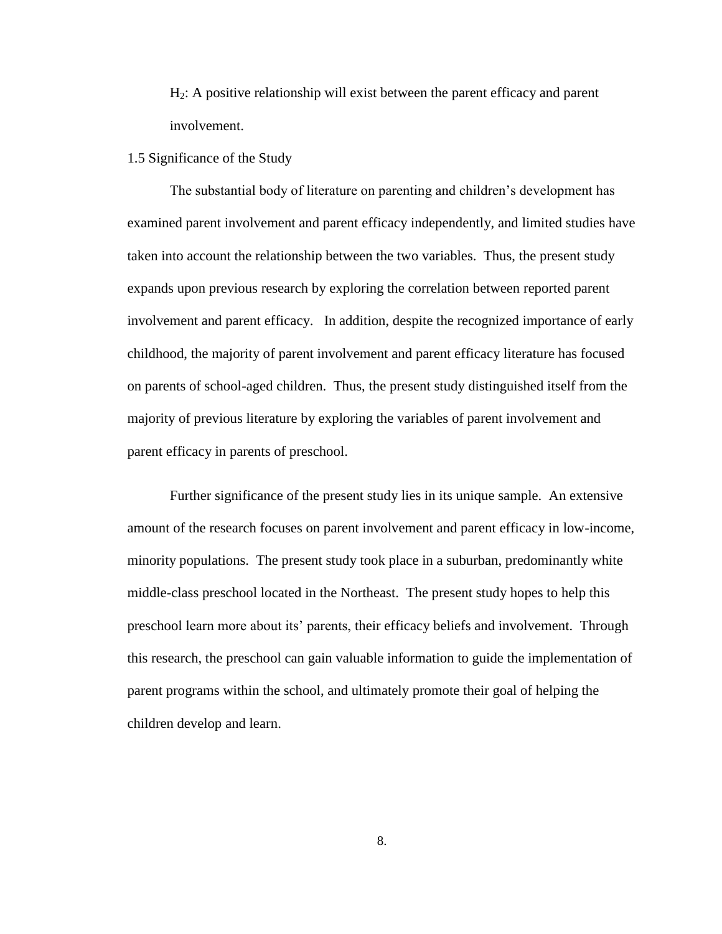$H<sub>2</sub>$ : A positive relationship will exist between the parent efficacy and parent involvement.

### 1.5 Significance of the Study

The substantial body of literature on parenting and children"s development has examined parent involvement and parent efficacy independently, and limited studies have taken into account the relationship between the two variables. Thus, the present study expands upon previous research by exploring the correlation between reported parent involvement and parent efficacy. In addition, despite the recognized importance of early childhood, the majority of parent involvement and parent efficacy literature has focused on parents of school-aged children. Thus, the present study distinguished itself from the majority of previous literature by exploring the variables of parent involvement and parent efficacy in parents of preschool.

Further significance of the present study lies in its unique sample. An extensive amount of the research focuses on parent involvement and parent efficacy in low-income, minority populations. The present study took place in a suburban, predominantly white middle-class preschool located in the Northeast. The present study hopes to help this preschool learn more about its" parents, their efficacy beliefs and involvement. Through this research, the preschool can gain valuable information to guide the implementation of parent programs within the school, and ultimately promote their goal of helping the children develop and learn.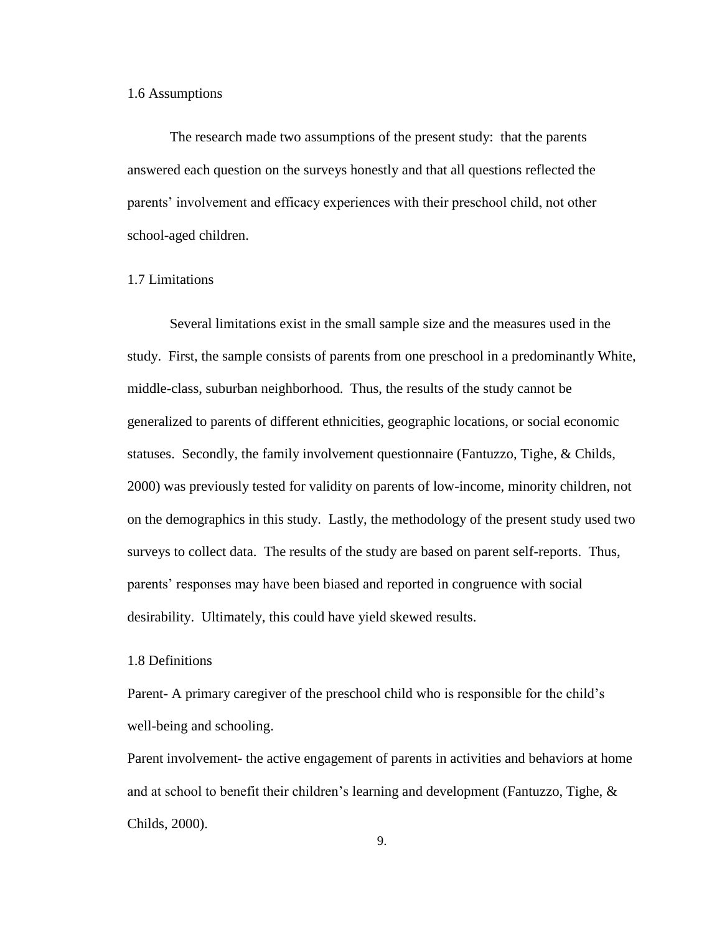#### 1.6 Assumptions

The research made two assumptions of the present study: that the parents answered each question on the surveys honestly and that all questions reflected the parents" involvement and efficacy experiences with their preschool child, not other school-aged children.

#### 1.7 Limitations

Several limitations exist in the small sample size and the measures used in the study. First, the sample consists of parents from one preschool in a predominantly White, middle-class, suburban neighborhood. Thus, the results of the study cannot be generalized to parents of different ethnicities, geographic locations, or social economic statuses. Secondly, the family involvement questionnaire (Fantuzzo, Tighe, & Childs, 2000) was previously tested for validity on parents of low-income, minority children, not on the demographics in this study. Lastly, the methodology of the present study used two surveys to collect data. The results of the study are based on parent self-reports. Thus, parents" responses may have been biased and reported in congruence with social desirability. Ultimately, this could have yield skewed results.

### 1.8 Definitions

Parent- A primary caregiver of the preschool child who is responsible for the child"s well-being and schooling.

Parent involvement- the active engagement of parents in activities and behaviors at home and at school to benefit their children"s learning and development (Fantuzzo, Tighe, & Childs, 2000).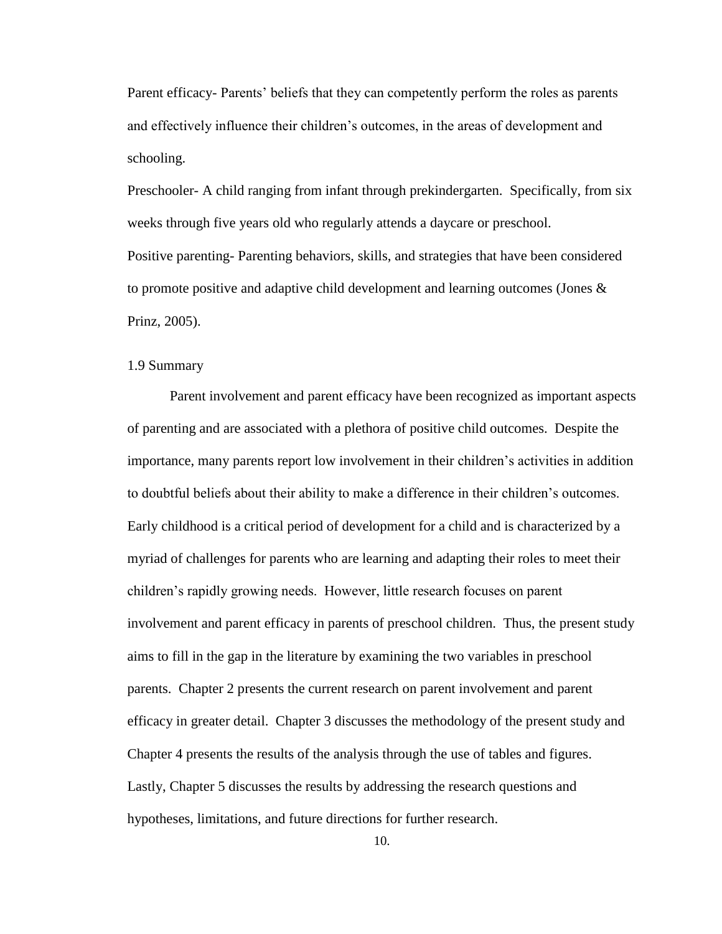Parent efficacy- Parents" beliefs that they can competently perform the roles as parents and effectively influence their children"s outcomes, in the areas of development and schooling.

Preschooler- A child ranging from infant through prekindergarten. Specifically, from six weeks through five years old who regularly attends a daycare or preschool. Positive parenting- Parenting behaviors, skills, and strategies that have been considered to promote positive and adaptive child development and learning outcomes (Jones & Prinz, 2005).

#### 1.9 Summary

Parent involvement and parent efficacy have been recognized as important aspects of parenting and are associated with a plethora of positive child outcomes. Despite the importance, many parents report low involvement in their children"s activities in addition to doubtful beliefs about their ability to make a difference in their children"s outcomes. Early childhood is a critical period of development for a child and is characterized by a myriad of challenges for parents who are learning and adapting their roles to meet their children"s rapidly growing needs. However, little research focuses on parent involvement and parent efficacy in parents of preschool children. Thus, the present study aims to fill in the gap in the literature by examining the two variables in preschool parents. Chapter 2 presents the current research on parent involvement and parent efficacy in greater detail. Chapter 3 discusses the methodology of the present study and Chapter 4 presents the results of the analysis through the use of tables and figures. Lastly, Chapter 5 discusses the results by addressing the research questions and hypotheses, limitations, and future directions for further research.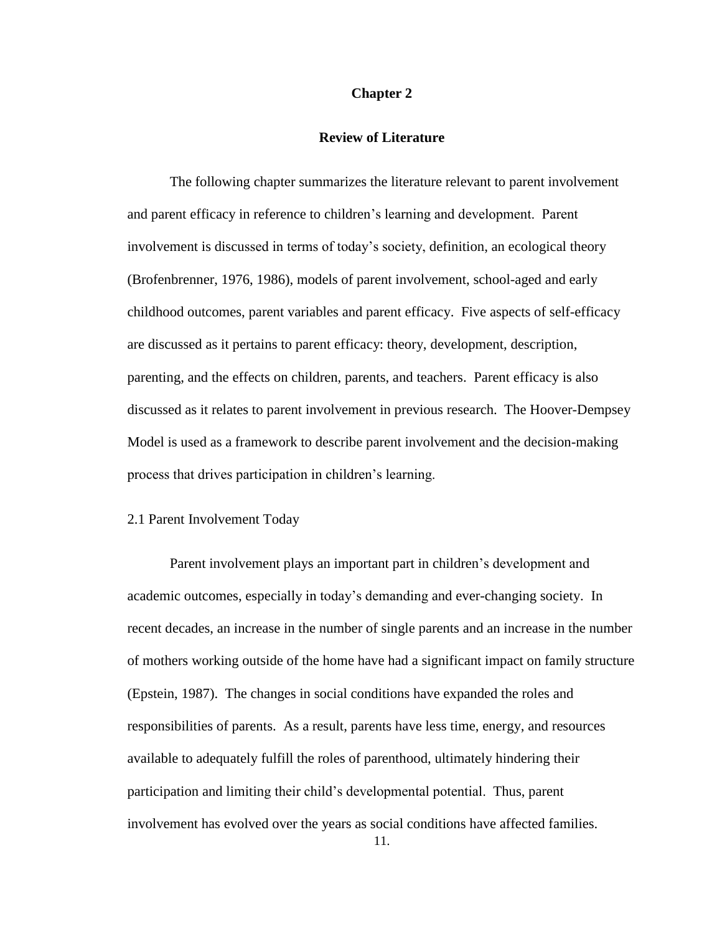#### **Chapter 2**

### **Review of Literature**

The following chapter summarizes the literature relevant to parent involvement and parent efficacy in reference to children"s learning and development. Parent involvement is discussed in terms of today"s society, definition, an ecological theory (Brofenbrenner, 1976, 1986), models of parent involvement, school-aged and early childhood outcomes, parent variables and parent efficacy. Five aspects of self-efficacy are discussed as it pertains to parent efficacy: theory, development, description, parenting, and the effects on children, parents, and teachers. Parent efficacy is also discussed as it relates to parent involvement in previous research. The Hoover-Dempsey Model is used as a framework to describe parent involvement and the decision-making process that drives participation in children"s learning.

#### 2.1 Parent Involvement Today

Parent involvement plays an important part in children"s development and academic outcomes, especially in today"s demanding and ever-changing society. In recent decades, an increase in the number of single parents and an increase in the number of mothers working outside of the home have had a significant impact on family structure (Epstein, 1987). The changes in social conditions have expanded the roles and responsibilities of parents. As a result, parents have less time, energy, and resources available to adequately fulfill the roles of parenthood, ultimately hindering their participation and limiting their child"s developmental potential. Thus, parent involvement has evolved over the years as social conditions have affected families.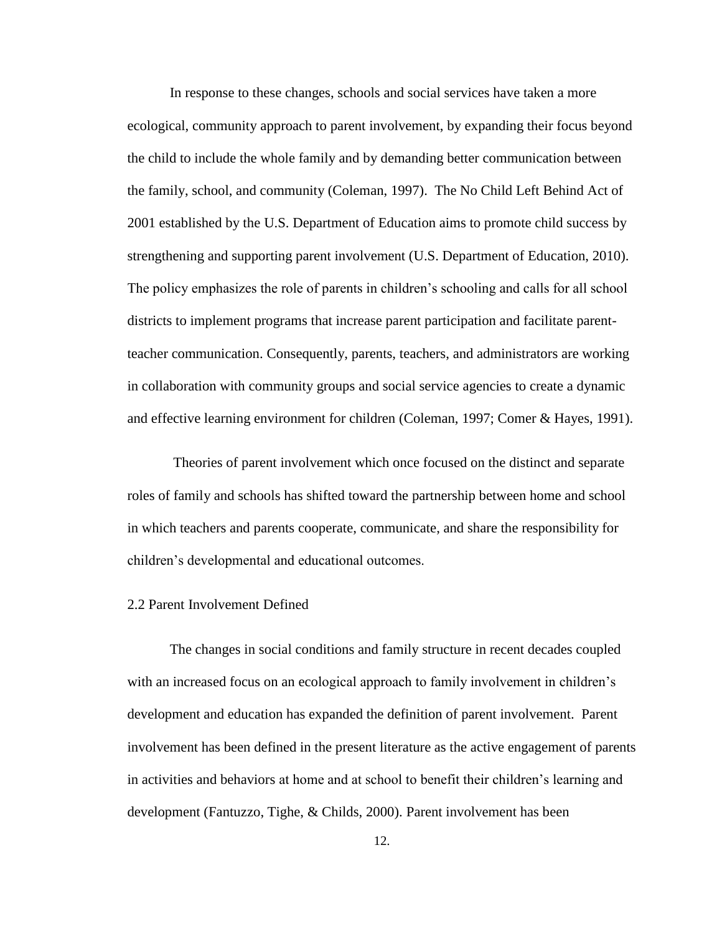In response to these changes, schools and social services have taken a more ecological, community approach to parent involvement, by expanding their focus beyond the child to include the whole family and by demanding better communication between the family, school, and community (Coleman, 1997). The No Child Left Behind Act of 2001 established by the U.S. Department of Education aims to promote child success by strengthening and supporting parent involvement (U.S. Department of Education, 2010). The policy emphasizes the role of parents in children's schooling and calls for all school districts to implement programs that increase parent participation and facilitate parentteacher communication. Consequently, parents, teachers, and administrators are working in collaboration with community groups and social service agencies to create a dynamic and effective learning environment for children (Coleman, 1997; Comer & Hayes, 1991).

Theories of parent involvement which once focused on the distinct and separate roles of family and schools has shifted toward the partnership between home and school in which teachers and parents cooperate, communicate, and share the responsibility for children"s developmental and educational outcomes.

### 2.2 Parent Involvement Defined

The changes in social conditions and family structure in recent decades coupled with an increased focus on an ecological approach to family involvement in children's development and education has expanded the definition of parent involvement. Parent involvement has been defined in the present literature as the active engagement of parents in activities and behaviors at home and at school to benefit their children"s learning and development (Fantuzzo, Tighe, & Childs, 2000). Parent involvement has been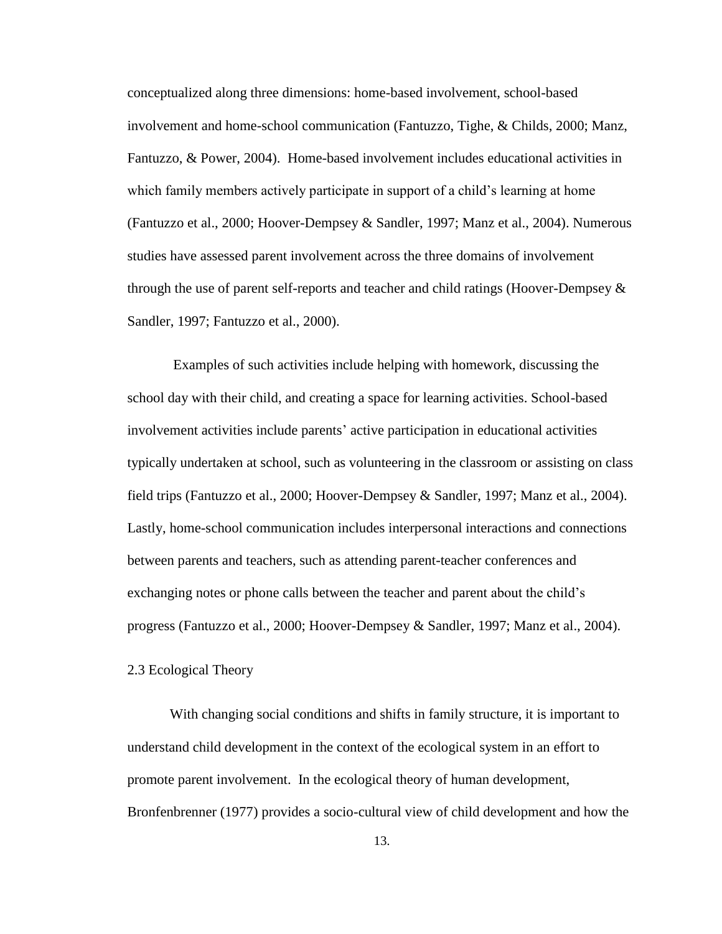conceptualized along three dimensions: home-based involvement, school-based involvement and home-school communication (Fantuzzo, Tighe, & Childs, 2000; Manz, Fantuzzo, & Power, 2004). Home-based involvement includes educational activities in which family members actively participate in support of a child's learning at home (Fantuzzo et al., 2000; Hoover-Dempsey & Sandler, 1997; Manz et al., 2004). Numerous studies have assessed parent involvement across the three domains of involvement through the use of parent self-reports and teacher and child ratings (Hoover-Dempsey & Sandler, 1997; Fantuzzo et al., 2000).

Examples of such activities include helping with homework, discussing the school day with their child, and creating a space for learning activities. School-based involvement activities include parents" active participation in educational activities typically undertaken at school, such as volunteering in the classroom or assisting on class field trips (Fantuzzo et al., 2000; Hoover-Dempsey & Sandler, 1997; Manz et al., 2004). Lastly, home-school communication includes interpersonal interactions and connections between parents and teachers, such as attending parent-teacher conferences and exchanging notes or phone calls between the teacher and parent about the child"s progress (Fantuzzo et al., 2000; Hoover-Dempsey & Sandler, 1997; Manz et al., 2004).

### 2.3 Ecological Theory

With changing social conditions and shifts in family structure, it is important to understand child development in the context of the ecological system in an effort to promote parent involvement. In the ecological theory of human development, Bronfenbrenner (1977) provides a socio-cultural view of child development and how the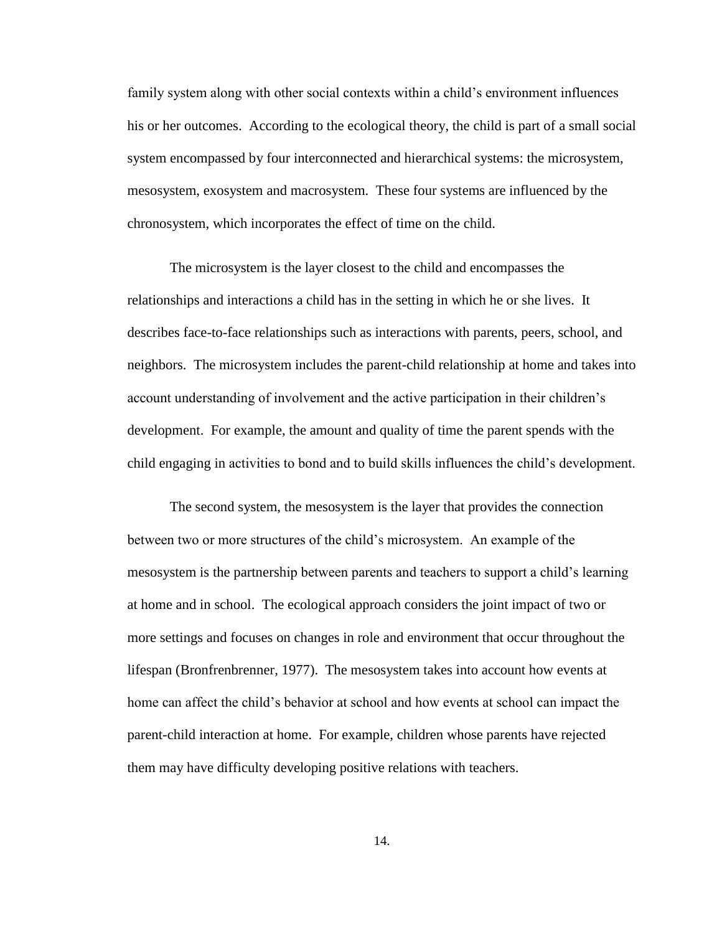family system along with other social contexts within a child"s environment influences his or her outcomes. According to the ecological theory, the child is part of a small social system encompassed by four interconnected and hierarchical systems: the microsystem, mesosystem, exosystem and macrosystem. These four systems are influenced by the chronosystem, which incorporates the effect of time on the child.

The microsystem is the layer closest to the child and encompasses the relationships and interactions a child has in the setting in which he or she lives. It describes face-to-face relationships such as interactions with parents, peers, school, and neighbors. The microsystem includes the parent-child relationship at home and takes into account understanding of involvement and the active participation in their children"s development. For example, the amount and quality of time the parent spends with the child engaging in activities to bond and to build skills influences the child"s development.

The second system, the mesosystem is the layer that provides the connection between two or more structures of the child"s microsystem. An example of the mesosystem is the partnership between parents and teachers to support a child"s learning at home and in school. The ecological approach considers the joint impact of two or more settings and focuses on changes in role and environment that occur throughout the lifespan (Bronfrenbrenner, 1977). The mesosystem takes into account how events at home can affect the child"s behavior at school and how events at school can impact the parent-child interaction at home. For example, children whose parents have rejected them may have difficulty developing positive relations with teachers.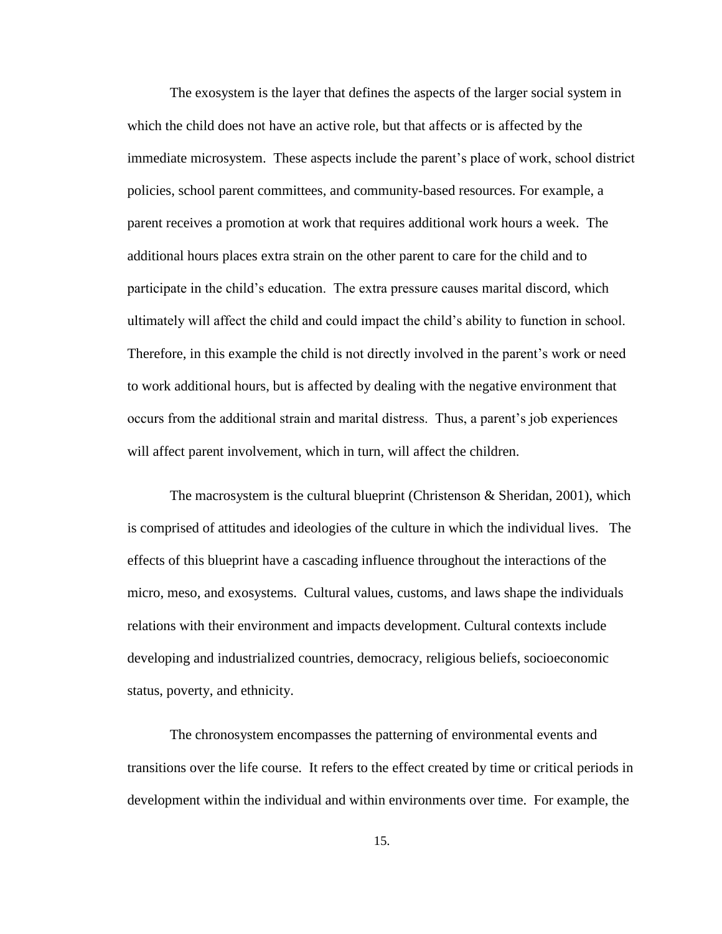The exosystem is the layer that defines the aspects of the larger social system in which the child does not have an active role, but that affects or is affected by the immediate microsystem. These aspects include the parent"s place of work, school district policies, school parent committees, and community-based resources. For example, a parent receives a promotion at work that requires additional work hours a week. The additional hours places extra strain on the other parent to care for the child and to participate in the child"s education. The extra pressure causes marital discord, which ultimately will affect the child and could impact the child"s ability to function in school. Therefore, in this example the child is not directly involved in the parent"s work or need to work additional hours, but is affected by dealing with the negative environment that occurs from the additional strain and marital distress. Thus, a parent"s job experiences will affect parent involvement, which in turn, will affect the children.

The macrosystem is the cultural blueprint (Christenson  $\&$  Sheridan, 2001), which is comprised of attitudes and ideologies of the culture in which the individual lives. The effects of this blueprint have a cascading influence throughout the interactions of the micro, meso, and exosystems. Cultural values, customs, and laws shape the individuals relations with their environment and impacts development. Cultural contexts include developing and industrialized countries, democracy, religious beliefs, socioeconomic status, poverty, and ethnicity.

The chronosystem encompasses the patterning of environmental events and transitions over the life course. It refers to the effect created by time or critical periods in development within the individual and within environments over time. For example, the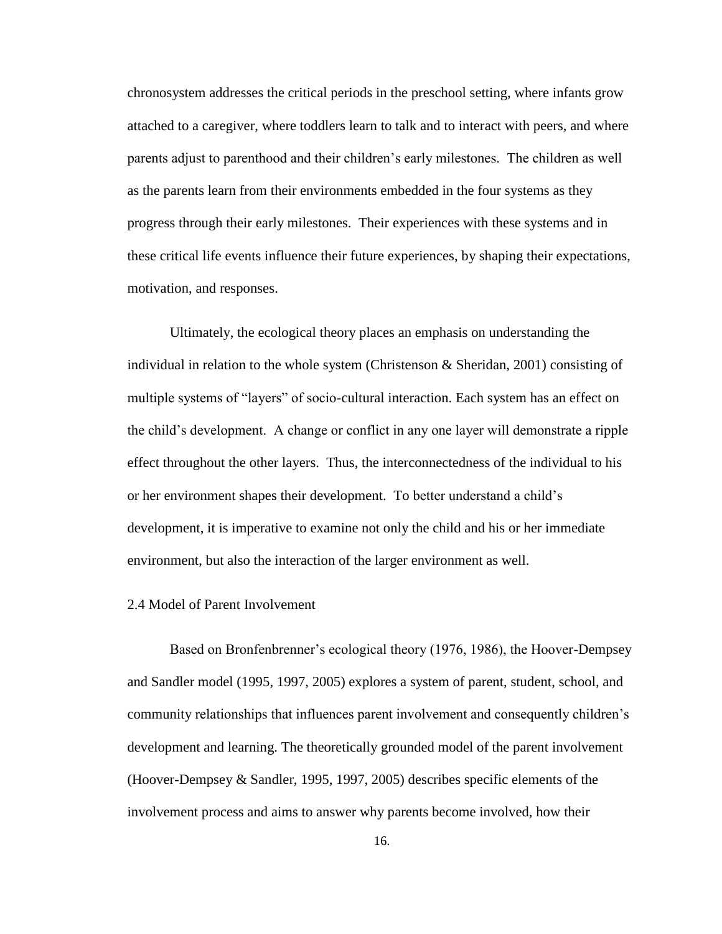chronosystem addresses the critical periods in the preschool setting, where infants grow attached to a caregiver, where toddlers learn to talk and to interact with peers, and where parents adjust to parenthood and their children"s early milestones. The children as well as the parents learn from their environments embedded in the four systems as they progress through their early milestones. Their experiences with these systems and in these critical life events influence their future experiences, by shaping their expectations, motivation, and responses.

Ultimately, the ecological theory places an emphasis on understanding the individual in relation to the whole system (Christenson & Sheridan, 2001) consisting of multiple systems of "layers" of socio-cultural interaction. Each system has an effect on the child"s development. A change or conflict in any one layer will demonstrate a ripple effect throughout the other layers. Thus, the interconnectedness of the individual to his or her environment shapes their development. To better understand a child"s development, it is imperative to examine not only the child and his or her immediate environment, but also the interaction of the larger environment as well.

### 2.4 Model of Parent Involvement

Based on Bronfenbrenner's ecological theory (1976, 1986), the Hoover-Dempsey and Sandler model (1995, 1997, 2005) explores a system of parent, student, school, and community relationships that influences parent involvement and consequently children"s development and learning. The theoretically grounded model of the parent involvement (Hoover-Dempsey & Sandler, 1995, 1997, 2005) describes specific elements of the involvement process and aims to answer why parents become involved, how their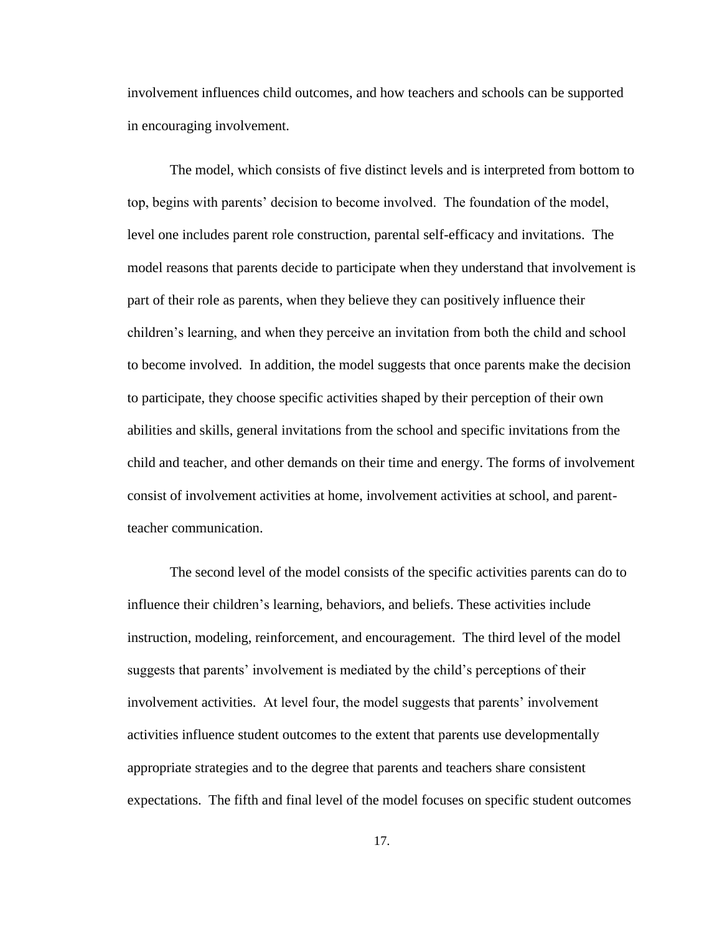involvement influences child outcomes, and how teachers and schools can be supported in encouraging involvement.

The model, which consists of five distinct levels and is interpreted from bottom to top, begins with parents" decision to become involved. The foundation of the model, level one includes parent role construction, parental self-efficacy and invitations. The model reasons that parents decide to participate when they understand that involvement is part of their role as parents, when they believe they can positively influence their children"s learning, and when they perceive an invitation from both the child and school to become involved. In addition, the model suggests that once parents make the decision to participate, they choose specific activities shaped by their perception of their own abilities and skills, general invitations from the school and specific invitations from the child and teacher, and other demands on their time and energy. The forms of involvement consist of involvement activities at home, involvement activities at school, and parentteacher communication.

The second level of the model consists of the specific activities parents can do to influence their children"s learning, behaviors, and beliefs. These activities include instruction, modeling, reinforcement, and encouragement. The third level of the model suggests that parents" involvement is mediated by the child"s perceptions of their involvement activities. At level four, the model suggests that parents' involvement activities influence student outcomes to the extent that parents use developmentally appropriate strategies and to the degree that parents and teachers share consistent expectations. The fifth and final level of the model focuses on specific student outcomes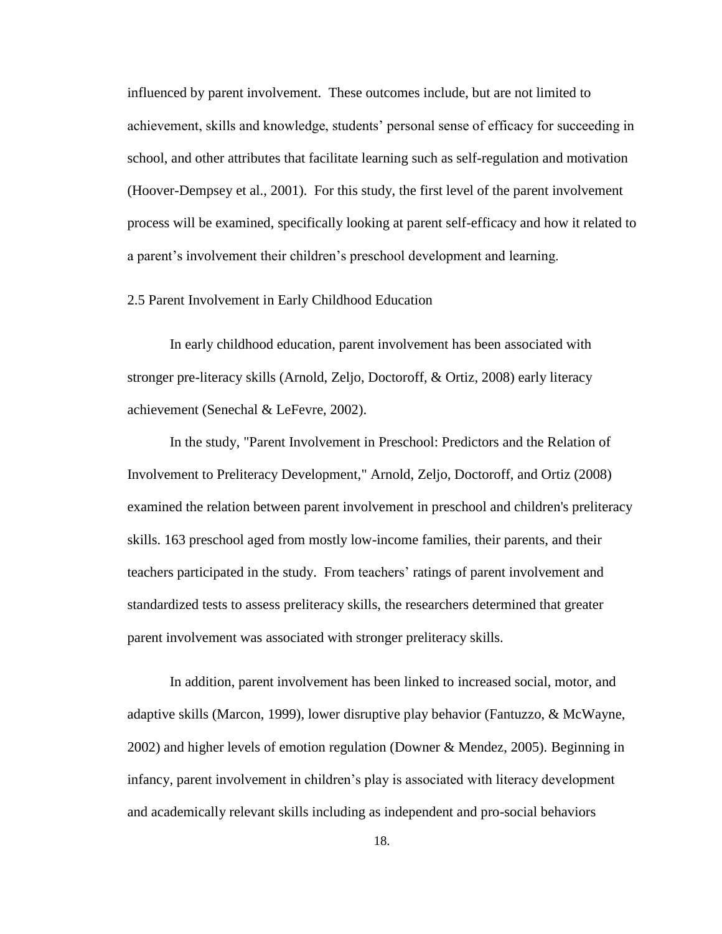influenced by parent involvement. These outcomes include, but are not limited to achievement, skills and knowledge, students" personal sense of efficacy for succeeding in school, and other attributes that facilitate learning such as self-regulation and motivation (Hoover-Dempsey et al., 2001). For this study, the first level of the parent involvement process will be examined, specifically looking at parent self-efficacy and how it related to a parent's involvement their children's preschool development and learning.

#### 2.5 Parent Involvement in Early Childhood Education

 In early childhood education, parent involvement has been associated with stronger pre-literacy skills (Arnold, Zeljo, Doctoroff, & Ortiz, 2008) early literacy achievement (Senechal & LeFevre, 2002).

In the study, "Parent Involvement in Preschool: Predictors and the Relation of Involvement to Preliteracy Development," Arnold, Zeljo, Doctoroff, and Ortiz (2008) examined the relation between parent involvement in preschool and children's preliteracy skills. 163 preschool aged from mostly low-income families, their parents, and their teachers participated in the study. From teachers' ratings of parent involvement and standardized tests to assess preliteracy skills, the researchers determined that greater parent involvement was associated with stronger preliteracy skills.

In addition, parent involvement has been linked to increased social, motor, and adaptive skills (Marcon, 1999), lower disruptive play behavior (Fantuzzo, & McWayne, 2002) and higher levels of emotion regulation (Downer & Mendez, 2005). Beginning in infancy, parent involvement in children"s play is associated with literacy development and academically relevant skills including as independent and pro-social behaviors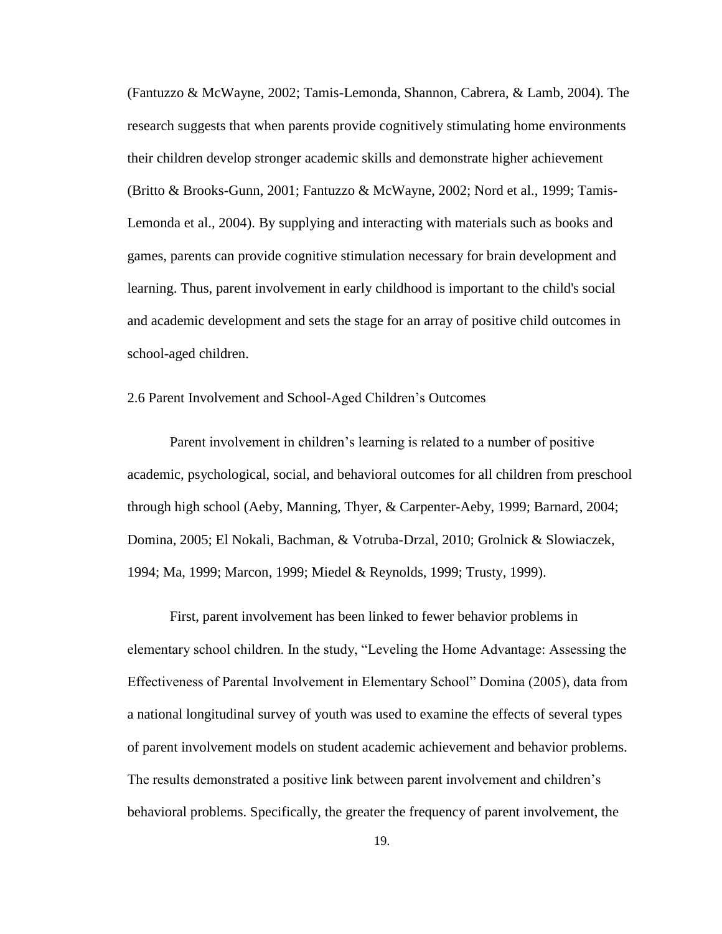(Fantuzzo & McWayne, 2002; Tamis-Lemonda, Shannon, Cabrera, & Lamb, 2004). The research suggests that when parents provide cognitively stimulating home environments their children develop stronger academic skills and demonstrate higher achievement (Britto & Brooks-Gunn, 2001; Fantuzzo & McWayne, 2002; Nord et al., 1999; Tamis-Lemonda et al., 2004). By supplying and interacting with materials such as books and games, parents can provide cognitive stimulation necessary for brain development and learning. Thus, parent involvement in early childhood is important to the child's social and academic development and sets the stage for an array of positive child outcomes in school-aged children.

#### 2.6 Parent Involvement and School-Aged Children"s Outcomes

Parent involvement in children"s learning is related to a number of positive academic, psychological, social, and behavioral outcomes for all children from preschool through high school (Aeby, Manning, Thyer, & Carpenter-Aeby, 1999; Barnard, 2004; Domina, 2005; El Nokali, Bachman, & Votruba-Drzal, 2010; Grolnick & Slowiaczek, 1994; Ma, 1999; Marcon, 1999; Miedel & Reynolds, 1999; Trusty, 1999).

First, parent involvement has been linked to fewer behavior problems in elementary school children. In the study, "Leveling the Home Advantage: Assessing the Effectiveness of Parental Involvement in Elementary School" Domina (2005), data from a national longitudinal survey of youth was used to examine the effects of several types of parent involvement models on student academic achievement and behavior problems. The results demonstrated a positive link between parent involvement and children"s behavioral problems. Specifically, the greater the frequency of parent involvement, the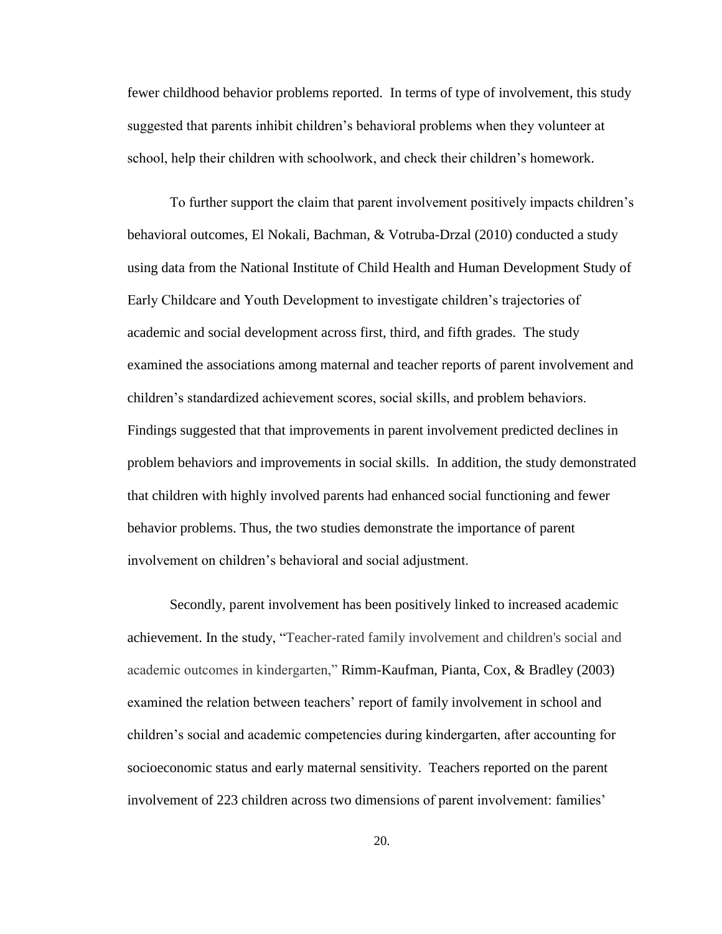fewer childhood behavior problems reported. In terms of type of involvement, this study suggested that parents inhibit children"s behavioral problems when they volunteer at school, help their children with schoolwork, and check their children"s homework.

To further support the claim that parent involvement positively impacts children"s behavioral outcomes, El Nokali, Bachman, & Votruba-Drzal (2010) conducted a study using data from the National Institute of Child Health and Human Development Study of Early Childcare and Youth Development to investigate children"s trajectories of academic and social development across first, third, and fifth grades. The study examined the associations among maternal and teacher reports of parent involvement and children"s standardized achievement scores, social skills, and problem behaviors. Findings suggested that that improvements in parent involvement predicted declines in problem behaviors and improvements in social skills. In addition, the study demonstrated that children with highly involved parents had enhanced social functioning and fewer behavior problems. Thus, the two studies demonstrate the importance of parent involvement on children"s behavioral and social adjustment.

Secondly, parent involvement has been positively linked to increased academic achievement. In the study, "Teacher-rated family involvement and children's social and academic outcomes in kindergarten," Rimm-Kaufman, Pianta, Cox, & Bradley (2003) examined the relation between teachers' report of family involvement in school and children"s social and academic competencies during kindergarten, after accounting for socioeconomic status and early maternal sensitivity. Teachers reported on the parent involvement of 223 children across two dimensions of parent involvement: families"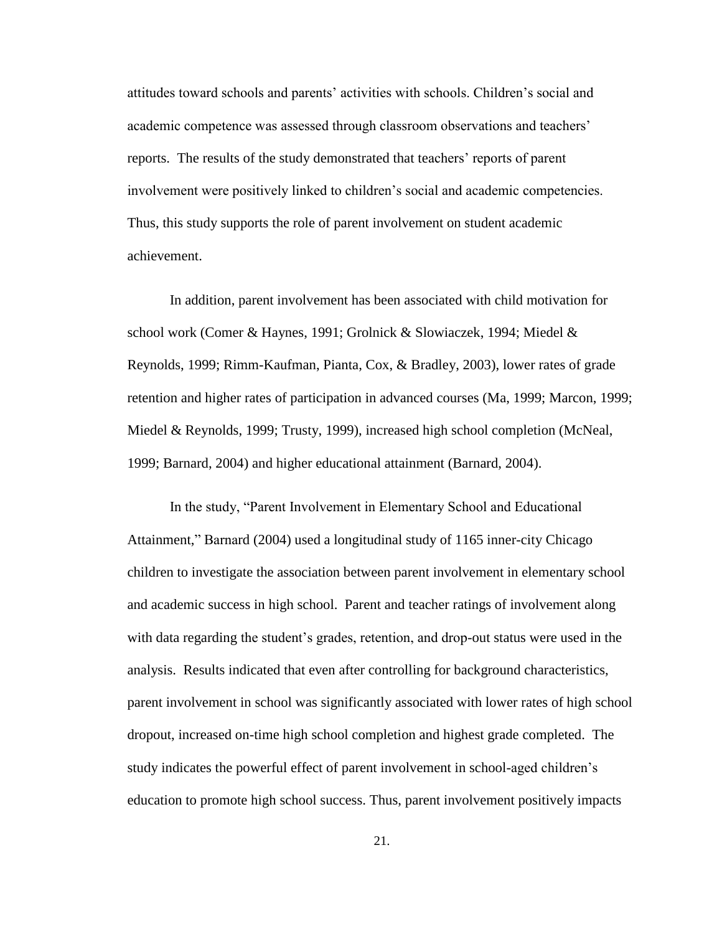attitudes toward schools and parents" activities with schools. Children"s social and academic competence was assessed through classroom observations and teachers" reports. The results of the study demonstrated that teachers' reports of parent involvement were positively linked to children"s social and academic competencies. Thus, this study supports the role of parent involvement on student academic achievement.

In addition, parent involvement has been associated with child motivation for school work (Comer & Haynes, 1991; Grolnick & Slowiaczek, 1994; Miedel & Reynolds, 1999; Rimm-Kaufman, Pianta, Cox, & Bradley, 2003), lower rates of grade retention and higher rates of participation in advanced courses (Ma, 1999; Marcon, 1999; Miedel & Reynolds, 1999; Trusty, 1999), increased high school completion (McNeal, 1999; Barnard, 2004) and higher educational attainment (Barnard, 2004).

In the study, "Parent Involvement in Elementary School and Educational Attainment," Barnard (2004) used a longitudinal study of 1165 inner-city Chicago children to investigate the association between parent involvement in elementary school and academic success in high school. Parent and teacher ratings of involvement along with data regarding the student"s grades, retention, and drop-out status were used in the analysis. Results indicated that even after controlling for background characteristics, parent involvement in school was significantly associated with lower rates of high school dropout, increased on-time high school completion and highest grade completed. The study indicates the powerful effect of parent involvement in school-aged children"s education to promote high school success. Thus, parent involvement positively impacts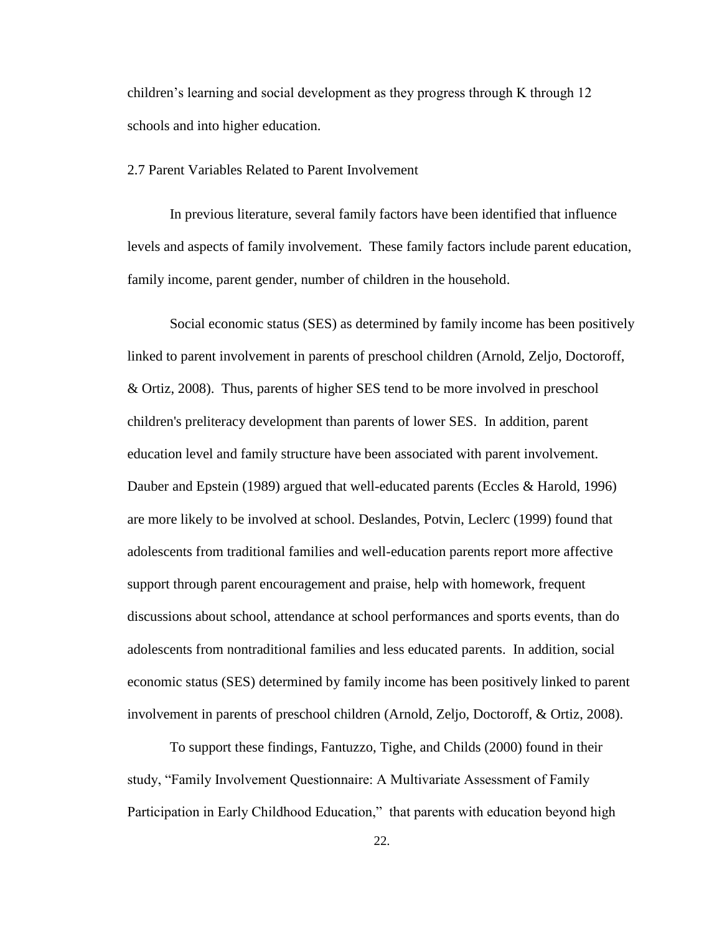children's learning and social development as they progress through K through 12 schools and into higher education.

#### 2.7 Parent Variables Related to Parent Involvement

In previous literature, several family factors have been identified that influence levels and aspects of family involvement. These family factors include parent education, family income, parent gender, number of children in the household.

Social economic status (SES) as determined by family income has been positively linked to parent involvement in parents of preschool children (Arnold, Zeljo, Doctoroff, & Ortiz, 2008). Thus, parents of higher SES tend to be more involved in preschool children's preliteracy development than parents of lower SES. In addition, parent education level and family structure have been associated with parent involvement. Dauber and Epstein (1989) argued that well-educated parents (Eccles & Harold, 1996) are more likely to be involved at school. Deslandes, Potvin, Leclerc (1999) found that adolescents from traditional families and well-education parents report more affective support through parent encouragement and praise, help with homework, frequent discussions about school, attendance at school performances and sports events, than do adolescents from nontraditional families and less educated parents. In addition, social economic status (SES) determined by family income has been positively linked to parent involvement in parents of preschool children (Arnold, Zeljo, Doctoroff, & Ortiz, 2008).

To support these findings, Fantuzzo, Tighe, and Childs (2000) found in their study, "Family Involvement Questionnaire: A Multivariate Assessment of Family Participation in Early Childhood Education," that parents with education beyond high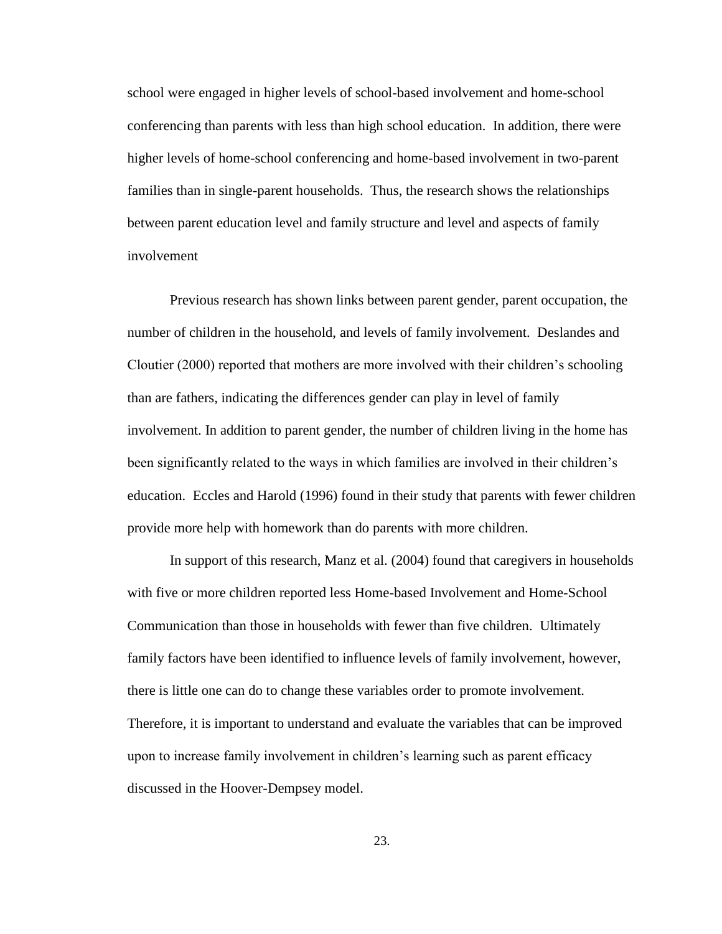school were engaged in higher levels of school-based involvement and home-school conferencing than parents with less than high school education. In addition, there were higher levels of home-school conferencing and home-based involvement in two-parent families than in single-parent households. Thus, the research shows the relationships between parent education level and family structure and level and aspects of family involvement

Previous research has shown links between parent gender, parent occupation, the number of children in the household, and levels of family involvement. Deslandes and Cloutier (2000) reported that mothers are more involved with their children"s schooling than are fathers, indicating the differences gender can play in level of family involvement. In addition to parent gender, the number of children living in the home has been significantly related to the ways in which families are involved in their children"s education. Eccles and Harold (1996) found in their study that parents with fewer children provide more help with homework than do parents with more children.

In support of this research, Manz et al. (2004) found that caregivers in households with five or more children reported less Home-based Involvement and Home-School Communication than those in households with fewer than five children. Ultimately family factors have been identified to influence levels of family involvement, however, there is little one can do to change these variables order to promote involvement. Therefore, it is important to understand and evaluate the variables that can be improved upon to increase family involvement in children"s learning such as parent efficacy discussed in the Hoover-Dempsey model.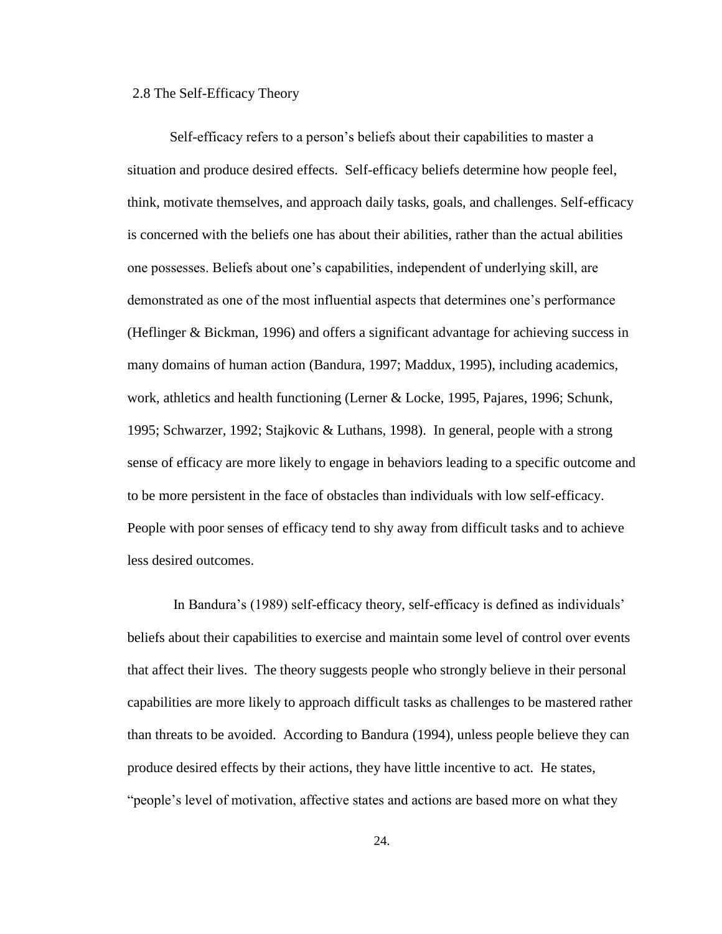#### 2.8 The Self-Efficacy Theory

Self-efficacy refers to a person's beliefs about their capabilities to master a situation and produce desired effects. Self-efficacy beliefs determine how people feel, think, motivate themselves, and approach daily tasks, goals, and challenges. Self-efficacy is concerned with the beliefs one has about their abilities, rather than the actual abilities one possesses. Beliefs about one"s capabilities, independent of underlying skill, are demonstrated as one of the most influential aspects that determines one"s performance (Heflinger & Bickman, 1996) and offers a significant advantage for achieving success in many domains of human action (Bandura, 1997; Maddux, 1995), including academics, work, athletics and health functioning (Lerner & Locke, 1995, Pajares, 1996; Schunk, 1995; Schwarzer, 1992; Stajkovic & Luthans, 1998). In general, people with a strong sense of efficacy are more likely to engage in behaviors leading to a specific outcome and to be more persistent in the face of obstacles than individuals with low self-efficacy. People with poor senses of efficacy tend to shy away from difficult tasks and to achieve less desired outcomes.

In Bandura"s (1989) self-efficacy theory, self-efficacy is defined as individuals" beliefs about their capabilities to exercise and maintain some level of control over events that affect their lives. The theory suggests people who strongly believe in their personal capabilities are more likely to approach difficult tasks as challenges to be mastered rather than threats to be avoided. According to Bandura (1994), unless people believe they can produce desired effects by their actions, they have little incentive to act. He states, "people"s level of motivation, affective states and actions are based more on what they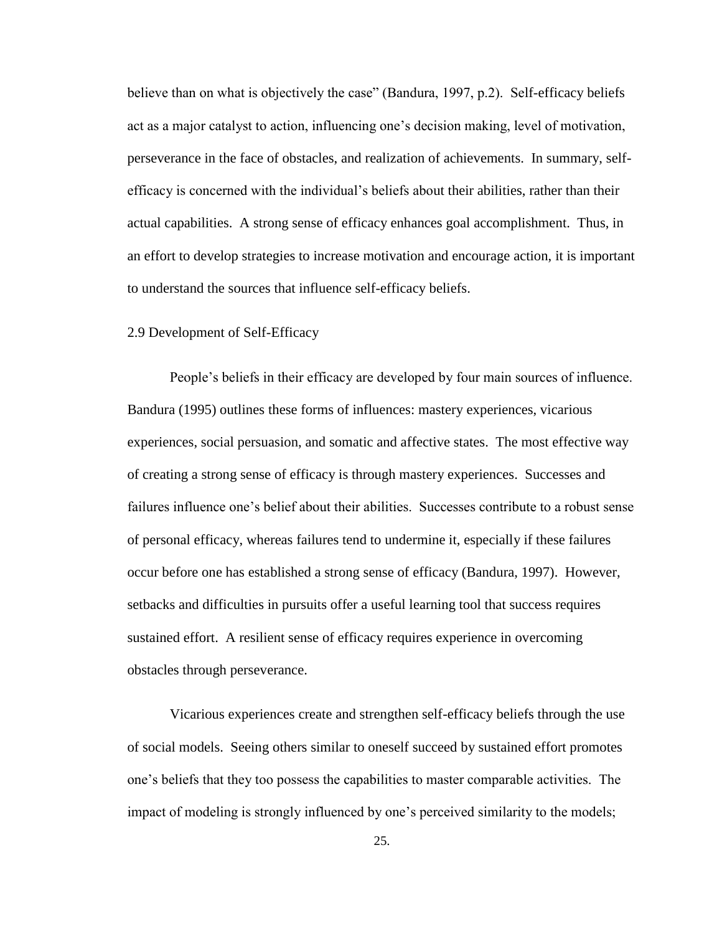believe than on what is objectively the case" (Bandura, 1997, p.2). Self-efficacy beliefs act as a major catalyst to action, influencing one's decision making, level of motivation, perseverance in the face of obstacles, and realization of achievements. In summary, selfefficacy is concerned with the individual"s beliefs about their abilities, rather than their actual capabilities. A strong sense of efficacy enhances goal accomplishment. Thus, in an effort to develop strategies to increase motivation and encourage action, it is important to understand the sources that influence self-efficacy beliefs.

#### 2.9 Development of Self-Efficacy

People"s beliefs in their efficacy are developed by four main sources of influence. Bandura (1995) outlines these forms of influences: mastery experiences, vicarious experiences, social persuasion, and somatic and affective states. The most effective way of creating a strong sense of efficacy is through mastery experiences. Successes and failures influence one"s belief about their abilities. Successes contribute to a robust sense of personal efficacy, whereas failures tend to undermine it, especially if these failures occur before one has established a strong sense of efficacy (Bandura, 1997). However, setbacks and difficulties in pursuits offer a useful learning tool that success requires sustained effort. A resilient sense of efficacy requires experience in overcoming obstacles through perseverance.

Vicarious experiences create and strengthen self-efficacy beliefs through the use of social models. Seeing others similar to oneself succeed by sustained effort promotes one"s beliefs that they too possess the capabilities to master comparable activities. The impact of modeling is strongly influenced by one"s perceived similarity to the models;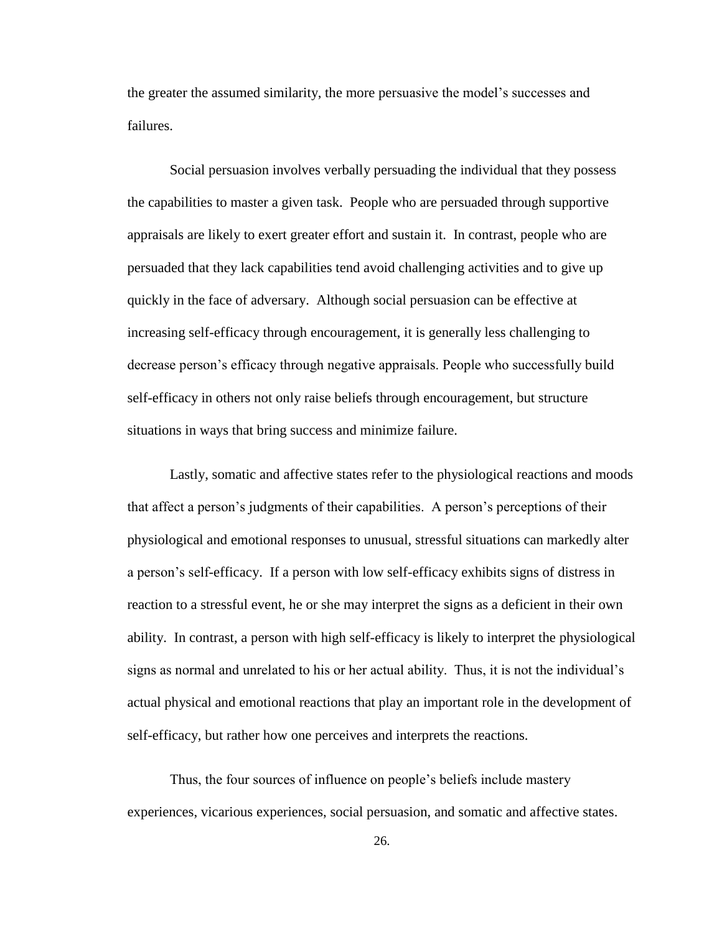the greater the assumed similarity, the more persuasive the model"s successes and failures.

Social persuasion involves verbally persuading the individual that they possess the capabilities to master a given task. People who are persuaded through supportive appraisals are likely to exert greater effort and sustain it. In contrast, people who are persuaded that they lack capabilities tend avoid challenging activities and to give up quickly in the face of adversary. Although social persuasion can be effective at increasing self-efficacy through encouragement, it is generally less challenging to decrease person"s efficacy through negative appraisals. People who successfully build self-efficacy in others not only raise beliefs through encouragement, but structure situations in ways that bring success and minimize failure.

Lastly, somatic and affective states refer to the physiological reactions and moods that affect a person"s judgments of their capabilities. A person"s perceptions of their physiological and emotional responses to unusual, stressful situations can markedly alter a person"s self-efficacy. If a person with low self-efficacy exhibits signs of distress in reaction to a stressful event, he or she may interpret the signs as a deficient in their own ability. In contrast, a person with high self-efficacy is likely to interpret the physiological signs as normal and unrelated to his or her actual ability. Thus, it is not the individual"s actual physical and emotional reactions that play an important role in the development of self-efficacy, but rather how one perceives and interprets the reactions.

Thus, the four sources of influence on people"s beliefs include mastery experiences, vicarious experiences, social persuasion, and somatic and affective states.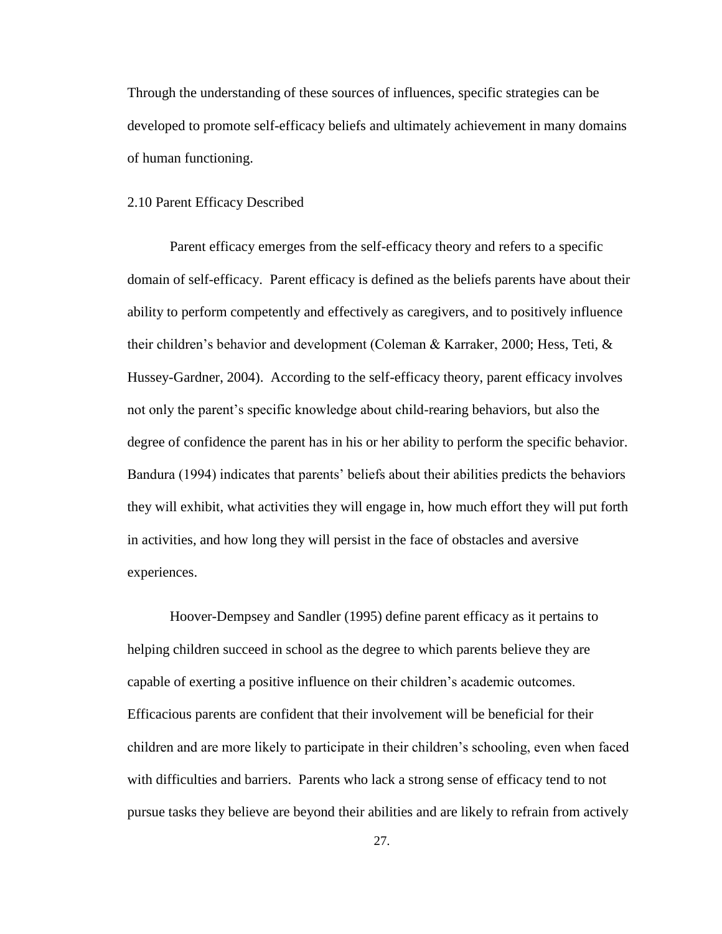Through the understanding of these sources of influences, specific strategies can be developed to promote self-efficacy beliefs and ultimately achievement in many domains of human functioning.

### 2.10 Parent Efficacy Described

Parent efficacy emerges from the self-efficacy theory and refers to a specific domain of self-efficacy. Parent efficacy is defined as the beliefs parents have about their ability to perform competently and effectively as caregivers, and to positively influence their children"s behavior and development (Coleman & Karraker, 2000; Hess, Teti, & Hussey-Gardner, 2004). According to the self-efficacy theory, parent efficacy involves not only the parent's specific knowledge about child-rearing behaviors, but also the degree of confidence the parent has in his or her ability to perform the specific behavior. Bandura (1994) indicates that parents" beliefs about their abilities predicts the behaviors they will exhibit, what activities they will engage in, how much effort they will put forth in activities, and how long they will persist in the face of obstacles and aversive experiences.

Hoover-Dempsey and Sandler (1995) define parent efficacy as it pertains to helping children succeed in school as the degree to which parents believe they are capable of exerting a positive influence on their children"s academic outcomes. Efficacious parents are confident that their involvement will be beneficial for their children and are more likely to participate in their children"s schooling, even when faced with difficulties and barriers. Parents who lack a strong sense of efficacy tend to not pursue tasks they believe are beyond their abilities and are likely to refrain from actively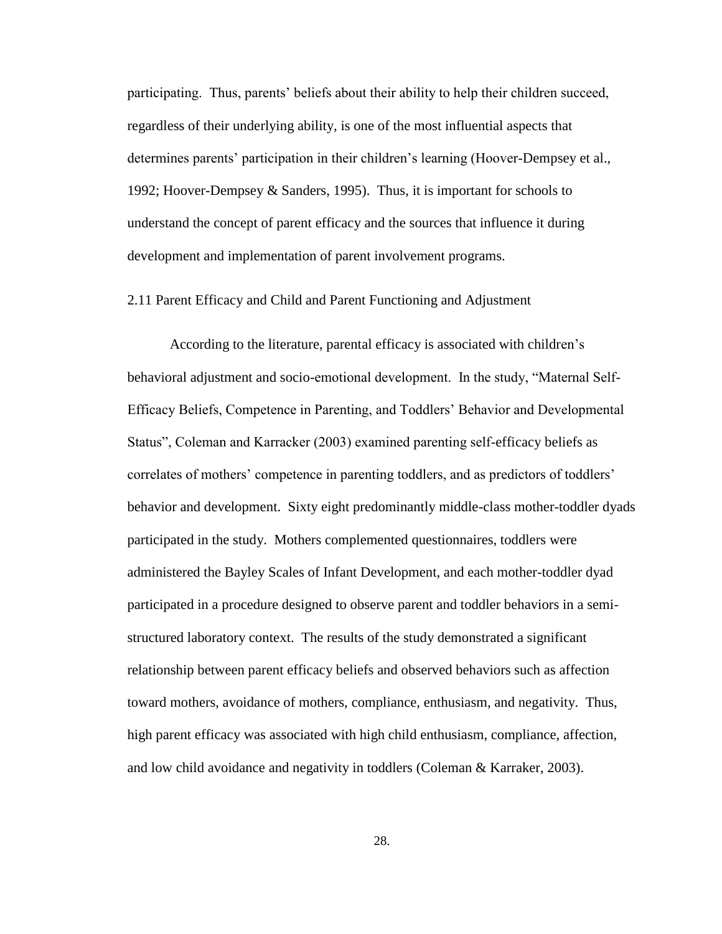participating. Thus, parents" beliefs about their ability to help their children succeed, regardless of their underlying ability, is one of the most influential aspects that determines parents' participation in their children's learning (Hoover-Dempsey et al., 1992; Hoover-Dempsey & Sanders, 1995). Thus, it is important for schools to understand the concept of parent efficacy and the sources that influence it during development and implementation of parent involvement programs.

## 2.11 Parent Efficacy and Child and Parent Functioning and Adjustment

According to the literature, parental efficacy is associated with children"s behavioral adjustment and socio-emotional development. In the study, "Maternal Self-Efficacy Beliefs, Competence in Parenting, and Toddlers" Behavior and Developmental Status", Coleman and Karracker (2003) examined parenting self-efficacy beliefs as correlates of mothers" competence in parenting toddlers, and as predictors of toddlers" behavior and development. Sixty eight predominantly middle-class mother-toddler dyads participated in the study. Mothers complemented questionnaires, toddlers were administered the Bayley Scales of Infant Development, and each mother-toddler dyad participated in a procedure designed to observe parent and toddler behaviors in a semistructured laboratory context. The results of the study demonstrated a significant relationship between parent efficacy beliefs and observed behaviors such as affection toward mothers, avoidance of mothers, compliance, enthusiasm, and negativity. Thus, high parent efficacy was associated with high child enthusiasm, compliance, affection, and low child avoidance and negativity in toddlers (Coleman & Karraker, 2003).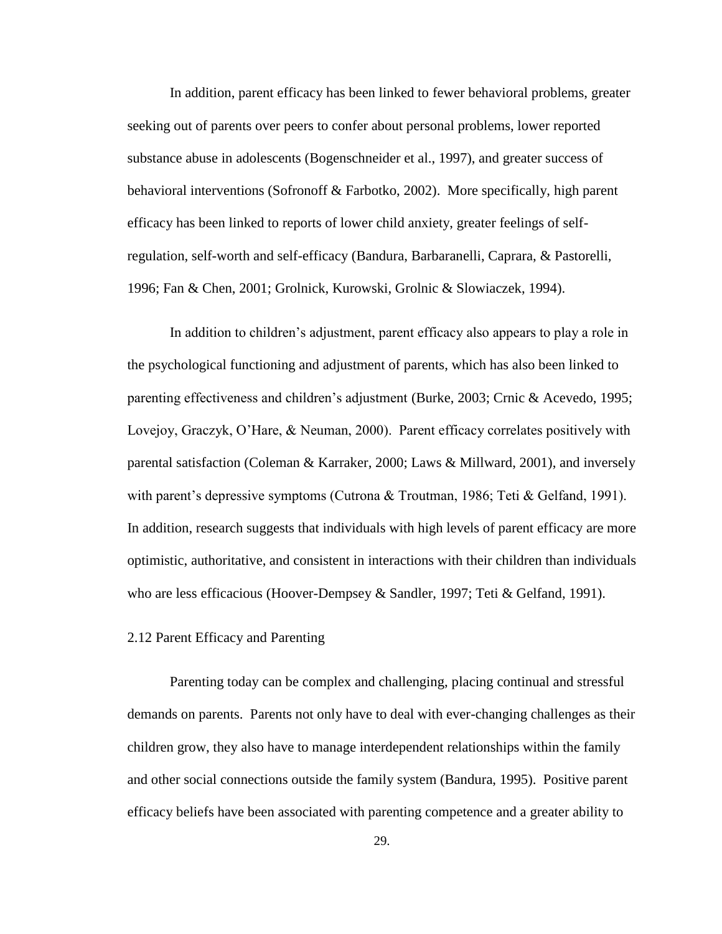In addition, parent efficacy has been linked to fewer behavioral problems, greater seeking out of parents over peers to confer about personal problems, lower reported substance abuse in adolescents (Bogenschneider et al., 1997), and greater success of behavioral interventions (Sofronoff & Farbotko, 2002). More specifically, high parent efficacy has been linked to reports of lower child anxiety, greater feelings of selfregulation, self-worth and self-efficacy (Bandura, Barbaranelli, Caprara, & Pastorelli, 1996; Fan & Chen, 2001; Grolnick, Kurowski, Grolnic & Slowiaczek, 1994).

In addition to children's adjustment, parent efficacy also appears to play a role in the psychological functioning and adjustment of parents, which has also been linked to parenting effectiveness and children"s adjustment (Burke, 2003; Crnic & Acevedo, 1995; Lovejoy, Graczyk, O"Hare, & Neuman, 2000). Parent efficacy correlates positively with parental satisfaction (Coleman & Karraker, 2000; Laws & Millward, 2001), and inversely with parent's depressive symptoms (Cutrona & Troutman, 1986; Teti & Gelfand, 1991). In addition, research suggests that individuals with high levels of parent efficacy are more optimistic, authoritative, and consistent in interactions with their children than individuals who are less efficacious (Hoover-Dempsey & Sandler, 1997; Teti & Gelfand, 1991).

## 2.12 Parent Efficacy and Parenting

Parenting today can be complex and challenging, placing continual and stressful demands on parents. Parents not only have to deal with ever-changing challenges as their children grow, they also have to manage interdependent relationships within the family and other social connections outside the family system (Bandura, 1995). Positive parent efficacy beliefs have been associated with parenting competence and a greater ability to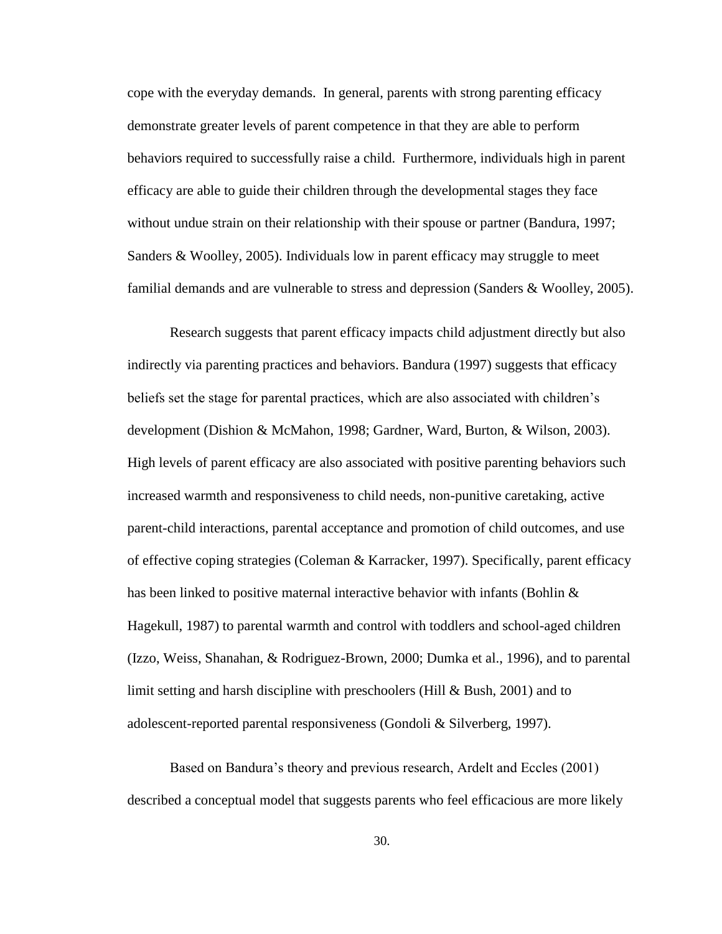cope with the everyday demands. In general, parents with strong parenting efficacy demonstrate greater levels of parent competence in that they are able to perform behaviors required to successfully raise a child. Furthermore, individuals high in parent efficacy are able to guide their children through the developmental stages they face without undue strain on their relationship with their spouse or partner (Bandura, 1997; Sanders & Woolley, 2005). Individuals low in parent efficacy may struggle to meet familial demands and are vulnerable to stress and depression (Sanders & Woolley, 2005).

Research suggests that parent efficacy impacts child adjustment directly but also indirectly via parenting practices and behaviors. Bandura (1997) suggests that efficacy beliefs set the stage for parental practices, which are also associated with children"s development (Dishion & McMahon, 1998; Gardner, Ward, Burton, & Wilson, 2003). High levels of parent efficacy are also associated with positive parenting behaviors such increased warmth and responsiveness to child needs, non-punitive caretaking, active parent-child interactions, parental acceptance and promotion of child outcomes, and use of effective coping strategies (Coleman & Karracker, 1997). Specifically, parent efficacy has been linked to positive maternal interactive behavior with infants (Bohlin & Hagekull, 1987) to parental warmth and control with toddlers and school-aged children (Izzo, Weiss, Shanahan, & Rodriguez-Brown, 2000; Dumka et al., 1996), and to parental limit setting and harsh discipline with preschoolers (Hill & Bush, 2001) and to adolescent-reported parental responsiveness (Gondoli & Silverberg, 1997).

Based on Bandura"s theory and previous research, Ardelt and Eccles (2001) described a conceptual model that suggests parents who feel efficacious are more likely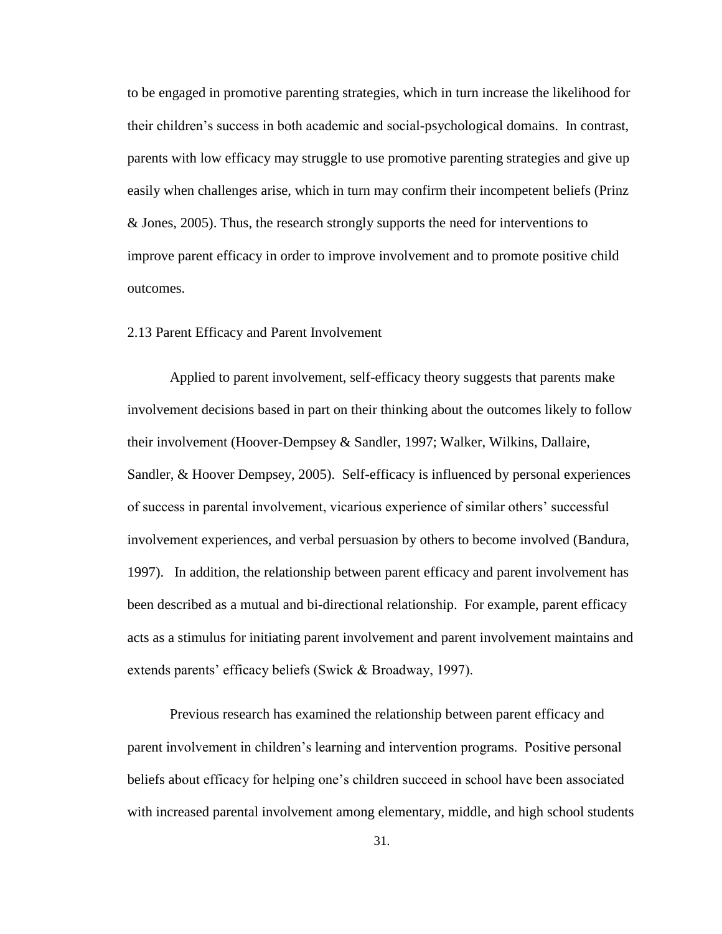to be engaged in promotive parenting strategies, which in turn increase the likelihood for their children"s success in both academic and social-psychological domains. In contrast, parents with low efficacy may struggle to use promotive parenting strategies and give up easily when challenges arise, which in turn may confirm their incompetent beliefs (Prinz & Jones, 2005). Thus, the research strongly supports the need for interventions to improve parent efficacy in order to improve involvement and to promote positive child outcomes.

## 2.13 Parent Efficacy and Parent Involvement

Applied to parent involvement, self-efficacy theory suggests that parents make involvement decisions based in part on their thinking about the outcomes likely to follow their involvement (Hoover-Dempsey & Sandler, 1997; Walker, Wilkins, Dallaire, Sandler, & Hoover Dempsey, 2005). Self-efficacy is influenced by personal experiences of success in parental involvement, vicarious experience of similar others" successful involvement experiences, and verbal persuasion by others to become involved (Bandura, 1997). In addition, the relationship between parent efficacy and parent involvement has been described as a mutual and bi-directional relationship. For example, parent efficacy acts as a stimulus for initiating parent involvement and parent involvement maintains and extends parents' efficacy beliefs (Swick & Broadway, 1997).

Previous research has examined the relationship between parent efficacy and parent involvement in children"s learning and intervention programs. Positive personal beliefs about efficacy for helping one's children succeed in school have been associated with increased parental involvement among elementary, middle, and high school students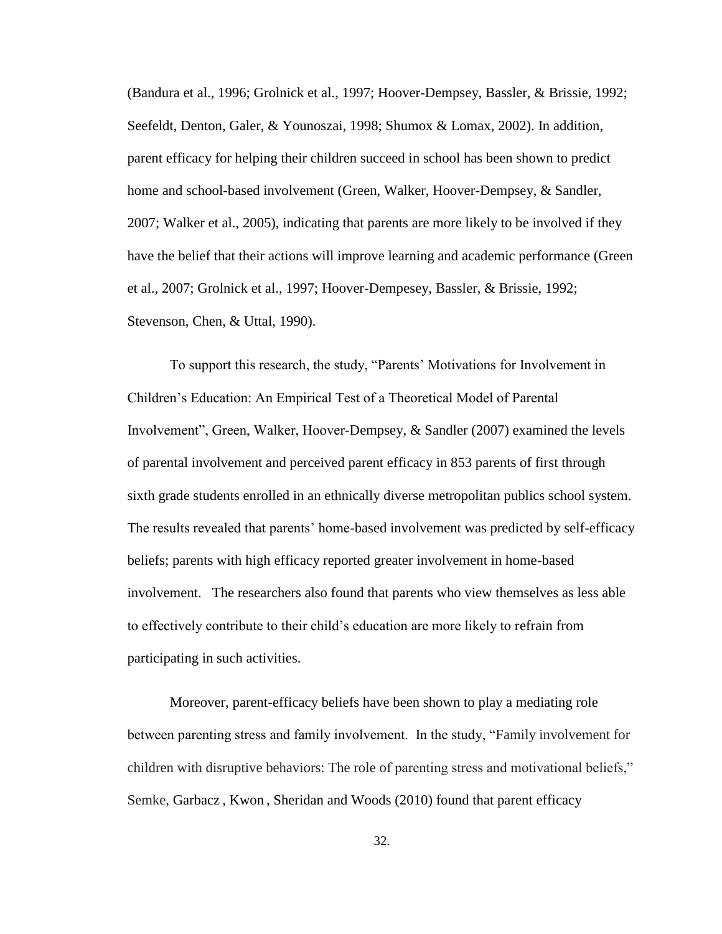(Bandura et al., 1996; Grolnick et al., 1997; Hoover-Dempsey, Bassler, & Brissie, 1992; Seefeldt, Denton, Galer, & Younoszai, 1998; Shumox & Lomax, 2002). In addition, parent efficacy for helping their children succeed in school has been shown to predict home and school-based involvement (Green, Walker, Hoover-Dempsey, & Sandler, 2007; Walker et al., 2005), indicating that parents are more likely to be involved if they have the belief that their actions will improve learning and academic performance (Green et al., 2007; Grolnick et al., 1997; Hoover-Dempesey, Bassler, & Brissie, 1992; Stevenson, Chen, & Uttal, 1990).

To support this research, the study, "Parents" Motivations for Involvement in Children"s Education: An Empirical Test of a Theoretical Model of Parental Involvement", Green, Walker, Hoover-Dempsey, & Sandler (2007) examined the levels of parental involvement and perceived parent efficacy in 853 parents of first through sixth grade students enrolled in an ethnically diverse metropolitan publics school system. The results revealed that parents' home-based involvement was predicted by self-efficacy beliefs; parents with high efficacy reported greater involvement in home-based involvement. The researchers also found that parents who view themselves as less able to effectively contribute to their child"s education are more likely to refrain from participating in such activities.

Moreover, parent-efficacy beliefs have been shown to play a mediating role between parenting stress and family involvement. In the study, "Family involvement for children with disruptive behaviors: The role of parenting stress and motivational beliefs," Semke, Garbacz , Kwon , Sheridan and Woods (2010) found that parent efficacy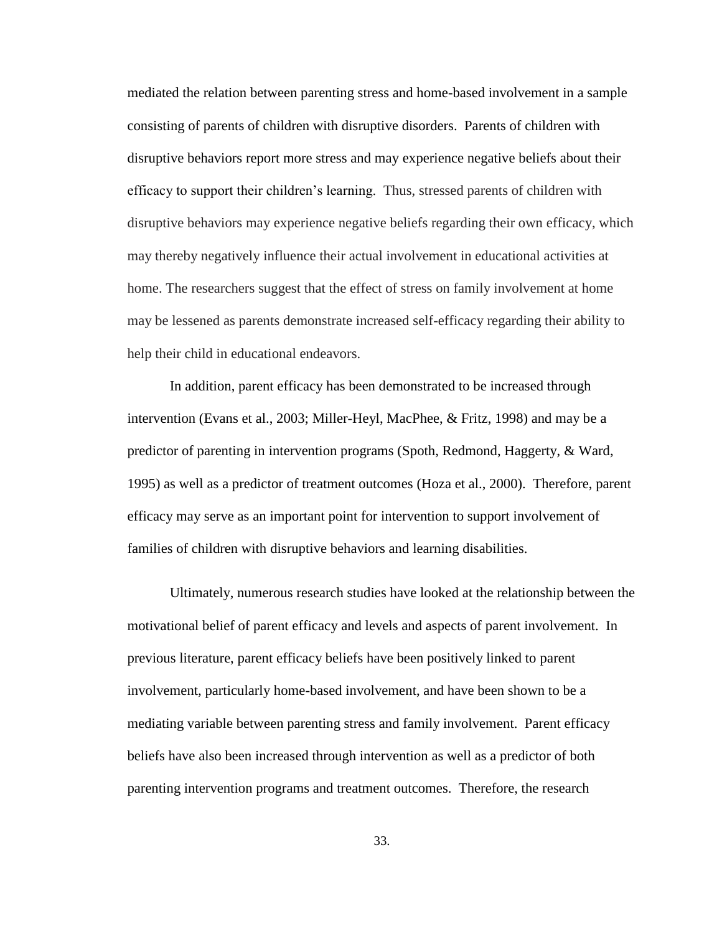mediated the relation between parenting stress and home-based involvement in a sample consisting of parents of children with disruptive disorders. Parents of children with disruptive behaviors report more stress and may experience negative beliefs about their efficacy to support their children"s learning. Thus, stressed parents of children with disruptive behaviors may experience negative beliefs regarding their own efficacy, which may thereby negatively influence their actual involvement in educational activities at home. The researchers suggest that the effect of stress on family involvement at home may be lessened as parents demonstrate increased self-efficacy regarding their ability to help their child in educational endeavors.

In addition, parent efficacy has been demonstrated to be increased through intervention (Evans et al., 2003; Miller-Heyl, MacPhee, & Fritz, 1998) and may be a predictor of parenting in intervention programs (Spoth, Redmond, Haggerty, & Ward, 1995) as well as a predictor of treatment outcomes (Hoza et al., 2000). Therefore, parent efficacy may serve as an important point for intervention to support involvement of families of children with disruptive behaviors and learning disabilities.

Ultimately, numerous research studies have looked at the relationship between the motivational belief of parent efficacy and levels and aspects of parent involvement. In previous literature, parent efficacy beliefs have been positively linked to parent involvement, particularly home-based involvement, and have been shown to be a mediating variable between parenting stress and family involvement. Parent efficacy beliefs have also been increased through intervention as well as a predictor of both parenting intervention programs and treatment outcomes. Therefore, the research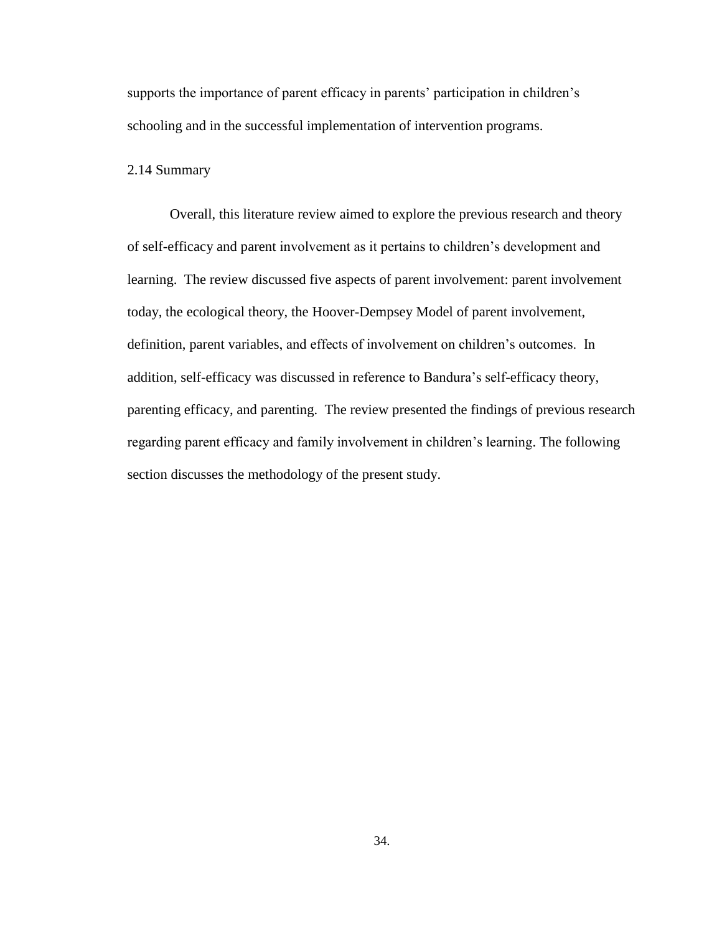supports the importance of parent efficacy in parents' participation in children's schooling and in the successful implementation of intervention programs.

# 2.14 Summary

Overall, this literature review aimed to explore the previous research and theory of self-efficacy and parent involvement as it pertains to children"s development and learning. The review discussed five aspects of parent involvement: parent involvement today, the ecological theory, the Hoover-Dempsey Model of parent involvement, definition, parent variables, and effects of involvement on children"s outcomes. In addition, self-efficacy was discussed in reference to Bandura's self-efficacy theory, parenting efficacy, and parenting. The review presented the findings of previous research regarding parent efficacy and family involvement in children"s learning. The following section discusses the methodology of the present study.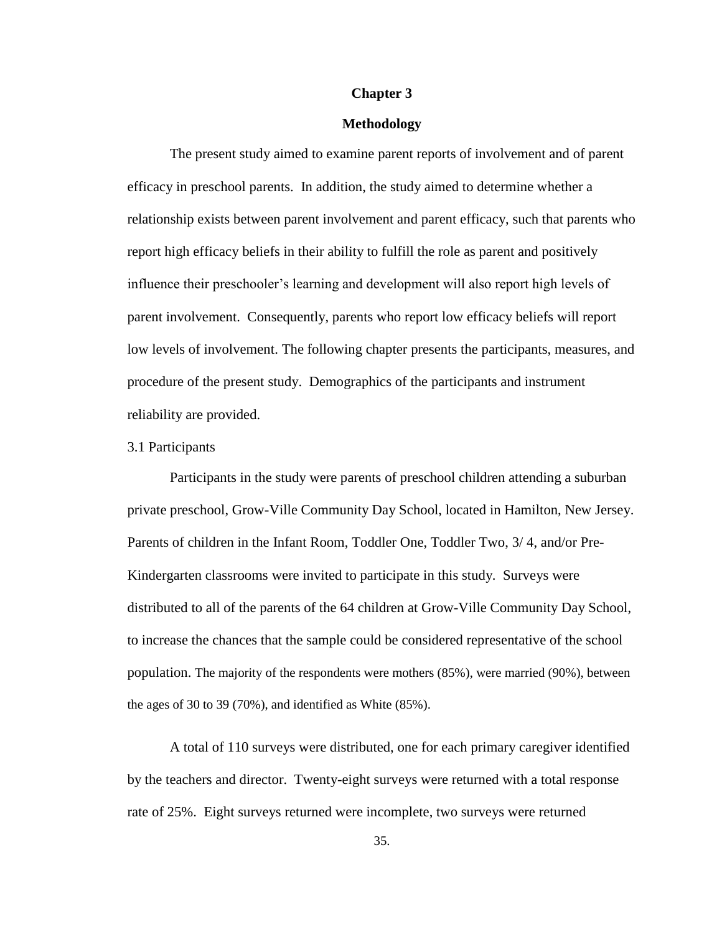### **Chapter 3**

### **Methodology**

The present study aimed to examine parent reports of involvement and of parent efficacy in preschool parents. In addition, the study aimed to determine whether a relationship exists between parent involvement and parent efficacy, such that parents who report high efficacy beliefs in their ability to fulfill the role as parent and positively influence their preschooler's learning and development will also report high levels of parent involvement. Consequently, parents who report low efficacy beliefs will report low levels of involvement. The following chapter presents the participants, measures, and procedure of the present study. Demographics of the participants and instrument reliability are provided.

## 3.1 Participants

Participants in the study were parents of preschool children attending a suburban private preschool, Grow-Ville Community Day School, located in Hamilton, New Jersey. Parents of children in the Infant Room, Toddler One, Toddler Two, 3/ 4, and/or Pre-Kindergarten classrooms were invited to participate in this study. Surveys were distributed to all of the parents of the 64 children at Grow-Ville Community Day School, to increase the chances that the sample could be considered representative of the school population. The majority of the respondents were mothers (85%), were married (90%), between the ages of 30 to 39 (70%), and identified as White (85%).

A total of 110 surveys were distributed, one for each primary caregiver identified by the teachers and director. Twenty-eight surveys were returned with a total response rate of 25%. Eight surveys returned were incomplete, two surveys were returned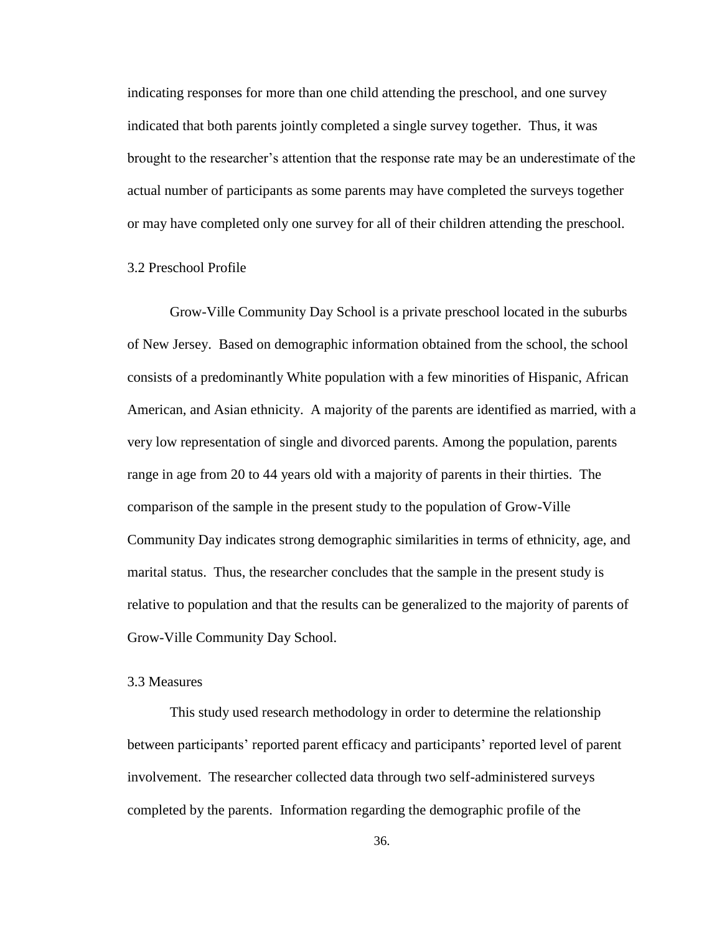indicating responses for more than one child attending the preschool, and one survey indicated that both parents jointly completed a single survey together. Thus, it was brought to the researcher"s attention that the response rate may be an underestimate of the actual number of participants as some parents may have completed the surveys together or may have completed only one survey for all of their children attending the preschool.

### 3.2 Preschool Profile

Grow-Ville Community Day School is a private preschool located in the suburbs of New Jersey. Based on demographic information obtained from the school, the school consists of a predominantly White population with a few minorities of Hispanic, African American, and Asian ethnicity. A majority of the parents are identified as married, with a very low representation of single and divorced parents. Among the population, parents range in age from 20 to 44 years old with a majority of parents in their thirties. The comparison of the sample in the present study to the population of Grow-Ville Community Day indicates strong demographic similarities in terms of ethnicity, age, and marital status. Thus, the researcher concludes that the sample in the present study is relative to population and that the results can be generalized to the majority of parents of Grow-Ville Community Day School.

## 3.3 Measures

This study used research methodology in order to determine the relationship between participants" reported parent efficacy and participants" reported level of parent involvement. The researcher collected data through two self-administered surveys completed by the parents. Information regarding the demographic profile of the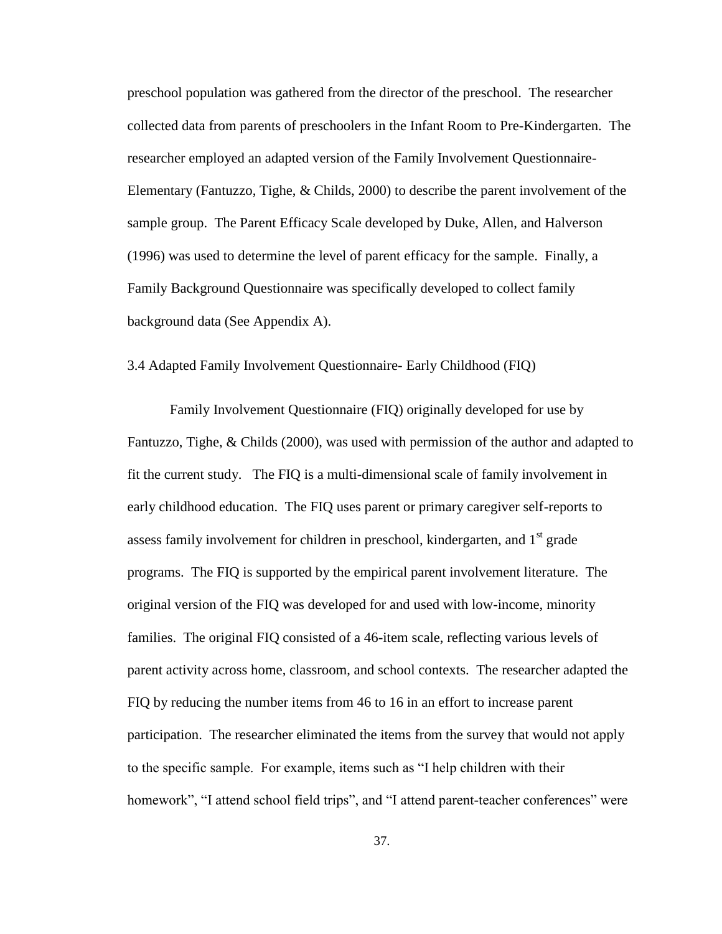preschool population was gathered from the director of the preschool. The researcher collected data from parents of preschoolers in the Infant Room to Pre-Kindergarten. The researcher employed an adapted version of the Family Involvement Questionnaire-Elementary (Fantuzzo, Tighe, & Childs, 2000) to describe the parent involvement of the sample group. The Parent Efficacy Scale developed by Duke, Allen, and Halverson (1996) was used to determine the level of parent efficacy for the sample. Finally, a Family Background Questionnaire was specifically developed to collect family background data (See Appendix A).

# 3.4 Adapted Family Involvement Questionnaire- Early Childhood (FIQ)

Family Involvement Questionnaire (FIQ) originally developed for use by Fantuzzo, Tighe, & Childs (2000), was used with permission of the author and adapted to fit the current study. The FIQ is a multi-dimensional scale of family involvement in early childhood education. The FIQ uses parent or primary caregiver self-reports to assess family involvement for children in preschool, kindergarten, and 1<sup>st</sup> grade programs. The FIQ is supported by the empirical parent involvement literature. The original version of the FIQ was developed for and used with low-income, minority families. The original FIQ consisted of a 46-item scale, reflecting various levels of parent activity across home, classroom, and school contexts. The researcher adapted the FIQ by reducing the number items from 46 to 16 in an effort to increase parent participation. The researcher eliminated the items from the survey that would not apply to the specific sample. For example, items such as "I help children with their homework", "I attend school field trips", and "I attend parent-teacher conferences" were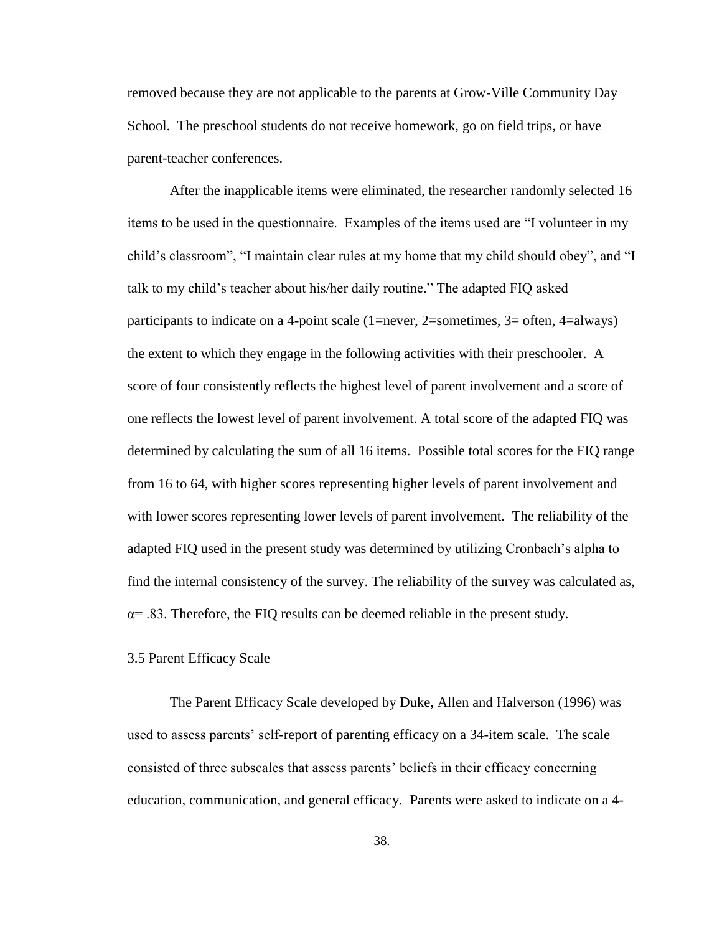removed because they are not applicable to the parents at Grow-Ville Community Day School. The preschool students do not receive homework, go on field trips, or have parent-teacher conferences.

After the inapplicable items were eliminated, the researcher randomly selected 16 items to be used in the questionnaire. Examples of the items used are "I volunteer in my child"s classroom", "I maintain clear rules at my home that my child should obey", and "I talk to my child"s teacher about his/her daily routine." The adapted FIQ asked participants to indicate on a 4-point scale (1=never, 2=sometimes, 3= often, 4=always) the extent to which they engage in the following activities with their preschooler. A score of four consistently reflects the highest level of parent involvement and a score of one reflects the lowest level of parent involvement. A total score of the adapted FIQ was determined by calculating the sum of all 16 items. Possible total scores for the FIQ range from 16 to 64, with higher scores representing higher levels of parent involvement and with lower scores representing lower levels of parent involvement. The reliability of the adapted FIQ used in the present study was determined by utilizing Cronbach"s alpha to find the internal consistency of the survey. The reliability of the survey was calculated as,  $\alpha$ = .83. Therefore, the FIQ results can be deemed reliable in the present study.

## 3.5 Parent Efficacy Scale

The Parent Efficacy Scale developed by Duke, Allen and Halverson (1996) was used to assess parents' self-report of parenting efficacy on a 34-item scale. The scale consisted of three subscales that assess parents" beliefs in their efficacy concerning education, communication, and general efficacy. Parents were asked to indicate on a 4-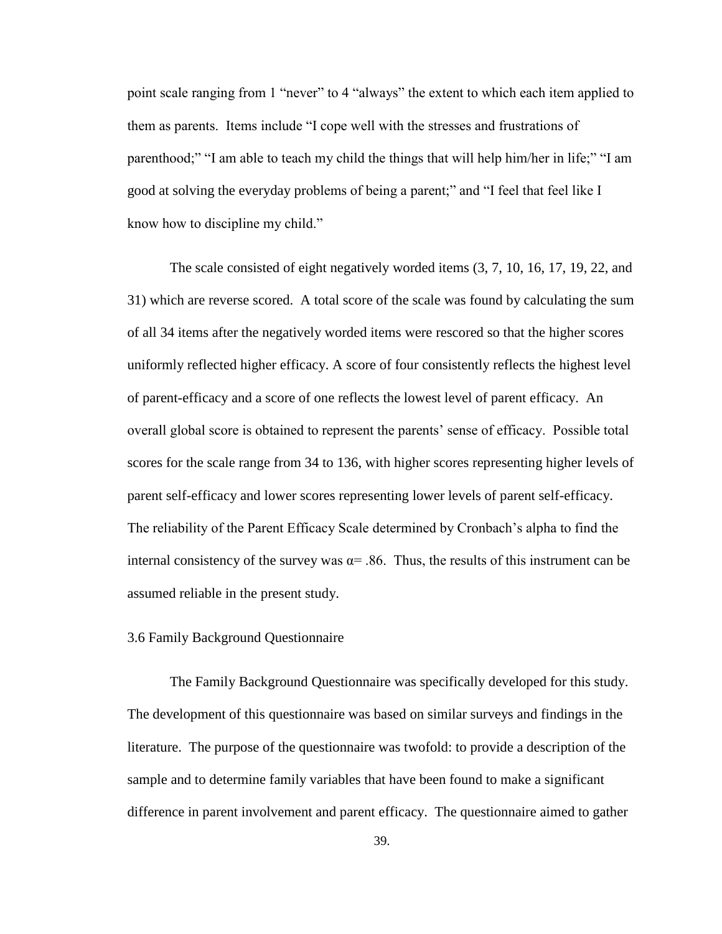point scale ranging from 1 "never" to 4 "always" the extent to which each item applied to them as parents. Items include "I cope well with the stresses and frustrations of parenthood;" "I am able to teach my child the things that will help him/her in life;" "I am good at solving the everyday problems of being a parent;" and "I feel that feel like I know how to discipline my child."

The scale consisted of eight negatively worded items (3, 7, 10, 16, 17, 19, 22, and 31) which are reverse scored. A total score of the scale was found by calculating the sum of all 34 items after the negatively worded items were rescored so that the higher scores uniformly reflected higher efficacy. A score of four consistently reflects the highest level of parent-efficacy and a score of one reflects the lowest level of parent efficacy. An overall global score is obtained to represent the parents" sense of efficacy. Possible total scores for the scale range from 34 to 136, with higher scores representing higher levels of parent self-efficacy and lower scores representing lower levels of parent self-efficacy. The reliability of the Parent Efficacy Scale determined by Cronbach"s alpha to find the internal consistency of the survey was  $\alpha$ = .86. Thus, the results of this instrument can be assumed reliable in the present study.

## 3.6 Family Background Questionnaire

The Family Background Questionnaire was specifically developed for this study. The development of this questionnaire was based on similar surveys and findings in the literature. The purpose of the questionnaire was twofold: to provide a description of the sample and to determine family variables that have been found to make a significant difference in parent involvement and parent efficacy. The questionnaire aimed to gather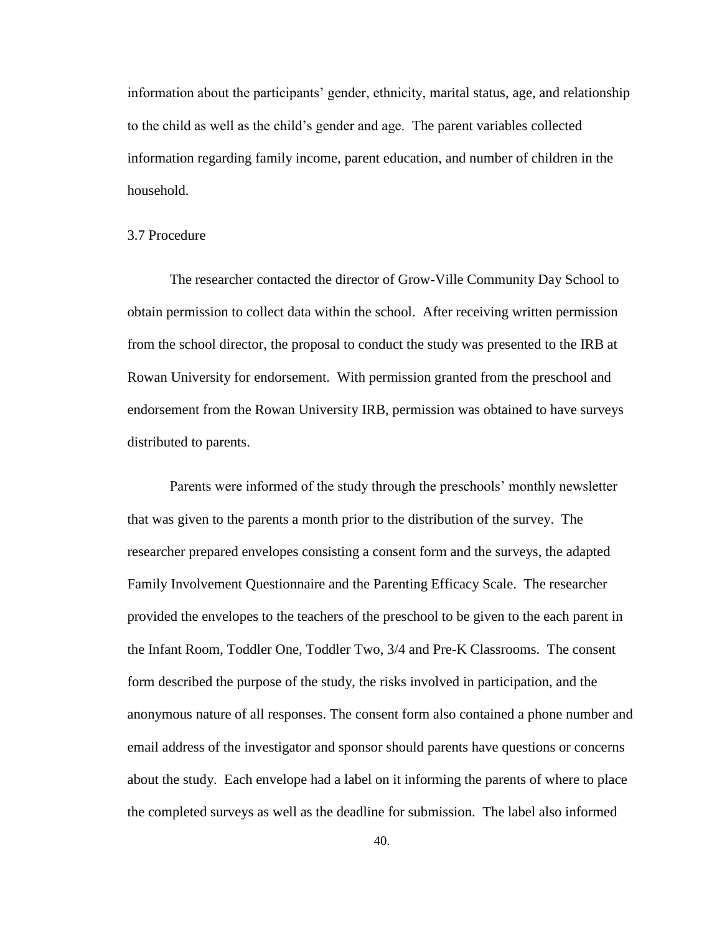information about the participants' gender, ethnicity, marital status, age, and relationship to the child as well as the child"s gender and age. The parent variables collected information regarding family income, parent education, and number of children in the household.

## 3.7 Procedure

The researcher contacted the director of Grow-Ville Community Day School to obtain permission to collect data within the school. After receiving written permission from the school director, the proposal to conduct the study was presented to the IRB at Rowan University for endorsement. With permission granted from the preschool and endorsement from the Rowan University IRB, permission was obtained to have surveys distributed to parents.

Parents were informed of the study through the preschools' monthly newsletter that was given to the parents a month prior to the distribution of the survey. The researcher prepared envelopes consisting a consent form and the surveys, the adapted Family Involvement Questionnaire and the Parenting Efficacy Scale. The researcher provided the envelopes to the teachers of the preschool to be given to the each parent in the Infant Room, Toddler One, Toddler Two, 3/4 and Pre-K Classrooms. The consent form described the purpose of the study, the risks involved in participation, and the anonymous nature of all responses. The consent form also contained a phone number and email address of the investigator and sponsor should parents have questions or concerns about the study. Each envelope had a label on it informing the parents of where to place the completed surveys as well as the deadline for submission. The label also informed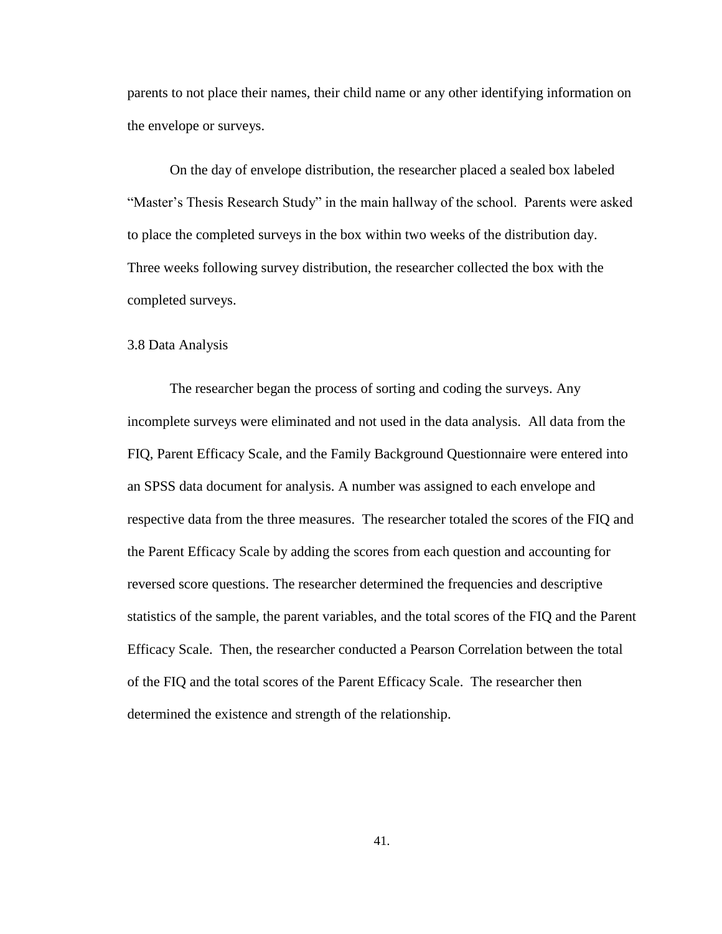parents to not place their names, their child name or any other identifying information on the envelope or surveys.

On the day of envelope distribution, the researcher placed a sealed box labeled "Master's Thesis Research Study" in the main hallway of the school. Parents were asked to place the completed surveys in the box within two weeks of the distribution day. Three weeks following survey distribution, the researcher collected the box with the completed surveys.

## 3.8 Data Analysis

The researcher began the process of sorting and coding the surveys. Any incomplete surveys were eliminated and not used in the data analysis. All data from the FIQ, Parent Efficacy Scale, and the Family Background Questionnaire were entered into an SPSS data document for analysis. A number was assigned to each envelope and respective data from the three measures. The researcher totaled the scores of the FIQ and the Parent Efficacy Scale by adding the scores from each question and accounting for reversed score questions. The researcher determined the frequencies and descriptive statistics of the sample, the parent variables, and the total scores of the FIQ and the Parent Efficacy Scale. Then, the researcher conducted a Pearson Correlation between the total of the FIQ and the total scores of the Parent Efficacy Scale. The researcher then determined the existence and strength of the relationship.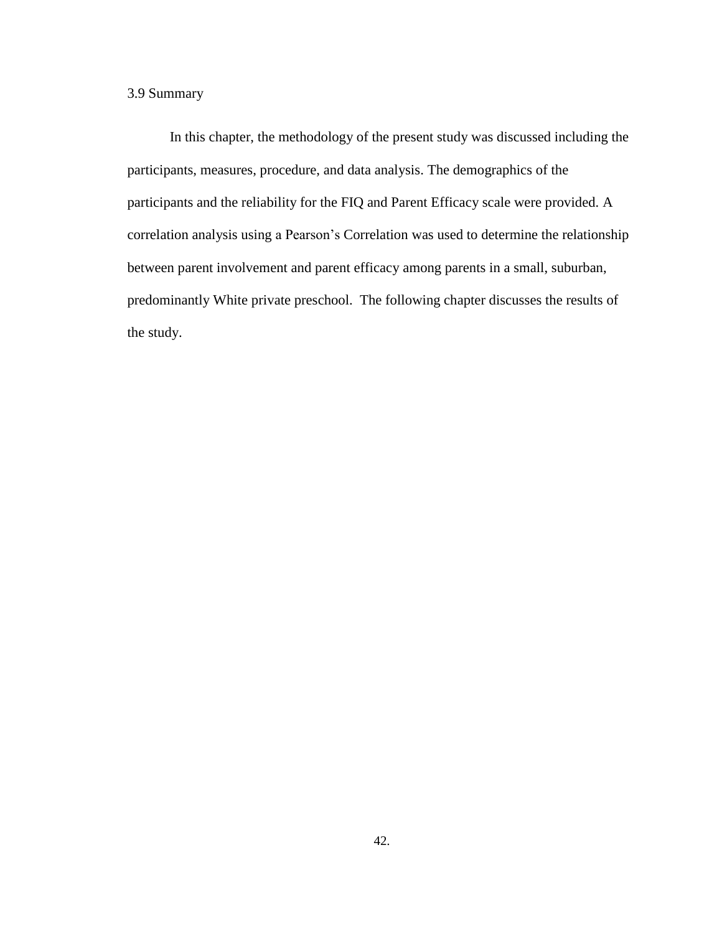# 3.9 Summary

In this chapter, the methodology of the present study was discussed including the participants, measures, procedure, and data analysis. The demographics of the participants and the reliability for the FIQ and Parent Efficacy scale were provided. A correlation analysis using a Pearson"s Correlation was used to determine the relationship between parent involvement and parent efficacy among parents in a small, suburban, predominantly White private preschool. The following chapter discusses the results of the study.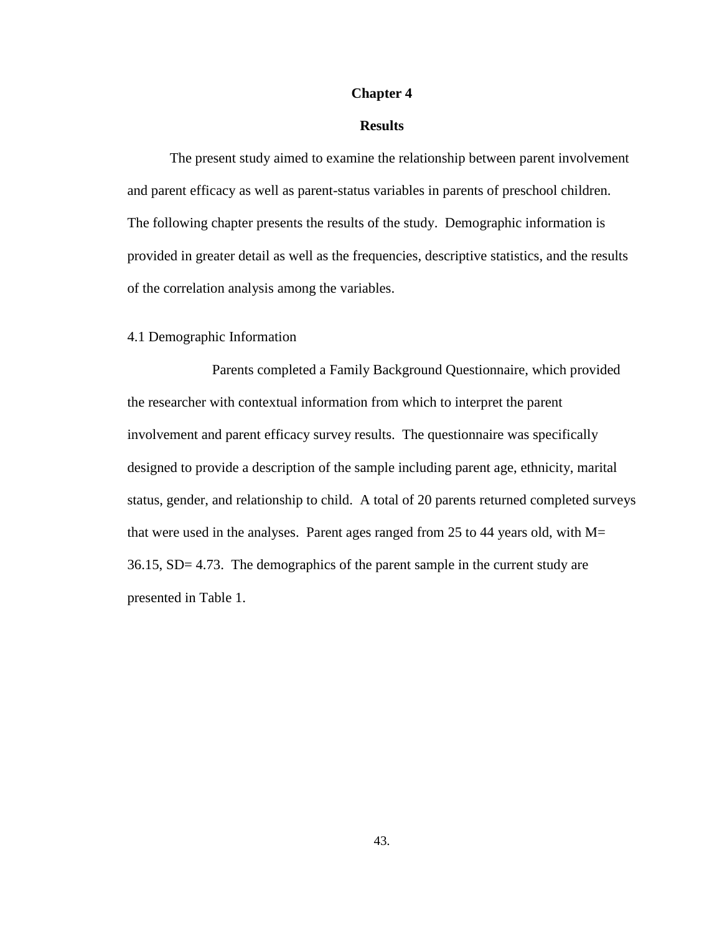### **Chapter 4**

# **Results**

The present study aimed to examine the relationship between parent involvement and parent efficacy as well as parent-status variables in parents of preschool children. The following chapter presents the results of the study. Demographic information is provided in greater detail as well as the frequencies, descriptive statistics, and the results of the correlation analysis among the variables.

# 4.1 Demographic Information

Parents completed a Family Background Questionnaire, which provided the researcher with contextual information from which to interpret the parent involvement and parent efficacy survey results. The questionnaire was specifically designed to provide a description of the sample including parent age, ethnicity, marital status, gender, and relationship to child. A total of 20 parents returned completed surveys that were used in the analyses. Parent ages ranged from 25 to 44 years old, with  $M=$ 36.15, SD= 4.73. The demographics of the parent sample in the current study are presented in Table 1.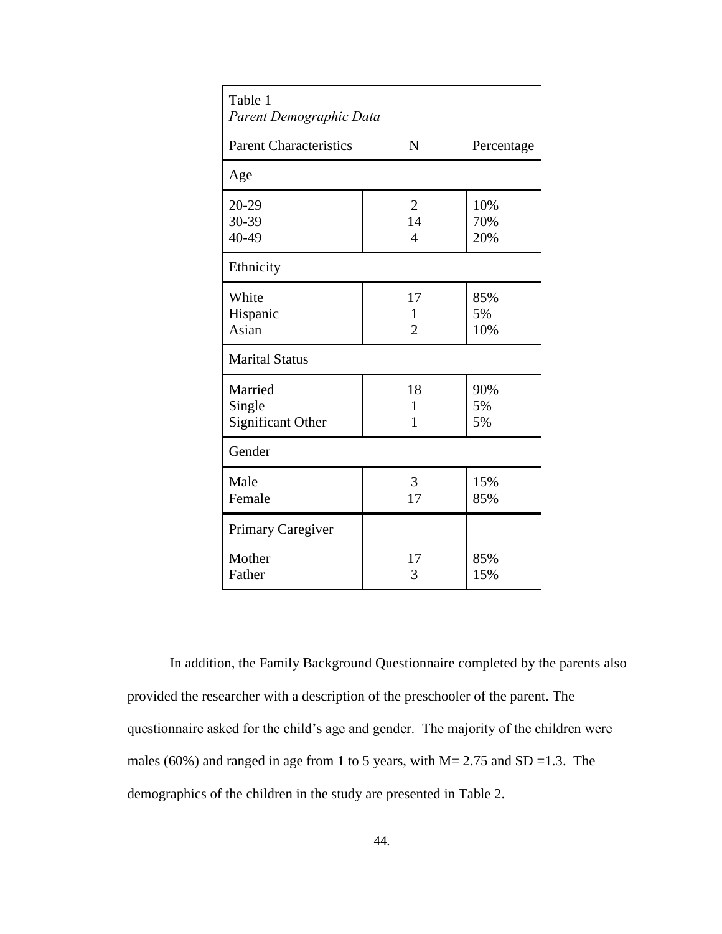| Table 1<br>Parent Demographic Data            |                                        |                   |
|-----------------------------------------------|----------------------------------------|-------------------|
| <b>Parent Characteristics</b>                 | $\mathbf N$                            | Percentage        |
| Age                                           |                                        |                   |
| 20-29<br>30-39<br>40-49                       | $\overline{2}$<br>14<br>$\overline{4}$ | 10%<br>70%<br>20% |
| Ethnicity                                     |                                        |                   |
| White<br>Hispanic<br>Asian                    | 17<br>1<br>$\overline{2}$              | 85%<br>5%<br>10%  |
| <b>Marital Status</b>                         |                                        |                   |
| Married<br>Single<br><b>Significant Other</b> | 18<br>$\mathbf{1}$<br>1                | 90%<br>5%<br>5%   |
| Gender                                        |                                        |                   |
| Male<br>Female                                | 3<br>17                                | 15%<br>85%        |
| Primary Caregiver                             |                                        |                   |
| Mother<br>Father                              | 17<br>3                                | 85%<br>15%        |

In addition, the Family Background Questionnaire completed by the parents also provided the researcher with a description of the preschooler of the parent. The questionnaire asked for the child"s age and gender. The majority of the children were males (60%) and ranged in age from 1 to 5 years, with  $M = 2.75$  and SD = 1.3. The demographics of the children in the study are presented in Table 2.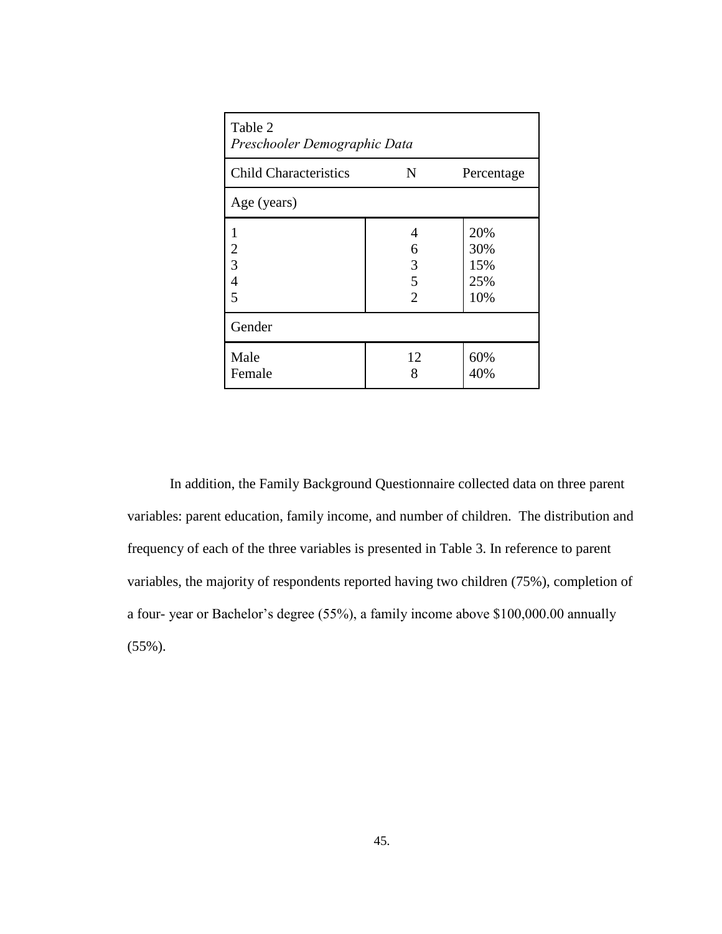| Table 2<br>Preschooler Demographic Data |                                    |                                 |  |  |
|-----------------------------------------|------------------------------------|---------------------------------|--|--|
| <b>Child Characteristics</b>            | N                                  | Percentage                      |  |  |
| Age (years)                             |                                    |                                 |  |  |
| 1<br>2<br>3<br>$\overline{4}$<br>5      | 4<br>6<br>3<br>5<br>$\mathfrak{D}$ | 20%<br>30%<br>15%<br>25%<br>10% |  |  |
| Gender                                  |                                    |                                 |  |  |
| Male<br>Female                          | 12<br>8                            | 60%<br>40%                      |  |  |

In addition, the Family Background Questionnaire collected data on three parent variables: parent education, family income, and number of children. The distribution and frequency of each of the three variables is presented in Table 3. In reference to parent variables, the majority of respondents reported having two children (75%), completion of a four- year or Bachelor"s degree (55%), a family income above \$100,000.00 annually (55%).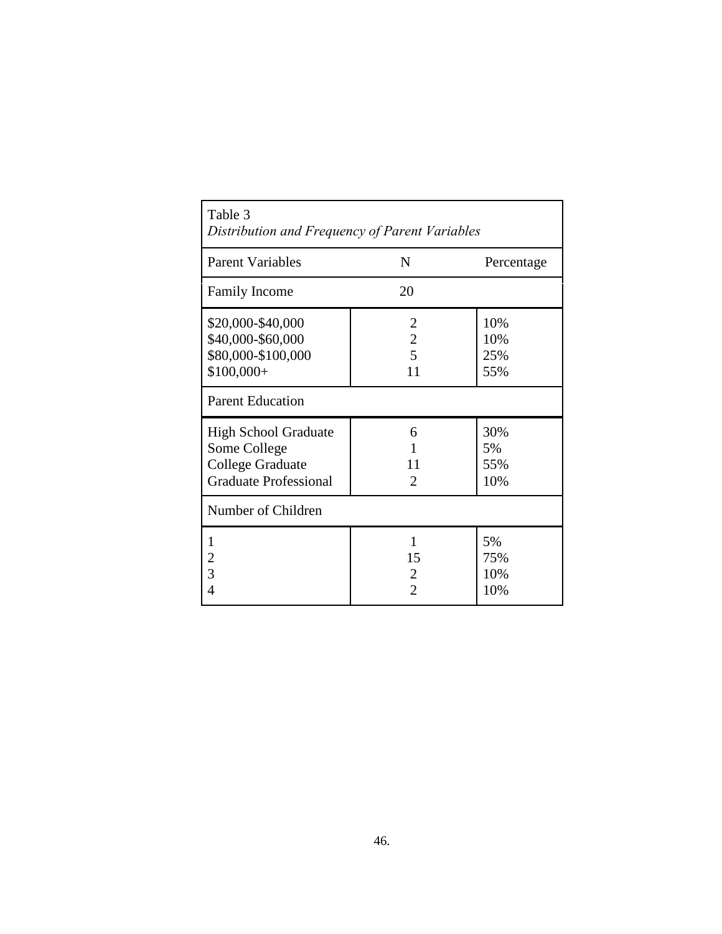| Table 3<br>Distribution and Frequency of Parent Variables                                              |                                             |                          |  |  |
|--------------------------------------------------------------------------------------------------------|---------------------------------------------|--------------------------|--|--|
| <b>Parent Variables</b>                                                                                | N                                           | Percentage               |  |  |
| <b>Family Income</b>                                                                                   | 20                                          |                          |  |  |
| \$20,000-\$40,000<br>\$40,000-\$60,000<br>\$80,000-\$100,000<br>$$100,000+$<br><b>Parent Education</b> | $\overline{2}$<br>$\overline{c}$<br>5<br>11 | 10%<br>10%<br>25%<br>55% |  |  |
| <b>High School Graduate</b><br>Some College<br><b>College Graduate</b><br><b>Graduate Professional</b> | 6<br>11<br>$\mathcal{D}_{\mathcal{L}}$      | 30%<br>5%<br>55%<br>10%  |  |  |
| Number of Children                                                                                     |                                             |                          |  |  |
| 1<br>$\overline{\mathbf{c}}$<br>$\overline{3}$<br>4                                                    | 1<br>15<br>$\overline{2}$<br>2              | 5%<br>75%<br>10%<br>10%  |  |  |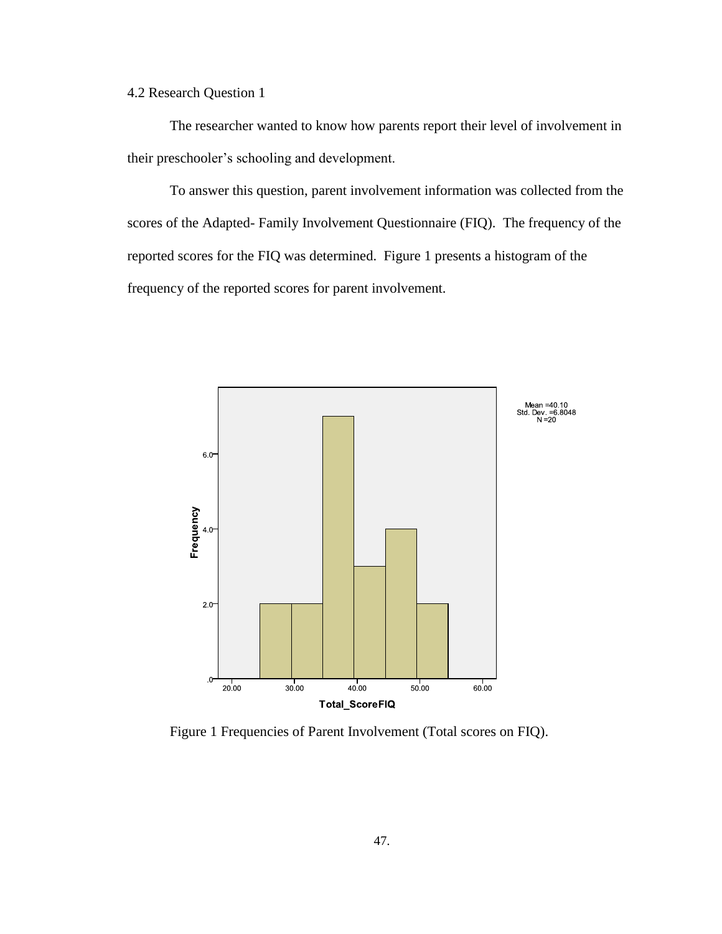4.2 Research Question 1

The researcher wanted to know how parents report their level of involvement in their preschooler"s schooling and development.

To answer this question, parent involvement information was collected from the scores of the Adapted- Family Involvement Questionnaire (FIQ). The frequency of the reported scores for the FIQ was determined. Figure 1 presents a histogram of the frequency of the reported scores for parent involvement.



Figure 1 Frequencies of Parent Involvement (Total scores on FIQ).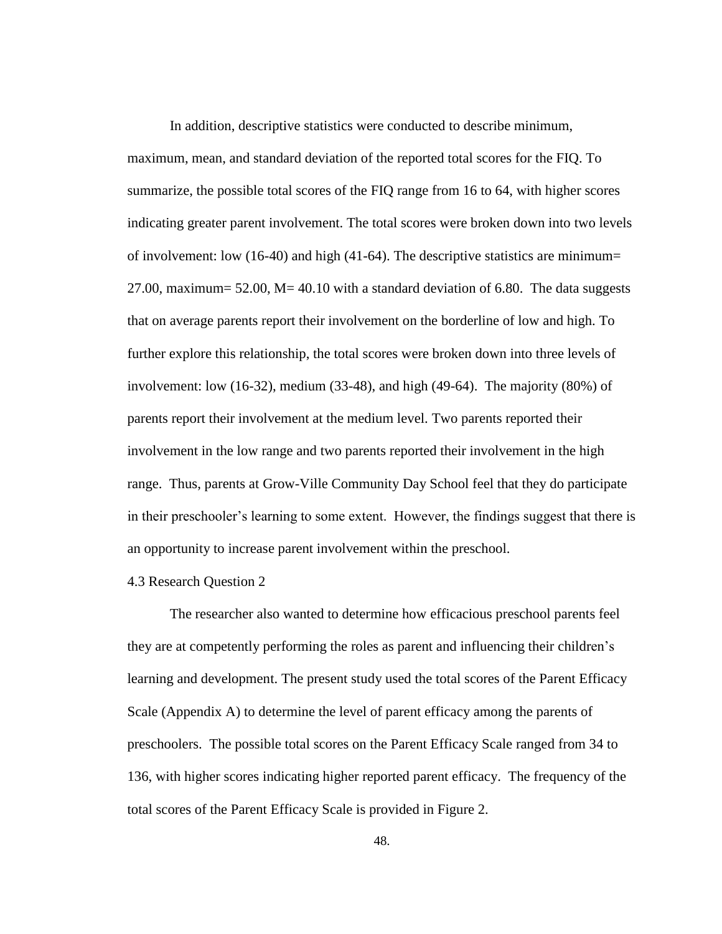In addition, descriptive statistics were conducted to describe minimum, maximum, mean, and standard deviation of the reported total scores for the FIQ. To summarize, the possible total scores of the FIQ range from 16 to 64, with higher scores indicating greater parent involvement. The total scores were broken down into two levels of involvement: low  $(16-40)$  and high  $(41-64)$ . The descriptive statistics are minimum= 27.00, maximum=  $52.00$ , M=  $40.10$  with a standard deviation of 6.80. The data suggests that on average parents report their involvement on the borderline of low and high. To further explore this relationship, the total scores were broken down into three levels of involvement: low  $(16-32)$ , medium  $(33-48)$ , and high  $(49-64)$ . The majority  $(80\%)$  of parents report their involvement at the medium level. Two parents reported their involvement in the low range and two parents reported their involvement in the high range. Thus, parents at Grow-Ville Community Day School feel that they do participate in their preschooler"s learning to some extent. However, the findings suggest that there is an opportunity to increase parent involvement within the preschool.

# 4.3 Research Question 2

The researcher also wanted to determine how efficacious preschool parents feel they are at competently performing the roles as parent and influencing their children"s learning and development. The present study used the total scores of the Parent Efficacy Scale (Appendix A) to determine the level of parent efficacy among the parents of preschoolers. The possible total scores on the Parent Efficacy Scale ranged from 34 to 136, with higher scores indicating higher reported parent efficacy. The frequency of the total scores of the Parent Efficacy Scale is provided in Figure 2.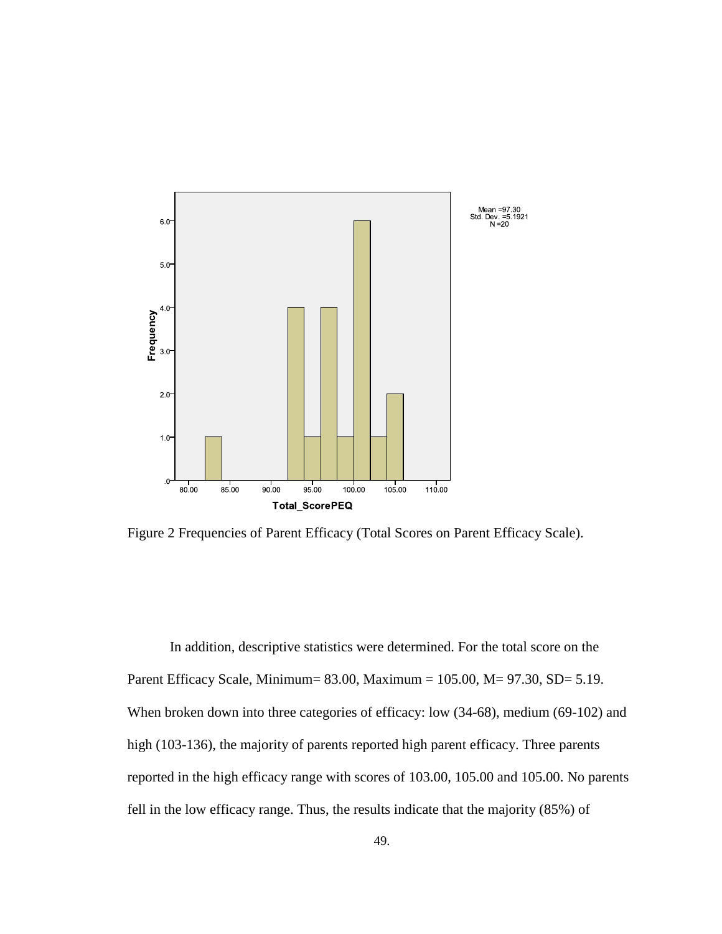

Figure 2 Frequencies of Parent Efficacy (Total Scores on Parent Efficacy Scale).

In addition, descriptive statistics were determined. For the total score on the Parent Efficacy Scale, Minimum= 83.00, Maximum = 105.00, M= 97.30, SD= 5.19. When broken down into three categories of efficacy: low (34-68), medium (69-102) and high (103-136), the majority of parents reported high parent efficacy. Three parents reported in the high efficacy range with scores of 103.00, 105.00 and 105.00. No parents fell in the low efficacy range. Thus, the results indicate that the majority (85%) of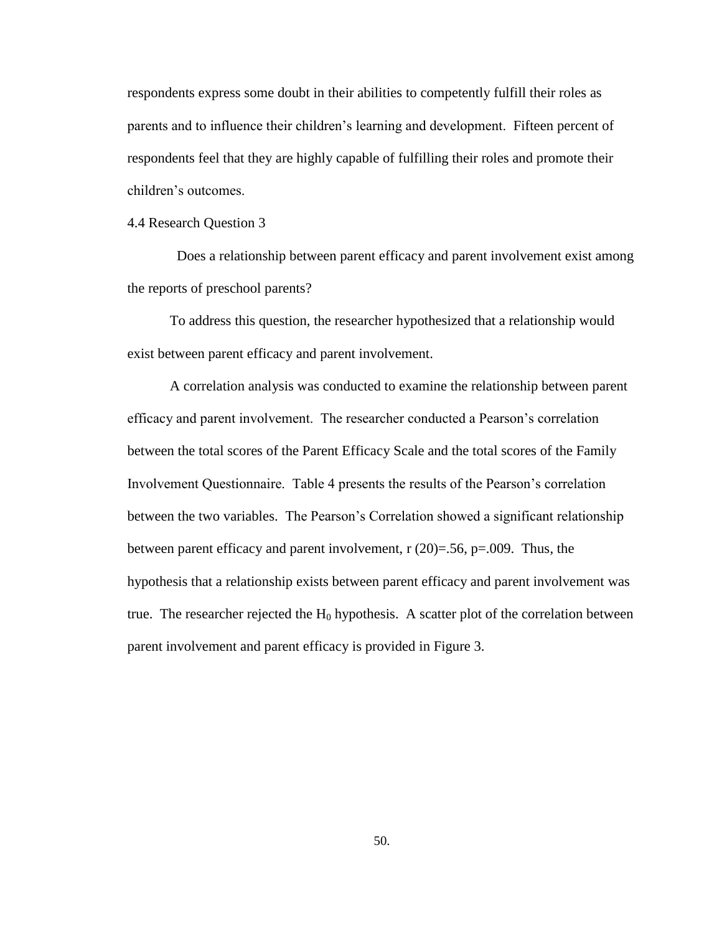respondents express some doubt in their abilities to competently fulfill their roles as parents and to influence their children"s learning and development. Fifteen percent of respondents feel that they are highly capable of fulfilling their roles and promote their children"s outcomes.

4.4 Research Question 3

 Does a relationship between parent efficacy and parent involvement exist among the reports of preschool parents?

To address this question, the researcher hypothesized that a relationship would exist between parent efficacy and parent involvement.

A correlation analysis was conducted to examine the relationship between parent efficacy and parent involvement. The researcher conducted a Pearson"s correlation between the total scores of the Parent Efficacy Scale and the total scores of the Family Involvement Questionnaire. Table 4 presents the results of the Pearson"s correlation between the two variables. The Pearson"s Correlation showed a significant relationship between parent efficacy and parent involvement,  $r(20)=0.56$ ,  $p=.009$ . Thus, the hypothesis that a relationship exists between parent efficacy and parent involvement was true. The researcher rejected the  $H_0$  hypothesis. A scatter plot of the correlation between parent involvement and parent efficacy is provided in Figure 3.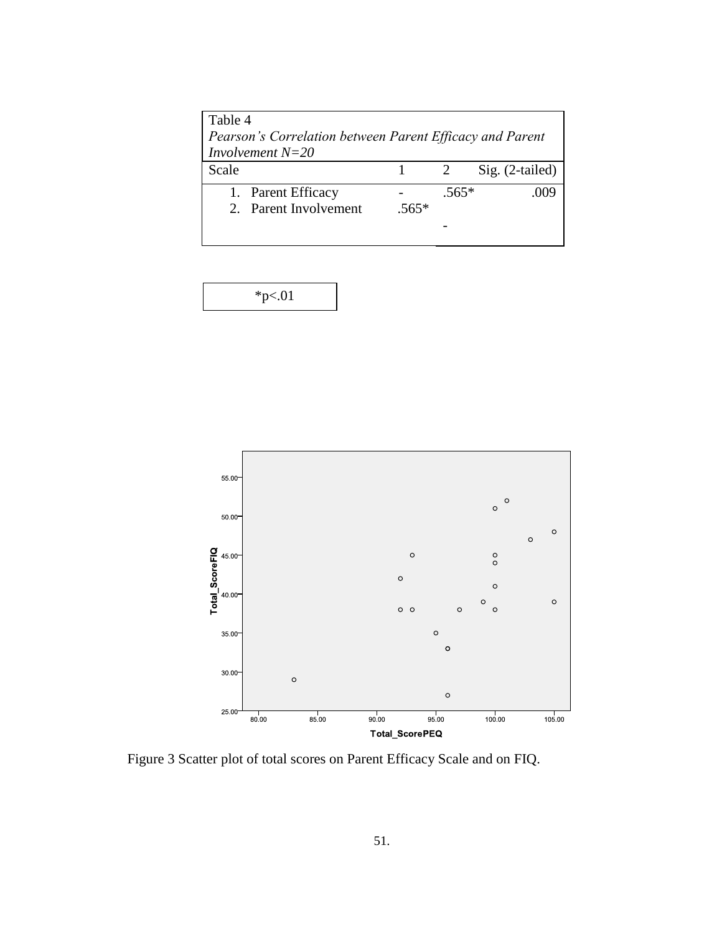| Table 4                                                  |         |         |                 |
|----------------------------------------------------------|---------|---------|-----------------|
| Pearson's Correlation between Parent Efficacy and Parent |         |         |                 |
| <i>Involvement</i> $N=20$                                |         |         |                 |
| Scale                                                    |         | 2       | Sig. (2-tailed) |
| 1. Parent Efficacy                                       |         | $.565*$ |                 |
| 2. Parent Involvement                                    | $.565*$ |         |                 |
|                                                          |         |         |                 |
|                                                          |         |         |                 |

| $*p<.01$ |
|----------|
|----------|



Figure 3 Scatter plot of total scores on Parent Efficacy Scale and on FIQ.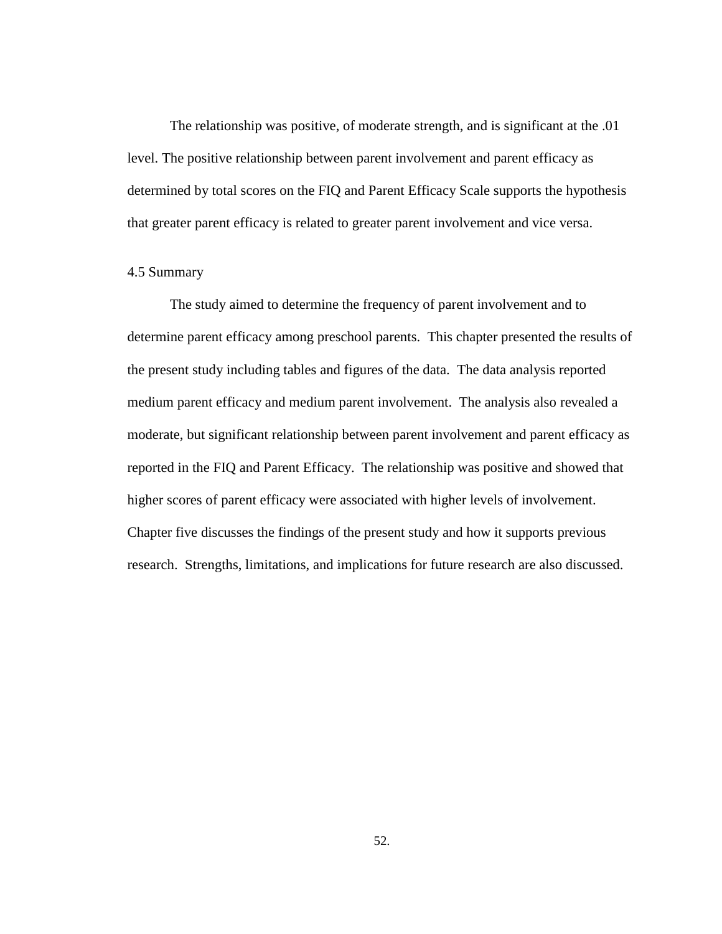The relationship was positive, of moderate strength, and is significant at the .01 level. The positive relationship between parent involvement and parent efficacy as determined by total scores on the FIQ and Parent Efficacy Scale supports the hypothesis that greater parent efficacy is related to greater parent involvement and vice versa.

# 4.5 Summary

The study aimed to determine the frequency of parent involvement and to determine parent efficacy among preschool parents. This chapter presented the results of the present study including tables and figures of the data. The data analysis reported medium parent efficacy and medium parent involvement. The analysis also revealed a moderate, but significant relationship between parent involvement and parent efficacy as reported in the FIQ and Parent Efficacy. The relationship was positive and showed that higher scores of parent efficacy were associated with higher levels of involvement. Chapter five discusses the findings of the present study and how it supports previous research. Strengths, limitations, and implications for future research are also discussed.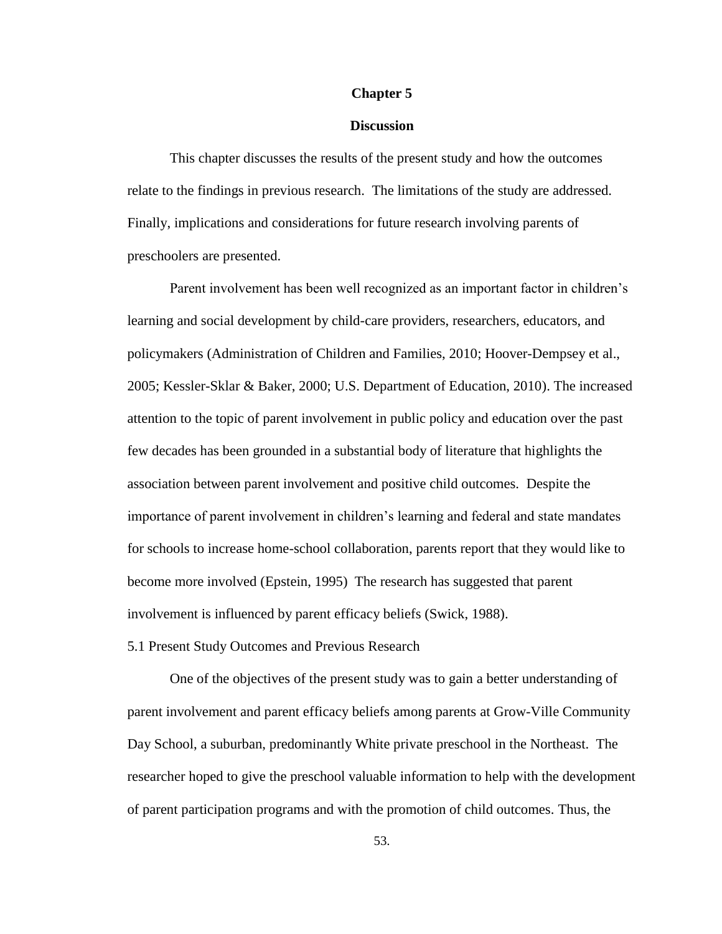#### **Chapter 5**

### **Discussion**

This chapter discusses the results of the present study and how the outcomes relate to the findings in previous research. The limitations of the study are addressed. Finally, implications and considerations for future research involving parents of preschoolers are presented.

Parent involvement has been well recognized as an important factor in children's learning and social development by child-care providers, researchers, educators, and policymakers (Administration of Children and Families, 2010; Hoover-Dempsey et al., 2005; Kessler-Sklar & Baker, 2000; U.S. Department of Education, 2010). The increased attention to the topic of parent involvement in public policy and education over the past few decades has been grounded in a substantial body of literature that highlights the association between parent involvement and positive child outcomes. Despite the importance of parent involvement in children"s learning and federal and state mandates for schools to increase home-school collaboration, parents report that they would like to become more involved (Epstein, 1995) The research has suggested that parent involvement is influenced by parent efficacy beliefs (Swick, 1988).

5.1 Present Study Outcomes and Previous Research

One of the objectives of the present study was to gain a better understanding of parent involvement and parent efficacy beliefs among parents at Grow-Ville Community Day School, a suburban, predominantly White private preschool in the Northeast. The researcher hoped to give the preschool valuable information to help with the development of parent participation programs and with the promotion of child outcomes. Thus, the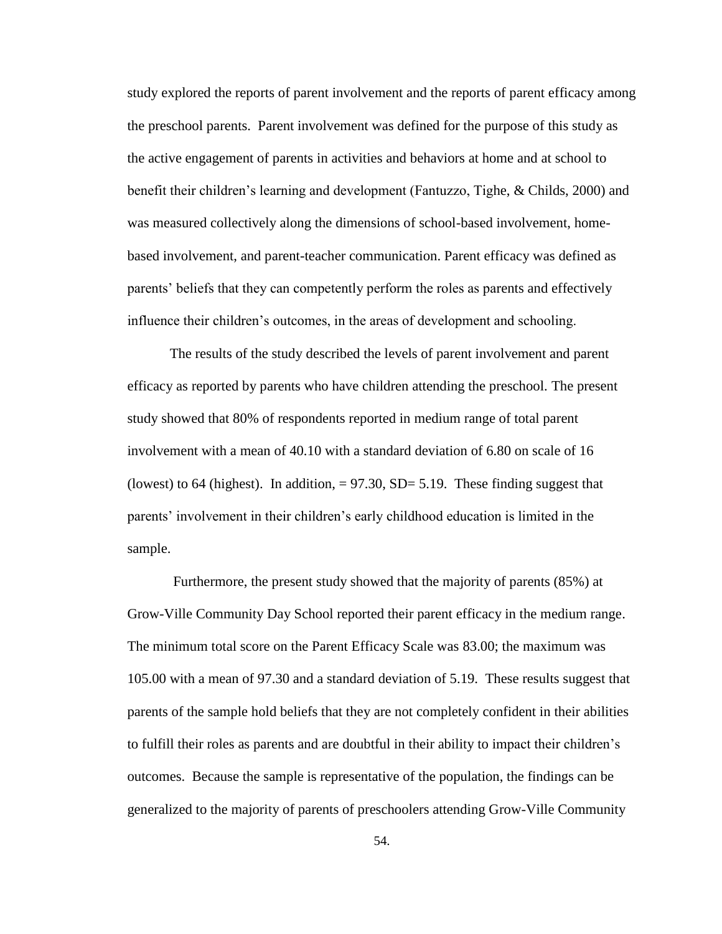study explored the reports of parent involvement and the reports of parent efficacy among the preschool parents. Parent involvement was defined for the purpose of this study as the active engagement of parents in activities and behaviors at home and at school to benefit their children"s learning and development (Fantuzzo, Tighe, & Childs, 2000) and was measured collectively along the dimensions of school-based involvement, homebased involvement, and parent-teacher communication. Parent efficacy was defined as parents' beliefs that they can competently perform the roles as parents and effectively influence their children"s outcomes, in the areas of development and schooling.

The results of the study described the levels of parent involvement and parent efficacy as reported by parents who have children attending the preschool. The present study showed that 80% of respondents reported in medium range of total parent involvement with a mean of 40.10 with a standard deviation of 6.80 on scale of 16 (lowest) to 64 (highest). In addition,  $= 97.30$ , SD= 5.19. These finding suggest that parents" involvement in their children"s early childhood education is limited in the sample.

Furthermore, the present study showed that the majority of parents (85%) at Grow-Ville Community Day School reported their parent efficacy in the medium range. The minimum total score on the Parent Efficacy Scale was 83.00; the maximum was 105.00 with a mean of 97.30 and a standard deviation of 5.19. These results suggest that parents of the sample hold beliefs that they are not completely confident in their abilities to fulfill their roles as parents and are doubtful in their ability to impact their children"s outcomes. Because the sample is representative of the population, the findings can be generalized to the majority of parents of preschoolers attending Grow-Ville Community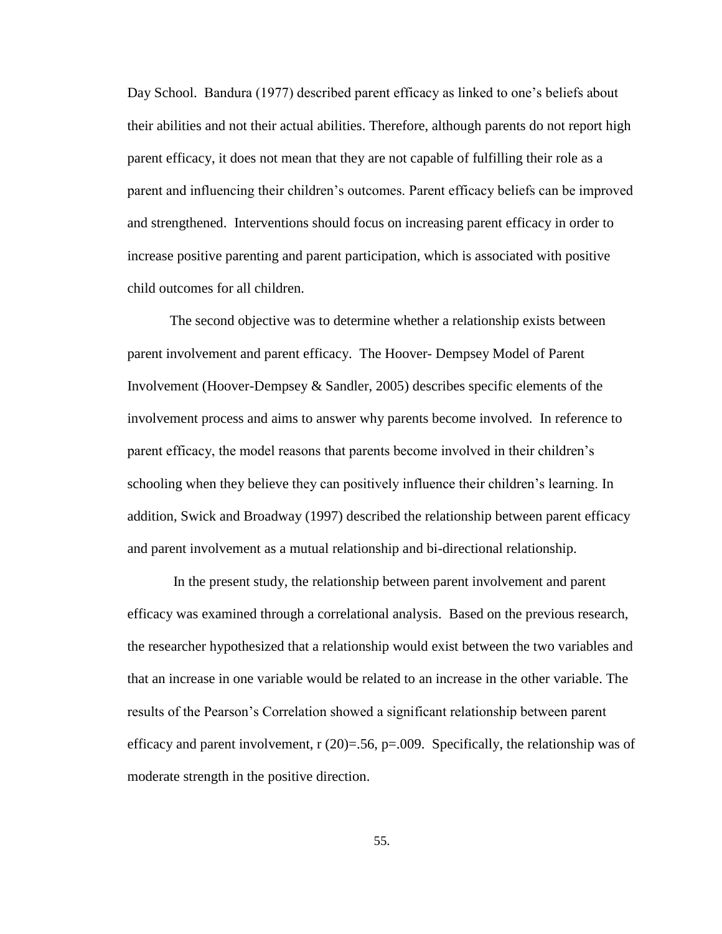Day School. Bandura (1977) described parent efficacy as linked to one"s beliefs about their abilities and not their actual abilities. Therefore, although parents do not report high parent efficacy, it does not mean that they are not capable of fulfilling their role as a parent and influencing their children"s outcomes. Parent efficacy beliefs can be improved and strengthened. Interventions should focus on increasing parent efficacy in order to increase positive parenting and parent participation, which is associated with positive child outcomes for all children.

The second objective was to determine whether a relationship exists between parent involvement and parent efficacy. The Hoover- Dempsey Model of Parent Involvement (Hoover-Dempsey & Sandler, 2005) describes specific elements of the involvement process and aims to answer why parents become involved. In reference to parent efficacy, the model reasons that parents become involved in their children"s schooling when they believe they can positively influence their children"s learning. In addition, Swick and Broadway (1997) described the relationship between parent efficacy and parent involvement as a mutual relationship and bi-directional relationship.

In the present study, the relationship between parent involvement and parent efficacy was examined through a correlational analysis. Based on the previous research, the researcher hypothesized that a relationship would exist between the two variables and that an increase in one variable would be related to an increase in the other variable. The results of the Pearson"s Correlation showed a significant relationship between parent efficacy and parent involvement,  $r(20)=0.56$ ,  $p=.009$ . Specifically, the relationship was of moderate strength in the positive direction.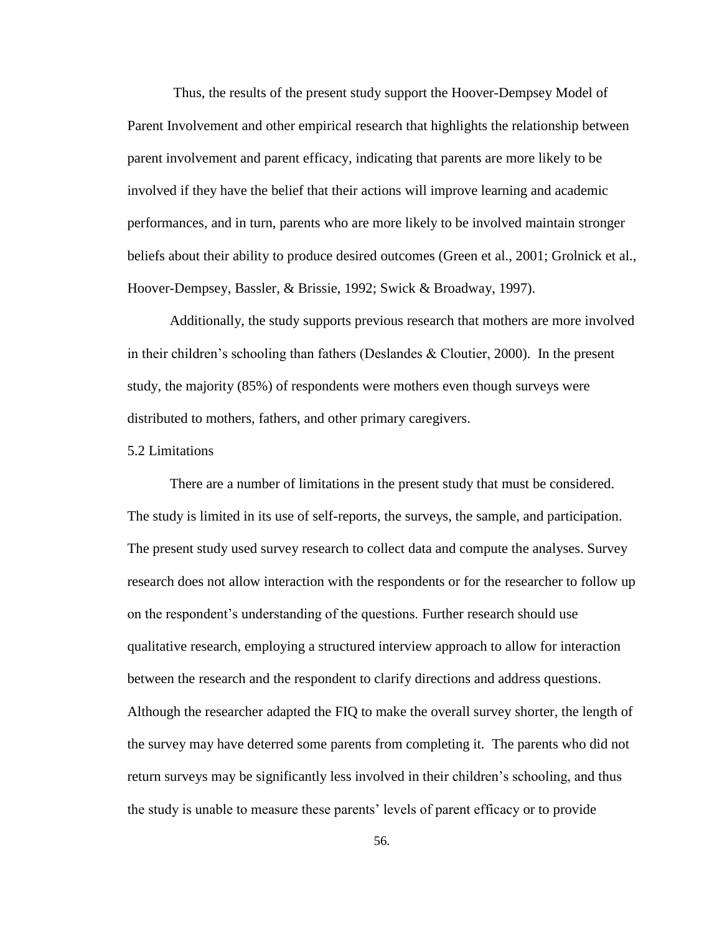Thus, the results of the present study support the Hoover-Dempsey Model of Parent Involvement and other empirical research that highlights the relationship between parent involvement and parent efficacy, indicating that parents are more likely to be involved if they have the belief that their actions will improve learning and academic performances, and in turn, parents who are more likely to be involved maintain stronger beliefs about their ability to produce desired outcomes (Green et al., 2001; Grolnick et al., Hoover-Dempsey, Bassler, & Brissie, 1992; Swick & Broadway, 1997).

Additionally, the study supports previous research that mothers are more involved in their children's schooling than fathers (Deslandes  $&$  Cloutier, 2000). In the present study, the majority (85%) of respondents were mothers even though surveys were distributed to mothers, fathers, and other primary caregivers.

### 5.2 Limitations

There are a number of limitations in the present study that must be considered. The study is limited in its use of self-reports, the surveys, the sample, and participation. The present study used survey research to collect data and compute the analyses. Survey research does not allow interaction with the respondents or for the researcher to follow up on the respondent"s understanding of the questions. Further research should use qualitative research, employing a structured interview approach to allow for interaction between the research and the respondent to clarify directions and address questions. Although the researcher adapted the FIQ to make the overall survey shorter, the length of the survey may have deterred some parents from completing it. The parents who did not return surveys may be significantly less involved in their children"s schooling, and thus the study is unable to measure these parents" levels of parent efficacy or to provide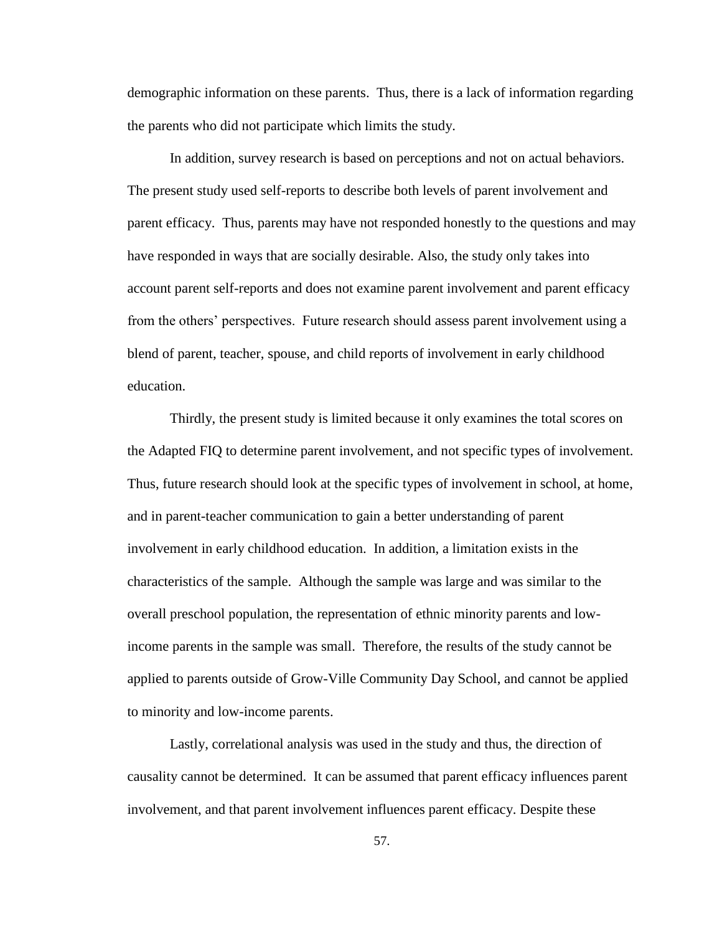demographic information on these parents. Thus, there is a lack of information regarding the parents who did not participate which limits the study.

In addition, survey research is based on perceptions and not on actual behaviors. The present study used self-reports to describe both levels of parent involvement and parent efficacy. Thus, parents may have not responded honestly to the questions and may have responded in ways that are socially desirable. Also, the study only takes into account parent self-reports and does not examine parent involvement and parent efficacy from the others" perspectives. Future research should assess parent involvement using a blend of parent, teacher, spouse, and child reports of involvement in early childhood education.

Thirdly, the present study is limited because it only examines the total scores on the Adapted FIQ to determine parent involvement, and not specific types of involvement. Thus, future research should look at the specific types of involvement in school, at home, and in parent-teacher communication to gain a better understanding of parent involvement in early childhood education. In addition, a limitation exists in the characteristics of the sample. Although the sample was large and was similar to the overall preschool population, the representation of ethnic minority parents and lowincome parents in the sample was small. Therefore, the results of the study cannot be applied to parents outside of Grow-Ville Community Day School, and cannot be applied to minority and low-income parents.

Lastly, correlational analysis was used in the study and thus, the direction of causality cannot be determined. It can be assumed that parent efficacy influences parent involvement, and that parent involvement influences parent efficacy. Despite these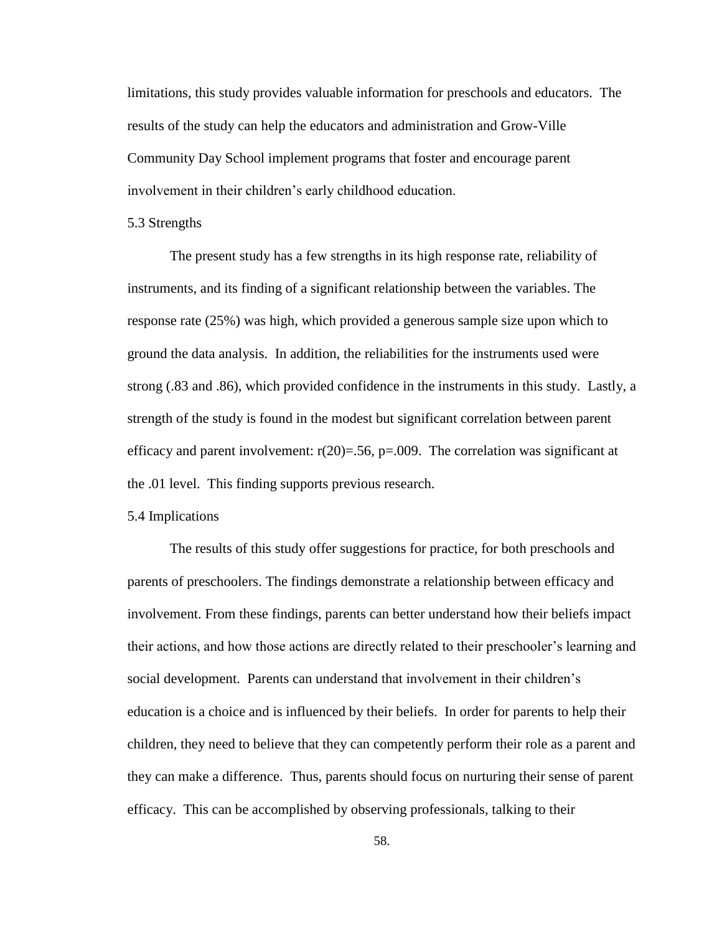limitations, this study provides valuable information for preschools and educators. The results of the study can help the educators and administration and Grow-Ville Community Day School implement programs that foster and encourage parent involvement in their children"s early childhood education.

### 5.3 Strengths

The present study has a few strengths in its high response rate, reliability of instruments, and its finding of a significant relationship between the variables. The response rate (25%) was high, which provided a generous sample size upon which to ground the data analysis. In addition, the reliabilities for the instruments used were strong (.83 and .86), which provided confidence in the instruments in this study. Lastly, a strength of the study is found in the modest but significant correlation between parent efficacy and parent involvement:  $r(20)=.56$ , p=.009. The correlation was significant at the .01 level. This finding supports previous research.

### 5.4 Implications

The results of this study offer suggestions for practice, for both preschools and parents of preschoolers. The findings demonstrate a relationship between efficacy and involvement. From these findings, parents can better understand how their beliefs impact their actions, and how those actions are directly related to their preschooler"s learning and social development. Parents can understand that involvement in their children"s education is a choice and is influenced by their beliefs. In order for parents to help their children, they need to believe that they can competently perform their role as a parent and they can make a difference. Thus, parents should focus on nurturing their sense of parent efficacy. This can be accomplished by observing professionals, talking to their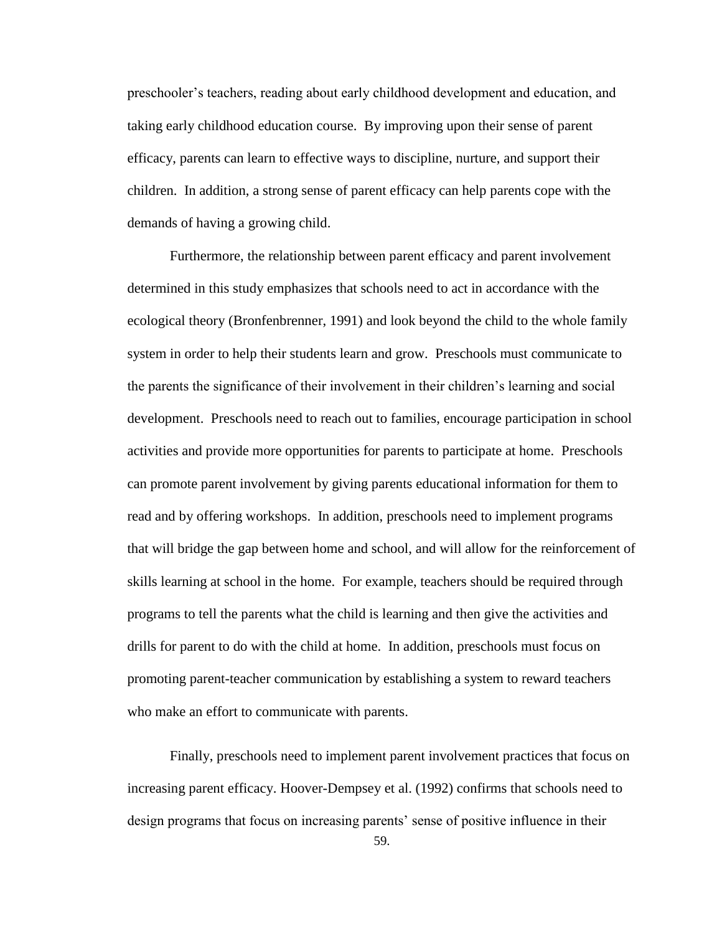preschooler"s teachers, reading about early childhood development and education, and taking early childhood education course. By improving upon their sense of parent efficacy, parents can learn to effective ways to discipline, nurture, and support their children. In addition, a strong sense of parent efficacy can help parents cope with the demands of having a growing child.

Furthermore, the relationship between parent efficacy and parent involvement determined in this study emphasizes that schools need to act in accordance with the ecological theory (Bronfenbrenner, 1991) and look beyond the child to the whole family system in order to help their students learn and grow. Preschools must communicate to the parents the significance of their involvement in their children"s learning and social development. Preschools need to reach out to families, encourage participation in school activities and provide more opportunities for parents to participate at home. Preschools can promote parent involvement by giving parents educational information for them to read and by offering workshops. In addition, preschools need to implement programs that will bridge the gap between home and school, and will allow for the reinforcement of skills learning at school in the home. For example, teachers should be required through programs to tell the parents what the child is learning and then give the activities and drills for parent to do with the child at home. In addition, preschools must focus on promoting parent-teacher communication by establishing a system to reward teachers who make an effort to communicate with parents.

59. Finally, preschools need to implement parent involvement practices that focus on increasing parent efficacy. Hoover-Dempsey et al. (1992) confirms that schools need to design programs that focus on increasing parents' sense of positive influence in their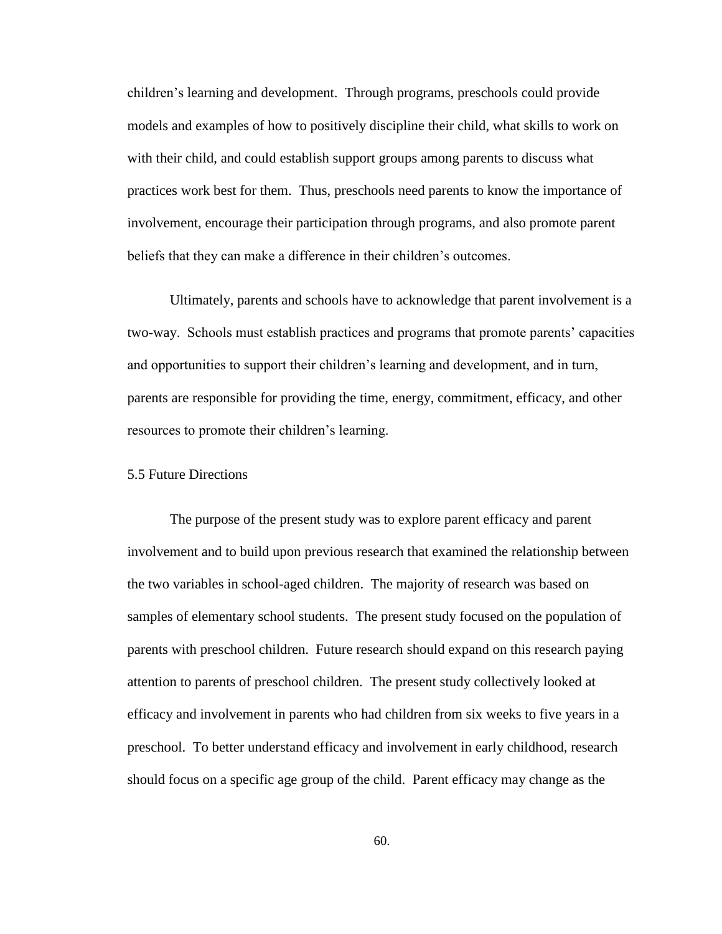children"s learning and development. Through programs, preschools could provide models and examples of how to positively discipline their child, what skills to work on with their child, and could establish support groups among parents to discuss what practices work best for them. Thus, preschools need parents to know the importance of involvement, encourage their participation through programs, and also promote parent beliefs that they can make a difference in their children's outcomes.

Ultimately, parents and schools have to acknowledge that parent involvement is a two-way. Schools must establish practices and programs that promote parents" capacities and opportunities to support their children"s learning and development, and in turn, parents are responsible for providing the time, energy, commitment, efficacy, and other resources to promote their children"s learning.

## 5.5 Future Directions

The purpose of the present study was to explore parent efficacy and parent involvement and to build upon previous research that examined the relationship between the two variables in school-aged children. The majority of research was based on samples of elementary school students. The present study focused on the population of parents with preschool children. Future research should expand on this research paying attention to parents of preschool children. The present study collectively looked at efficacy and involvement in parents who had children from six weeks to five years in a preschool. To better understand efficacy and involvement in early childhood, research should focus on a specific age group of the child. Parent efficacy may change as the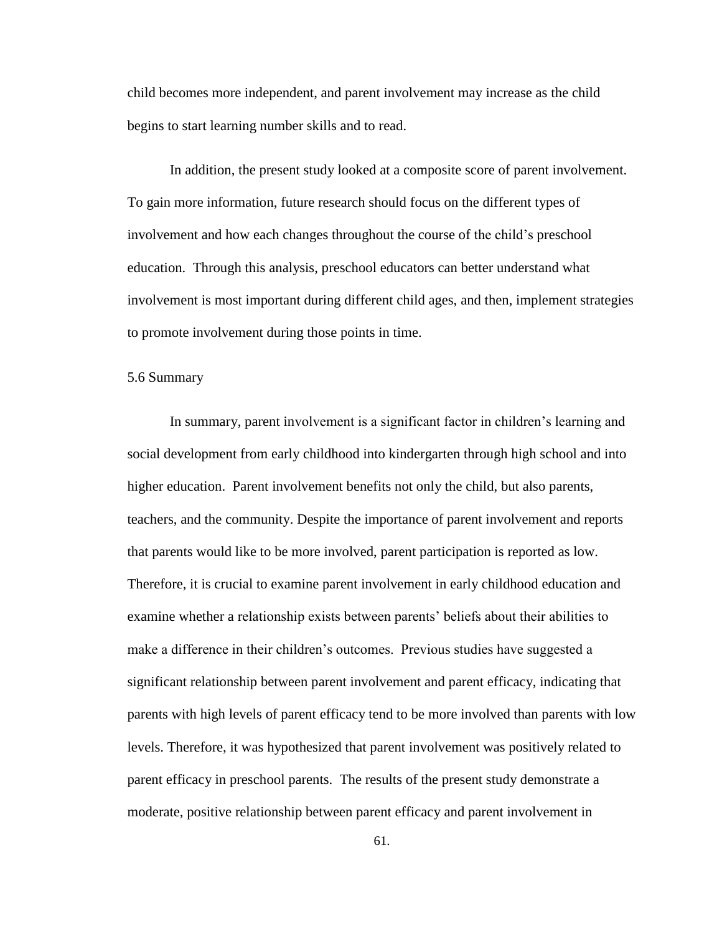child becomes more independent, and parent involvement may increase as the child begins to start learning number skills and to read.

In addition, the present study looked at a composite score of parent involvement. To gain more information, future research should focus on the different types of involvement and how each changes throughout the course of the child"s preschool education. Through this analysis, preschool educators can better understand what involvement is most important during different child ages, and then, implement strategies to promote involvement during those points in time.

### 5.6 Summary

In summary, parent involvement is a significant factor in children"s learning and social development from early childhood into kindergarten through high school and into higher education. Parent involvement benefits not only the child, but also parents, teachers, and the community. Despite the importance of parent involvement and reports that parents would like to be more involved, parent participation is reported as low. Therefore, it is crucial to examine parent involvement in early childhood education and examine whether a relationship exists between parents" beliefs about their abilities to make a difference in their children"s outcomes. Previous studies have suggested a significant relationship between parent involvement and parent efficacy, indicating that parents with high levels of parent efficacy tend to be more involved than parents with low levels. Therefore, it was hypothesized that parent involvement was positively related to parent efficacy in preschool parents. The results of the present study demonstrate a moderate, positive relationship between parent efficacy and parent involvement in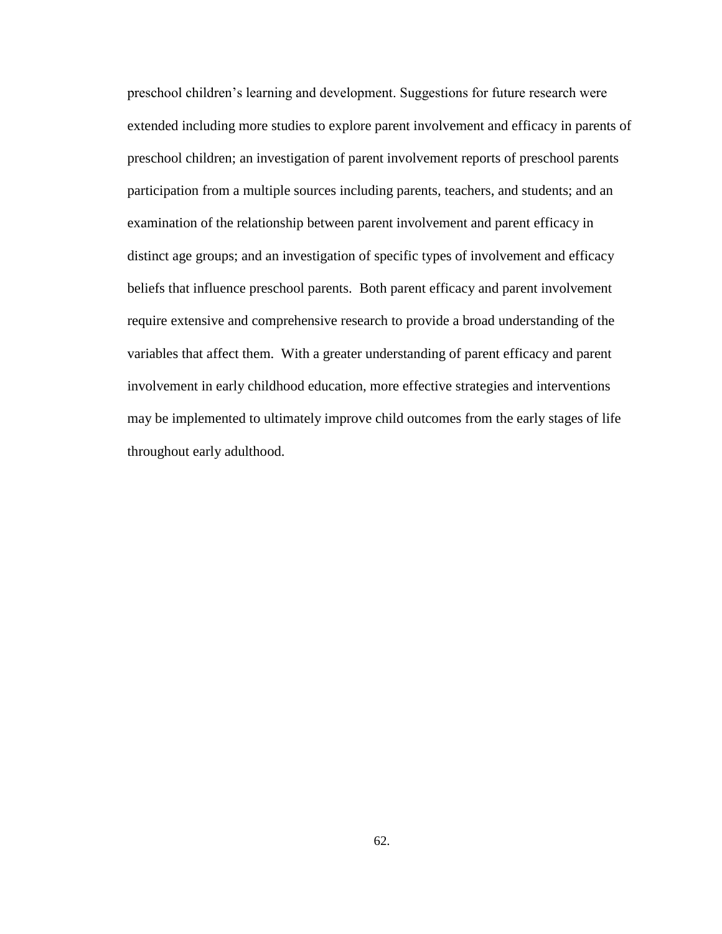preschool children"s learning and development. Suggestions for future research were extended including more studies to explore parent involvement and efficacy in parents of preschool children; an investigation of parent involvement reports of preschool parents participation from a multiple sources including parents, teachers, and students; and an examination of the relationship between parent involvement and parent efficacy in distinct age groups; and an investigation of specific types of involvement and efficacy beliefs that influence preschool parents. Both parent efficacy and parent involvement require extensive and comprehensive research to provide a broad understanding of the variables that affect them. With a greater understanding of parent efficacy and parent involvement in early childhood education, more effective strategies and interventions may be implemented to ultimately improve child outcomes from the early stages of life throughout early adulthood.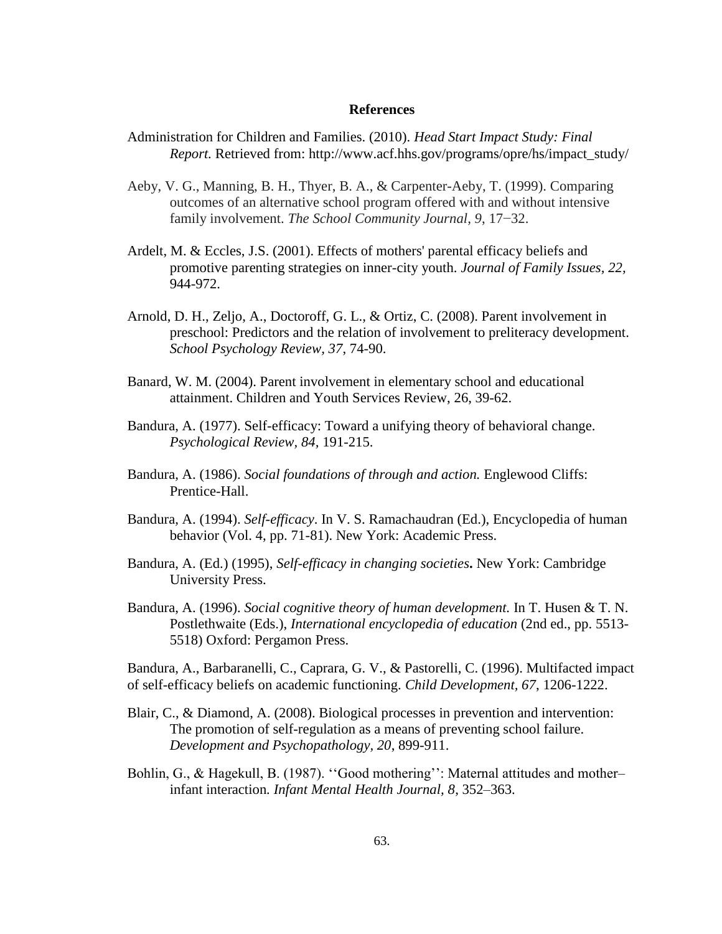## **References**

- Administration for Children and Families. (2010). *Head Start Impact Study: Final Report.* Retrieved from: http://www.acf.hhs.gov/programs/opre/hs/impact\_study/
- Aeby, V. G., Manning, B. H., Thyer, B. A., & Carpenter-Aeby, T. (1999). Comparing outcomes of an alternative school program offered with and without intensive family involvement. *The School Community Journal, 9*, 17−32.
- Ardelt, M. & Eccles, J.S. (2001). Effects of mothers' parental efficacy beliefs and promotive parenting strategies on inner-city youth. *Journal of Family Issues, 22,*  944-972.
- Arnold, D. H., Zeljo, A., Doctoroff, G. L., & Ortiz, C. (2008). Parent involvement in preschool: Predictors and the relation of involvement to preliteracy development. *School Psychology Review, 37*, 74-90.
- Banard, W. M. (2004). Parent involvement in elementary school and educational attainment. Children and Youth Services Review, 26, 39-62.
- Bandura, A. (1977). Self-efficacy: Toward a unifying theory of behavioral change. *Psychological Review, 84,* 191-215.
- Bandura, A. (1986). *Social foundations of through and action.* Englewood Cliffs: Prentice-Hall.
- Bandura, A. (1994). *Self-efficacy*. In V. S. Ramachaudran (Ed.), Encyclopedia of human behavior (Vol. 4, pp. 71-81). New York: Academic Press.
- Bandura, A. (Ed.) (1995), *Self-efficacy in changing societies***.** New York: Cambridge University Press.
- Bandura, A. (1996). *[Social cognitive theory of human development.](http://www.des.emory.edu/mfp/Bandura1996SCT.pdf)* In T. Husen & T. N. Postlethwaite (Eds.), *International encyclopedia of education* (2nd ed., pp. 5513- 5518) Oxford: Pergamon Press.

Bandura, A., Barbaranelli, C., Caprara, G. V., & Pastorelli, C. (1996). Multifacted impact of self-efficacy beliefs on academic functioning. *Child Development, 67*, 1206-1222.

- Blair, C., & Diamond, A. (2008). Biological processes in prevention and intervention: The promotion of self-regulation as a means of preventing school failure. *Development and Psychopathology, 20*, 899-911.
- Bohlin, G., & Hagekull, B. (1987). "Good mothering": Maternal attitudes and motherinfant interaction*. Infant Mental Health Journal, 8*, 352–363.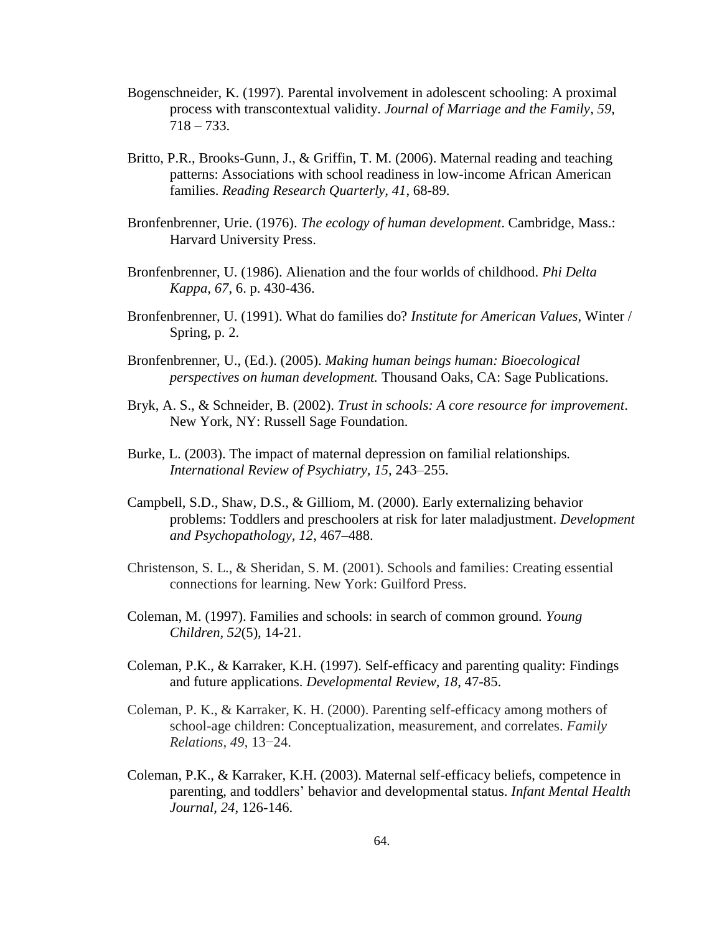- Bogenschneider, K. (1997). Parental involvement in adolescent schooling: A proximal process with transcontextual validity. *Journal of Marriage and the Family*, *59*,  $718 - 733.$
- Britto, P.R., Brooks-Gunn, J., & Griffin, T. M. (2006). Maternal reading and teaching patterns: Associations with school readiness in low-income African American families. *Reading Research Quarterly, 41*, 68-89.
- Bronfenbrenner, Urie. (1976). *The ecology of human development*. Cambridge, Mass.: Harvard University Press.
- Bronfenbrenner, U. (1986). Alienation and the four worlds of childhood. *Phi Delta Kappa, 67*, 6. p. 430-436.
- Bronfenbrenner, U. (1991). What do families do? *Institute for American Values*, Winter / Spring, p. 2.
- Bronfenbrenner, U., (Ed.). (2005). *Making human beings human: Bioecological perspectives on human development.* Thousand Oaks, CA: Sage Publications.
- Bryk, A. S., & Schneider, B. (2002). *Trust in schools: A core resource for improvement*. New York, NY: Russell Sage Foundation.
- Burke, L. (2003). The impact of maternal depression on familial relationships*. International Review of Psychiatry, 15*, 243–255.
- Campbell, S.D., Shaw, D.S., & Gilliom, M. (2000). Early externalizing behavior problems: Toddlers and preschoolers at risk for later maladjustment. *Development and Psychopathology, 12*, 467–488.
- Christenson, S. L., & Sheridan, S. M. (2001). Schools and families: Creating essential connections for learning. New York: Guilford Press.
- Coleman, M. (1997). Families and schools: in search of common ground. *Young Children, 52*(5), 14-21.
- Coleman, P.K., & Karraker, K.H. (1997). Self-efficacy and parenting quality: Findings and future applications. *Developmental Review, 18*, 47-85.
- Coleman, P. K., & Karraker, K. H. (2000). Parenting self-efficacy among mothers of school-age children: Conceptualization, measurement, and correlates. *Family Relations, 49*, 13−24.
- Coleman, P.K., & Karraker, K.H. (2003). Maternal self-efficacy beliefs, competence in parenting, and toddlers" behavior and developmental status. *Infant Mental Health Journal, 24*, 126-146.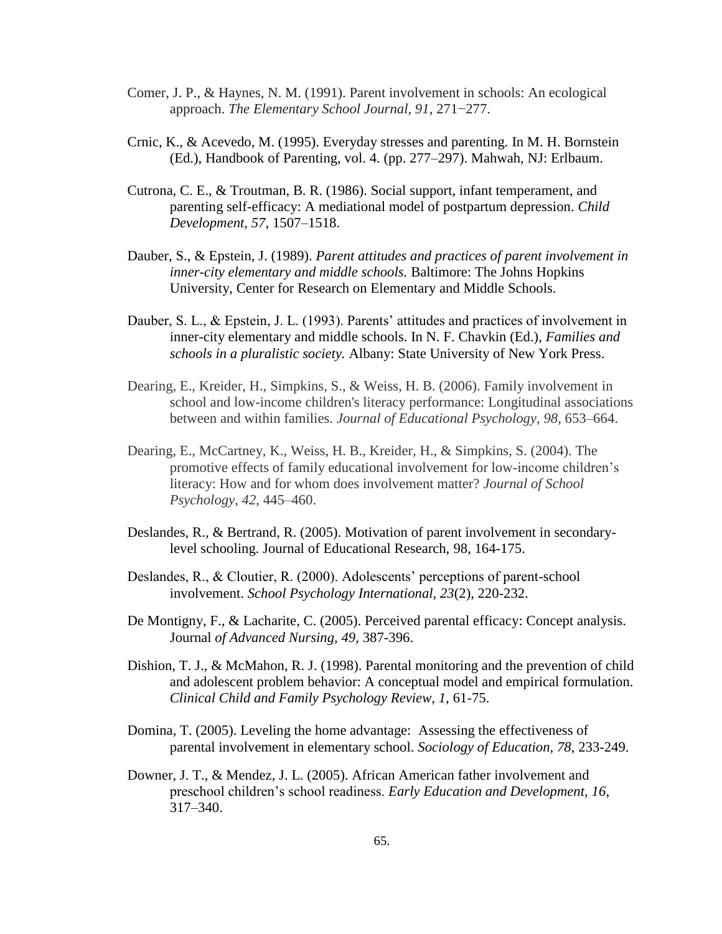- Comer, J. P., & Haynes, N. M. (1991). Parent involvement in schools: An ecological approach. *The Elementary School Journal, 91*, 271−277.
- Crnic, K., & Acevedo, M. (1995). Everyday stresses and parenting. In M. H. Bornstein (Ed.), Handbook of Parenting, vol. 4. (pp. 277–297). Mahwah, NJ: Erlbaum.
- Cutrona, C. E., & Troutman, B. R. (1986). Social support, infant temperament, and parenting self-efficacy: A mediational model of postpartum depression. *Child Development, 57*, 1507–1518.
- Dauber, S., & Epstein, J. (1989). *Parent attitudes and practices of parent involvement in inner-city elementary and middle schools.* Baltimore: The Johns Hopkins University, Center for Research on Elementary and Middle Schools.
- Dauber, S. L., & Epstein, J. L. (1993). Parents' attitudes and practices of involvement in inner-city elementary and middle schools. In N. F. Chavkin (Ed.), *Families and schools in a pluralistic society.* Albany: State University of New York Press.
- Dearing, E., Kreider, H., Simpkins, S., & Weiss, H. B. (2006). Family involvement in school and low-income children's literacy performance: Longitudinal associations between and within families. *Journal of Educational Psychology*, *98*, 653–664.
- Dearing, E., McCartney, K., Weiss, H. B., Kreider, H., & Simpkins, S. (2004). The promotive effects of family educational involvement for low-income children"s literacy: How and for whom does involvement matter? *Journal of School Psychology*, *42*, 445–460.
- Deslandes, R., & Bertrand, R. (2005). Motivation of parent involvement in secondarylevel schooling. Journal of Educational Research, 98, 164-175.
- Deslandes, R., & Cloutier, R. (2000). Adolescents' perceptions of parent-school involvement. *School Psychology International, 23*(2), 220-232.
- De Montigny, F., & Lacharite, C. (2005). Perceived parental efficacy: Concept analysis. Journal *of Advanced Nursing, 49*, 387-396.
- Dishion, T. J., & McMahon, R. J. (1998). Parental monitoring and the prevention of child and adolescent problem behavior: A conceptual model and empirical formulation. *Clinical Child and Family Psychology Review, 1,* 61-75.
- Domina, T. (2005). Leveling the home advantage: Assessing the effectiveness of parental involvement in elementary school. *Sociology of Education, 78*, 233-249.
- Downer, J. T., & Mendez, J. L. (2005). African American father involvement and preschool children"s school readiness. *Early Education and Development, 16*, 317–340.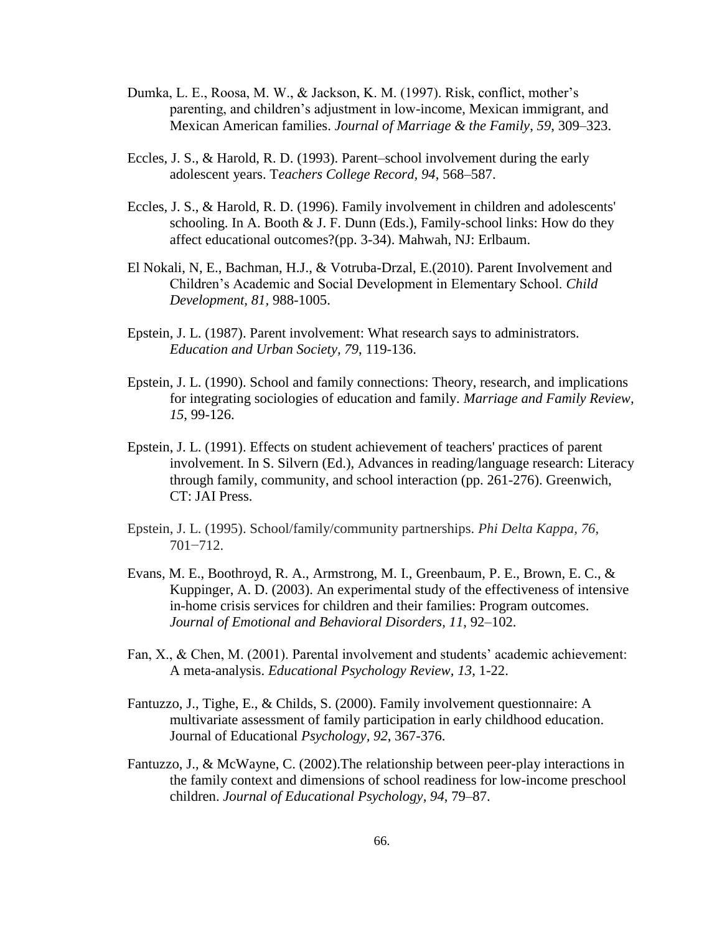- Dumka, L. E., Roosa, M. W., & Jackson, K. M. (1997). Risk, conflict, mother"s parenting, and children"s adjustment in low-income, Mexican immigrant, and Mexican American families. *Journal of Marriage & the Family*, *59*, 309–323.
- Eccles, J. S., & Harold, R. D. (1993). Parent–school involvement during the early adolescent years. T*eachers College Record, 94*, 568–587.
- Eccles, J. S., & Harold, R. D. (1996). Family involvement in children and adolescents' schooling. In A. Booth  $& J. F.$  Dunn (Eds.), Family-school links: How do they affect educational outcomes?(pp. 3-34). Mahwah, NJ: Erlbaum.
- El Nokali, N, E., Bachman, H.J., & Votruba-Drzal, E.(2010). Parent Involvement and Children"s Academic and Social Development in Elementary School. *Child Development, 81,* 988-1005.
- Epstein, J. L. (1987). Parent involvement: What research says to administrators*. Education and Urban Society, 79*, 119-136.
- Epstein, J. L. (1990). School and family connections: Theory, research, and implications for integrating sociologies of education and family*. Marriage and Family Review, 15*, 99-126.
- Epstein, J. L. (1991). Effects on student achievement of teachers' practices of parent involvement. In S. Silvern (Ed.), Advances in reading/language research: Literacy through family, community, and school interaction (pp. 261-276). Greenwich, CT: JAI Press.
- Epstein, J. L. (1995). School/family/community partnerships. *Phi Delta Kappa, 76*, 701−712.
- Evans, M. E., Boothroyd, R. A., Armstrong, M. I., Greenbaum, P. E., Brown, E. C., & Kuppinger, A. D. (2003). An experimental study of the effectiveness of intensive in-home crisis services for children and their families: Program outcomes. *Journal of Emotional and Behavioral Disorders, 11*, 92–102.
- Fan, X., & Chen, M. (2001). Parental involvement and students' academic achievement: A meta-analysis. *Educational Psychology Review, 13*, 1-22.
- Fantuzzo, J., Tighe, E., & Childs, S. (2000). Family involvement questionnaire: A multivariate assessment of family participation in early childhood education. Journal of Educational *Psychology, 92*, 367-376.
- Fantuzzo, J., & McWayne, C. (2002).The relationship between peer-play interactions in the family context and dimensions of school readiness for low-income preschool children. *Journal of Educational Psychology, 94*, 79–87.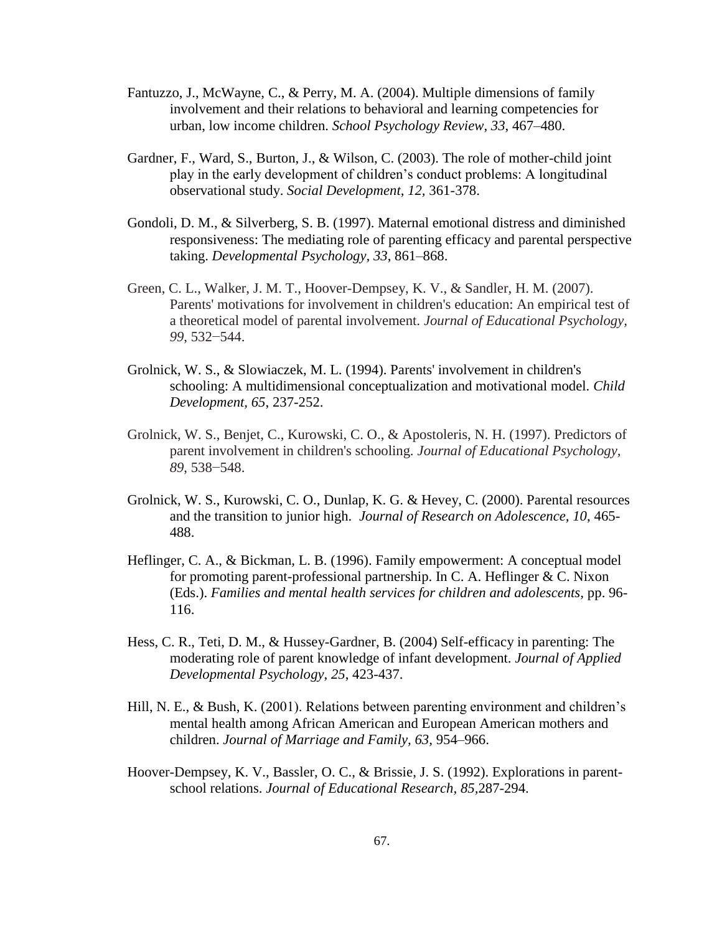- Fantuzzo, J., McWayne, C., & Perry, M. A. (2004). Multiple dimensions of family involvement and their relations to behavioral and learning competencies for urban, low income children. *School Psychology Review, 33*, 467–480.
- Gardner, F., Ward, S., Burton, J., & Wilson, C. (2003). The role of mother-child joint play in the early development of children"s conduct problems: A longitudinal observational study. *Social Development, 12,* 361-378.
- Gondoli, D. M., & Silverberg, S. B. (1997). Maternal emotional distress and diminished responsiveness: The mediating role of parenting efficacy and parental perspective taking. *Developmental Psychology, 33*, 861–868.
- Green, C. L., Walker, J. M. T., Hoover-Dempsey, K. V., & Sandler, H. M. (2007). Parents' motivations for involvement in children's education: An empirical test of a theoretical model of parental involvement. *Journal of Educational Psychology, 99*, 532−544.
- Grolnick, W. S., & Slowiaczek, M. L. (1994). Parents' involvement in children's schooling: A multidimensional conceptualization and motivational model. *Child Development, 65*, 237-252.
- Grolnick, W. S., Benjet, C., Kurowski, C. O., & Apostoleris, N. H. (1997). Predictors of parent involvement in children's schooling. *Journal of Educational Psychology, 89*, 538−548.
- Grolnick, W. S., Kurowski, C. O., Dunlap, K. G. & Hevey, C. (2000). Parental resources and the transition to junior high. *Journal of Research on Adolescence, 10*, 465- 488.
- Heflinger, C. A., & Bickman, L. B. (1996). Family empowerment: A conceptual model for promoting parent-professional partnership. In C. A. Heflinger & C. Nixon (Eds.). *Families and mental health services for children and adolescents,* pp. 96- 116.
- Hess, C. R., Teti, D. M., & Hussey-Gardner, B. (2004) Self-efficacy in parenting: The moderating role of parent knowledge of infant development. *Journal of Applied Developmental Psychology, 25*, 423-437.
- Hill, N. E., & Bush, K. (2001). Relations between parenting environment and children's mental health among African American and European American mothers and children. *Journal of Marriage and Family, 63,* 954–966.
- Hoover-Dempsey, K. V., Bassler, O. C., & Brissie, J. S. (1992). Explorations in parentschool relations. *Journal of Educational Research, 85,*287-294.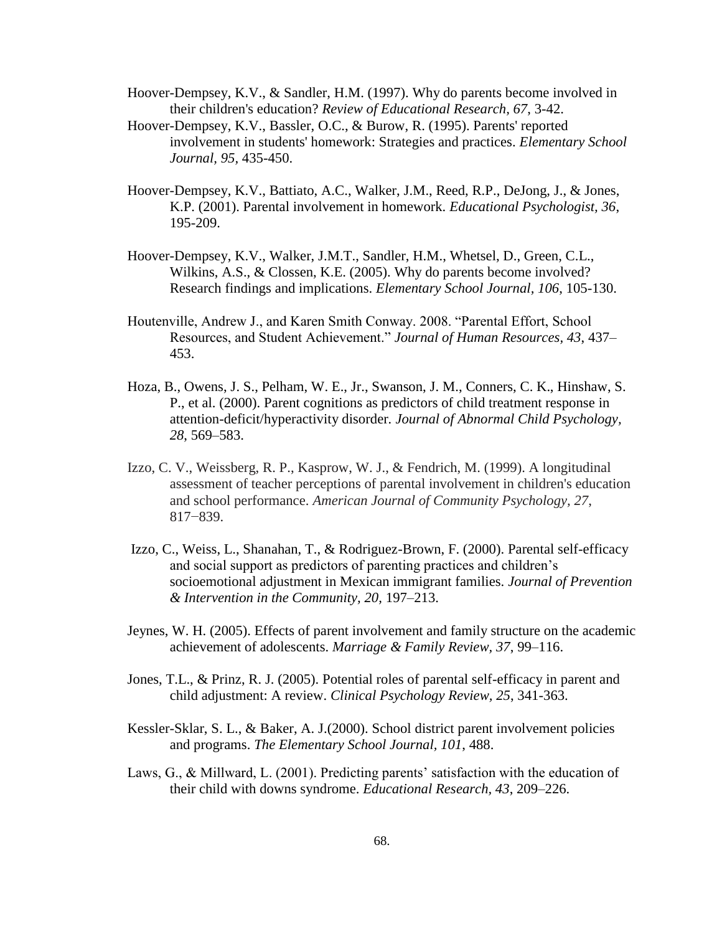Hoover-Dempsey, K.V., & Sandler, H.M. (1997). Why do parents become involved in their children's education? *Review of Educational Research, 67*, 3-42.

- Hoover-Dempsey, K.V., Bassler, O.C., & Burow, R. (1995). Parents' reported involvement in students' homework: Strategies and practices. *Elementary School Journal, 95,* 435-450.
- Hoover-Dempsey, K.V., Battiato, A.C., Walker, J.M., Reed, R.P., DeJong, J., & Jones, K.P. (2001). Parental involvement in homework. *Educational Psychologist, 36*, 195-209.
- Hoover-Dempsey, K.V., Walker, J.M.T., Sandler, H.M., Whetsel, D., Green, C.L., Wilkins, A.S., & Clossen, K.E. (2005). Why do parents become involved? Research findings and implications. *Elementary School Journal, 106*, 105-130.
- Houtenville, Andrew J., and Karen Smith Conway. 2008. "Parental Effort, School Resources, and Student Achievement." *Journal of Human Resources, 43*, 437– 453.
- Hoza, B., Owens, J. S., Pelham, W. E., Jr., Swanson, J. M., Conners, C. K., Hinshaw, S. P., et al. (2000). Parent cognitions as predictors of child treatment response in attention-deficit/hyperactivity disorder*. Journal of Abnormal Child Psychology, 28*, 569–583.
- Izzo, C. V., Weissberg, R. P., Kasprow, W. J., & Fendrich, M. (1999). A longitudinal assessment of teacher perceptions of parental involvement in children's education and school performance. *American Journal of Community Psychology, 27*, 817−839.
- Izzo, C., Weiss, L., Shanahan, T., & Rodriguez-Brown, F. (2000). Parental self-efficacy and social support as predictors of parenting practices and children"s socioemotional adjustment in Mexican immigrant families. *Journal of Prevention & Intervention in the Community, 20,* 197–213.
- Jeynes, W. H. (2005). Effects of parent involvement and family structure on the academic achievement of adolescents. *Marriage & Family Review, 37*, 99–116.
- Jones, T.L., & Prinz, R. J. (2005). Potential roles of parental self-efficacy in parent and child adjustment: A review. *Clinical Psychology Review, 25*, 341-363.
- Kessler-Sklar, S. L., & Baker, A. J.(2000). School district parent involvement policies and programs. *The Elementary School Journal, 101*, 488.
- Laws, G., & Millward, L. (2001). Predicting parents' satisfaction with the education of their child with downs syndrome. *Educational Research, 43*, 209–226.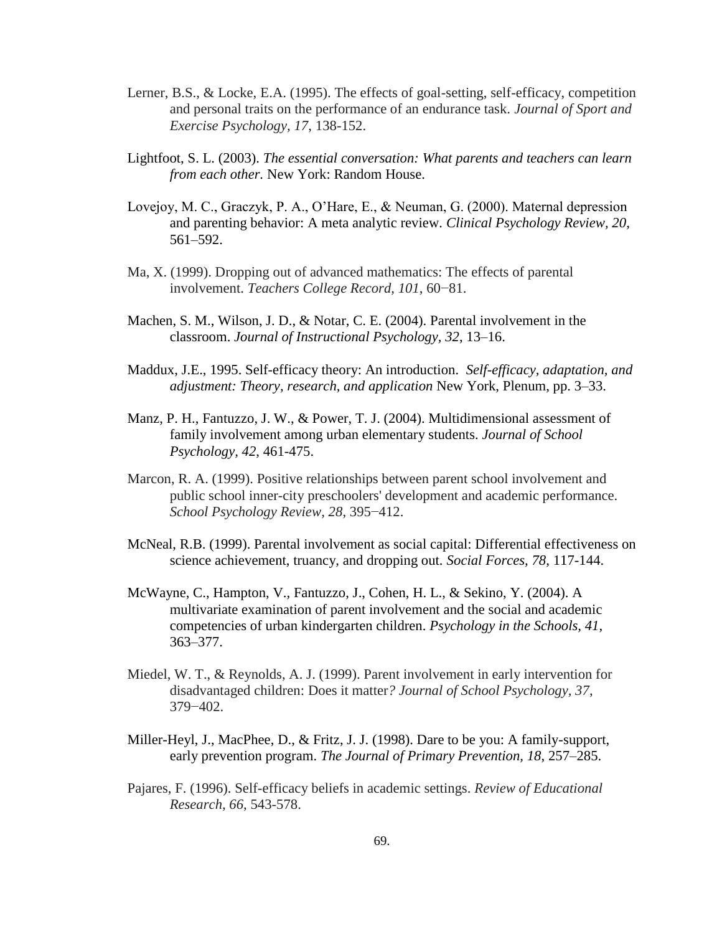- Lerner, B.S., & Locke, E.A. (1995). The effects of goal-setting, self-efficacy, competition and personal traits on the performance of an endurance task. *Journal of Sport and Exercise Psychology, 17*, 138-152.
- Lightfoot, S. L. (2003). *The essential conversation: What parents and teachers can learn from each other.* New York: Random House.
- Lovejoy, M. C., Graczyk, P. A., O"Hare, E., & Neuman, G. (2000). Maternal depression and parenting behavior: A meta analytic review. *Clinical Psychology Review, 20*, 561–592.
- Ma, X. (1999). Dropping out of advanced mathematics: The effects of parental involvement. *Teachers College Record, 101*, 60−81.
- Machen, S. M., Wilson, J. D., & Notar, C. E. (2004). Parental involvement in the classroom. *Journal of Instructional Psychology, 32*, 13–16.
- [Maddux,](http://www.sciencedirect.com/science?_ob=ArticleURL&_udi=B6VD8-3YMW3KX-8&_user=687457&_coverDate=02%2F29%2F2000&_rdoc=1&_fmt=high&_orig=search&_origin=search&_sort=d&_docanchor=&view=c&_rerunOrigin=scholar.google&_acct=C000038321&_version=1&_urlVersion=0&_userid=687457&md5=4ab7b58301998ca621d9ac071dbcc42e&searchtype=a#bbib16) J.E., 1995. Self-efficacy theory: An introduction. *Self-efficacy, adaptation, and adjustment: Theory, research, and application* New York, Plenum, pp. 3–33.
- Manz, P. H., Fantuzzo, J. W., & Power, T. J. (2004). Multidimensional assessment of family involvement among urban elementary students. *Journal of School Psychology, 42*, 461-475.
- Marcon, R. A. (1999). Positive relationships between parent school involvement and public school inner-city preschoolers' development and academic performance. *School Psychology Review, 28*, 395−412.
- McNeal, R.B. (1999). Parental involvement as social capital: Differential effectiveness on science achievement, truancy, and dropping out*. Social Forces, 78*, 117-144.
- McWayne, C., Hampton, V., Fantuzzo, J., Cohen, H. L., & Sekino, Y. (2004). A multivariate examination of parent involvement and the social and academic competencies of urban kindergarten children. *Psychology in the Schools, 41*, 363–377.
- Miedel, W. T., & Reynolds, A. J. (1999). Parent involvement in early intervention for disadvantaged children: Does it matter*? Journal of School Psychology, 37*, 379−402.
- Miller-Heyl, J., MacPhee, D., & Fritz, J. J. (1998). Dare to be you: A family-support, early prevention program. *The Journal of Primary Prevention, 18,* 257–285.
- Pajares, F. (1996). Self-efficacy beliefs in academic settings. *Review of Educational Research, 66*, 543-578.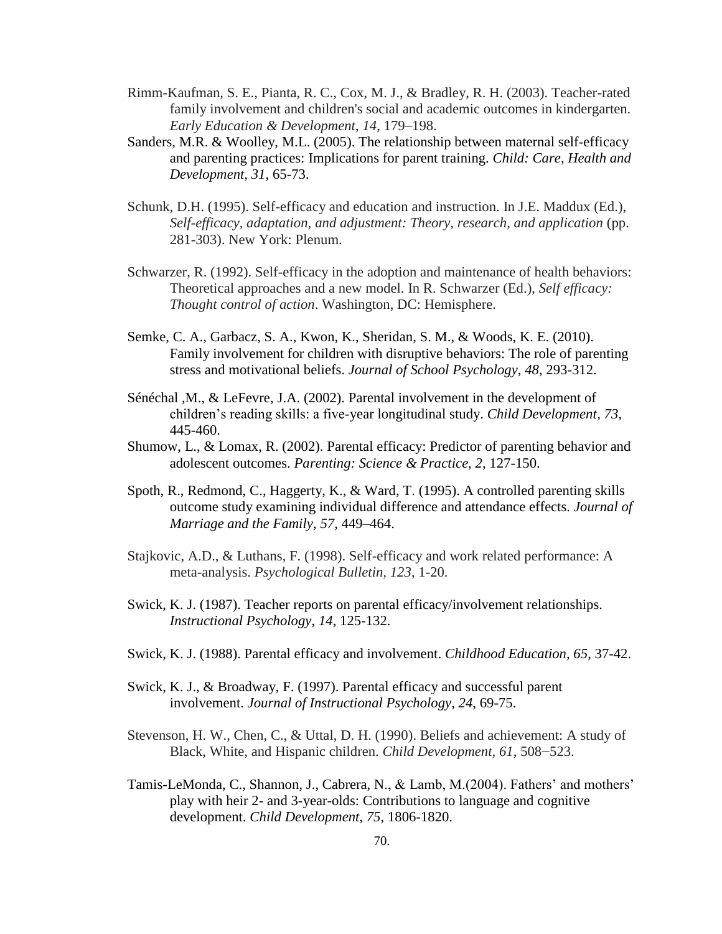- Rimm-Kaufman, S. E., Pianta, R. C., Cox, M. J., & Bradley, R. H. (2003). Teacher-rated family involvement and children's social and academic outcomes in kindergarten. *Early Education & Development*, *14*, 179–198.
- Sanders, M.R. & Woolley, M.L. (2005). The relationship between maternal self-efficacy and parenting practices: Implications for parent training. *Child: Care, Health and Development, 31,* 65-73.
- Schunk, D.H. (1995). Self-efficacy and education and instruction. In J.E. Maddux (Ed.), *Self-efficacy, adaptation, and adjustment: Theory, research, and application (pp.* 281-303). New York: Plenum.
- Schwarzer, R. (1992). Self-efficacy in the adoption and maintenance of health behaviors: Theoretical approaches and a new model. In R. Schwarzer (Ed.), *Self efficacy: Thought control of action*. Washington, DC: Hemisphere.
- Semke, C. A., Garbacz, S. A., Kwon, K., Sheridan, S. M., & Woods, K. E. (2010). Family involvement for children with disruptive behaviors: The role of parenting stress and motivational beliefs. *Journal of School Psychology, 48*, 293-312.
- Sénéchal ,M., & LeFevre, J.A. (2002). Parental involvement in the development of children"s reading skills: a five-year longitudinal study. *Child Development, 73,* 445-460.
- Shumow, L., & Lomax, R. (2002). Parental efficacy: Predictor of parenting behavior and adolescent outcomes. *Parenting: Science & Practice, 2*, 127-150.
- Spoth, R., Redmond, C., Haggerty, K., & Ward, T. (1995). A controlled parenting skills outcome study examining individual difference and attendance effects. *Journal of Marriage and the Family, 57*, 449–464.
- Stajkovic, A.D., & Luthans, F. (1998). Self-efficacy and work related performance: A meta-analysis. *Psychological Bulletin, 123*, 1-20.
- Swick, K. J. (1987). Teacher reports on parental efficacy/involvement relationships. *Instructional Psychology, 14*, 125-132.
- Swick, K. J. (1988). Parental efficacy and involvement. *Childhood Education, 65*, 37-42.
- Swick, K. J., & Broadway, F. (1997). Parental efficacy and successful parent involvement. *Journal of Instructional Psychology, 24*, 69-75.
- Stevenson, H. W., Chen, C., & Uttal, D. H. (1990). Beliefs and achievement: A study of Black, White, and Hispanic children. *Child Development, 61*, 508−523.
- Tamis-LeMonda, C., Shannon, J., Cabrera, N., & Lamb, M.(2004). Fathers' and mothers' play with heir 2- and 3-year-olds: Contributions to language and cognitive development. *Child Development, 75*, 1806-1820.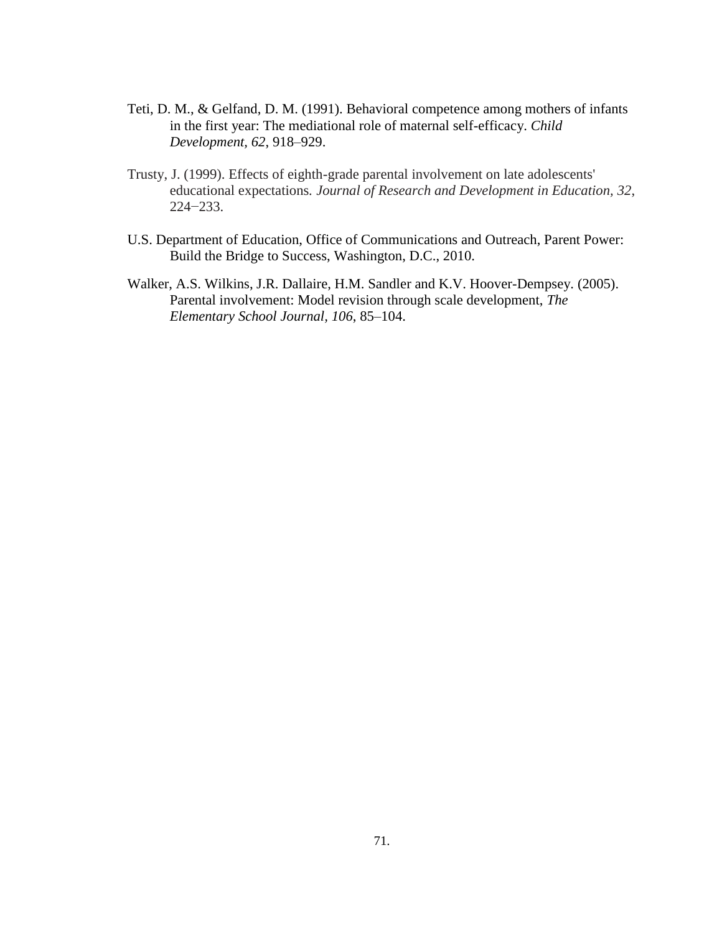- Teti, D. M., & Gelfand, D. M. (1991). Behavioral competence among mothers of infants in the first year: The mediational role of maternal self-efficacy. *Child Development, 62*, 918–929.
- Trusty, J. (1999). Effects of eighth-grade parental involvement on late adolescents' educational expectations*. Journal of Research and Development in Education, 32*, 224−233.
- U.S. Department of Education, Office of Communications and Outreach, Parent Power: Build the Bridge to Success, Washington, D.C., 2010.
- Walker, A.S. Wilkins, J.R. Dallaire, H.M. Sandler and K.V. Hoover-Dempsey. (2005). Parental involvement: Model revision through scale development, *The Elementary School Journal, 106*, 85–104.